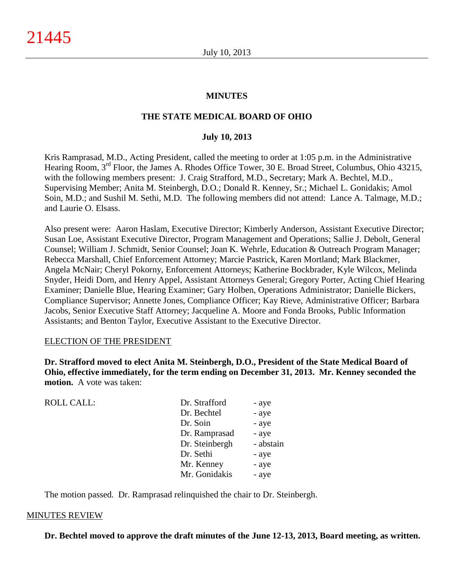#### **MINUTES**

#### **THE STATE MEDICAL BOARD OF OHIO**

#### **July 10, 2013**

Kris Ramprasad, M.D., Acting President, called the meeting to order at 1:05 p.m. in the Administrative Hearing Room, 3<sup>rd</sup> Floor, the James A. Rhodes Office Tower, 30 E. Broad Street, Columbus, Ohio 43215, with the following members present: J. Craig Strafford, M.D., Secretary; Mark A. Bechtel, M.D., Supervising Member; Anita M. Steinbergh, D.O.; Donald R. Kenney, Sr.; Michael L. Gonidakis; Amol Soin, M.D.; and Sushil M. Sethi, M.D. The following members did not attend: Lance A. Talmage, M.D.; and Laurie O. Elsass.

Also present were: Aaron Haslam, Executive Director; Kimberly Anderson, Assistant Executive Director; Susan Loe, Assistant Executive Director, Program Management and Operations; Sallie J. Debolt, General Counsel; William J. Schmidt, Senior Counsel; Joan K. Wehrle, Education & Outreach Program Manager; Rebecca Marshall, Chief Enforcement Attorney; Marcie Pastrick, Karen Mortland; Mark Blackmer, Angela McNair; Cheryl Pokorny, Enforcement Attorneys; Katherine Bockbrader, Kyle Wilcox, Melinda Snyder, Heidi Dorn, and Henry Appel, Assistant Attorneys General; Gregory Porter, Acting Chief Hearing Examiner; Danielle Blue, Hearing Examiner; Gary Holben, Operations Administrator; Danielle Bickers, Compliance Supervisor; Annette Jones, Compliance Officer; Kay Rieve, Administrative Officer; Barbara Jacobs, Senior Executive Staff Attorney; Jacqueline A. Moore and Fonda Brooks, Public Information Assistants; and Benton Taylor, Executive Assistant to the Executive Director.

#### ELECTION OF THE PRESIDENT

**Dr. Strafford moved to elect Anita M. Steinbergh, D.O., President of the State Medical Board of Ohio, effective immediately, for the term ending on December 31, 2013. Mr. Kenney seconded the motion.** A vote was taken:

| <b>ROLL CALL:</b> | Dr. Strafford  | - aye     |
|-------------------|----------------|-----------|
|                   | Dr. Bechtel    | - aye     |
|                   | Dr. Soin       | - aye     |
|                   | Dr. Ramprasad  | - aye     |
|                   | Dr. Steinbergh | - abstain |
|                   | Dr. Sethi      | - aye     |
|                   | Mr. Kenney     | - aye     |
|                   | Mr. Gonidakis  | - aye     |
|                   |                |           |

The motion passed. Dr. Ramprasad relinquished the chair to Dr. Steinbergh.

#### MINUTES REVIEW

**Dr. Bechtel moved to approve the draft minutes of the June 12-13, 2013, Board meeting, as written.**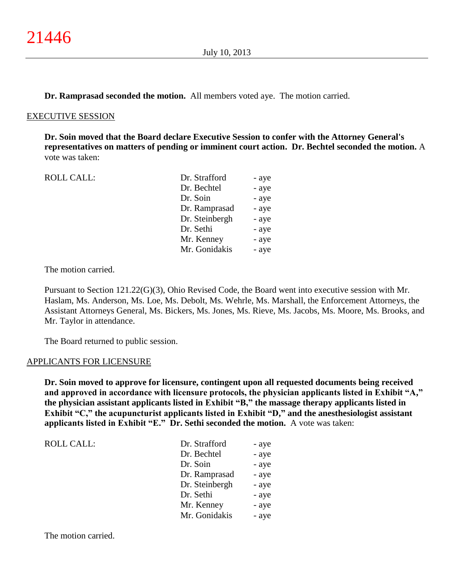**Dr. Ramprasad seconded the motion.** All members voted aye. The motion carried.

#### EXECUTIVE SESSION

**Dr. Soin moved that the Board declare Executive Session to confer with the Attorney General's representatives on matters of pending or imminent court action. Dr. Bechtel seconded the motion.** A vote was taken:

| <b>ROLL CALL:</b> | Dr. Strafford  | - aye |
|-------------------|----------------|-------|
|                   | Dr. Bechtel    | - aye |
|                   | Dr. Soin       | - aye |
|                   | Dr. Ramprasad  | - aye |
|                   | Dr. Steinbergh | - aye |
|                   | Dr. Sethi      | - aye |
|                   | Mr. Kenney     | - aye |
|                   | Mr. Gonidakis  | - aye |
|                   |                |       |

The motion carried.

Pursuant to Section 121.22(G)(3), Ohio Revised Code, the Board went into executive session with Mr. Haslam, Ms. Anderson, Ms. Loe, Ms. Debolt, Ms. Wehrle, Ms. Marshall, the Enforcement Attorneys, the Assistant Attorneys General, Ms. Bickers, Ms. Jones, Ms. Rieve, Ms. Jacobs, Ms. Moore, Ms. Brooks, and Mr. Taylor in attendance.

The Board returned to public session.

#### APPLICANTS FOR LICENSURE

**Dr. Soin moved to approve for licensure, contingent upon all requested documents being received and approved in accordance with licensure protocols, the physician applicants listed in Exhibit "A," the physician assistant applicants listed in Exhibit "B," the massage therapy applicants listed in Exhibit "C," the acupuncturist applicants listed in Exhibit "D," and the anesthesiologist assistant applicants listed in Exhibit "E." Dr. Sethi seconded the motion.** A vote was taken:

| <b>ROLL CALL:</b> | Dr. Strafford  | - aye |
|-------------------|----------------|-------|
|                   | Dr. Bechtel    | - aye |
|                   | Dr. Soin       | - aye |
|                   | Dr. Ramprasad  | - aye |
|                   | Dr. Steinbergh | - aye |
|                   | Dr. Sethi      | - aye |
|                   | Mr. Kenney     | - aye |
|                   | Mr. Gonidakis  | - aye |

The motion carried.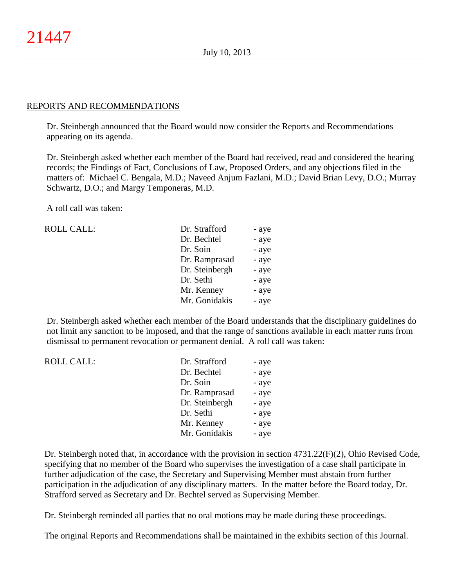#### REPORTS AND RECOMMENDATIONS

Dr. Steinbergh announced that the Board would now consider the Reports and Recommendations appearing on its agenda.

Dr. Steinbergh asked whether each member of the Board had received, read and considered the hearing records; the Findings of Fact, Conclusions of Law, Proposed Orders, and any objections filed in the matters of: Michael C. Bengala, M.D.; Naveed Anjum Fazlani, M.D.; David Brian Levy, D.O.; Murray Schwartz, D.O.; and Margy Temponeras, M.D.

A roll call was taken:

| ROLL CALL: | Dr. Strafford  | - aye |
|------------|----------------|-------|
|            | Dr. Bechtel    | - aye |
|            | Dr. Soin       | - aye |
|            | Dr. Ramprasad  | - aye |
|            | Dr. Steinbergh | - aye |
|            | Dr. Sethi      | - aye |
|            | Mr. Kenney     | - aye |
|            | Mr. Gonidakis  | - aye |
|            |                |       |

Dr. Steinbergh asked whether each member of the Board understands that the disciplinary guidelines do not limit any sanction to be imposed, and that the range of sanctions available in each matter runs from dismissal to permanent revocation or permanent denial. A roll call was taken:

| <b>ROLL CALL:</b> | Dr. Strafford  | - aye |
|-------------------|----------------|-------|
|                   | Dr. Bechtel    | - aye |
|                   | Dr. Soin       | - aye |
|                   | Dr. Ramprasad  | - aye |
|                   | Dr. Steinbergh | - aye |
|                   | Dr. Sethi      | - aye |
|                   | Mr. Kenney     | - aye |
|                   | Mr. Gonidakis  | - aye |

Dr. Steinbergh noted that, in accordance with the provision in section 4731.22(F)(2), Ohio Revised Code, specifying that no member of the Board who supervises the investigation of a case shall participate in further adjudication of the case, the Secretary and Supervising Member must abstain from further participation in the adjudication of any disciplinary matters. In the matter before the Board today, Dr. Strafford served as Secretary and Dr. Bechtel served as Supervising Member.

Dr. Steinbergh reminded all parties that no oral motions may be made during these proceedings.

The original Reports and Recommendations shall be maintained in the exhibits section of this Journal.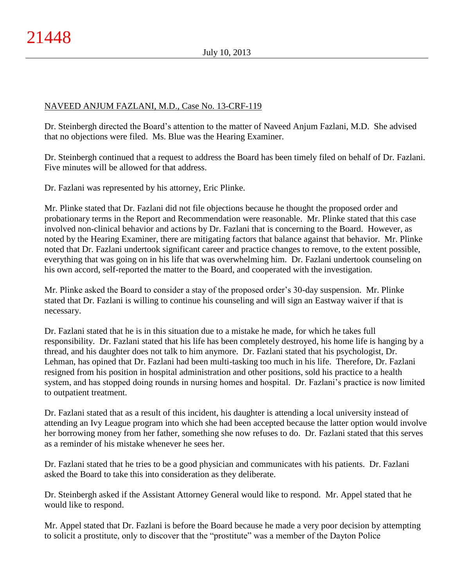# NAVEED ANJUM FAZLANI, M.D., Case No. 13-CRF-119

Dr. Steinbergh directed the Board's attention to the matter of Naveed Anjum Fazlani, M.D. She advised that no objections were filed. Ms. Blue was the Hearing Examiner.

Dr. Steinbergh continued that a request to address the Board has been timely filed on behalf of Dr. Fazlani. Five minutes will be allowed for that address.

Dr. Fazlani was represented by his attorney, Eric Plinke.

Mr. Plinke stated that Dr. Fazlani did not file objections because he thought the proposed order and probationary terms in the Report and Recommendation were reasonable. Mr. Plinke stated that this case involved non-clinical behavior and actions by Dr. Fazlani that is concerning to the Board. However, as noted by the Hearing Examiner, there are mitigating factors that balance against that behavior. Mr. Plinke noted that Dr. Fazlani undertook significant career and practice changes to remove, to the extent possible, everything that was going on in his life that was overwhelming him. Dr. Fazlani undertook counseling on his own accord, self-reported the matter to the Board, and cooperated with the investigation.

Mr. Plinke asked the Board to consider a stay of the proposed order's 30-day suspension. Mr. Plinke stated that Dr. Fazlani is willing to continue his counseling and will sign an Eastway waiver if that is necessary.

Dr. Fazlani stated that he is in this situation due to a mistake he made, for which he takes full responsibility. Dr. Fazlani stated that his life has been completely destroyed, his home life is hanging by a thread, and his daughter does not talk to him anymore. Dr. Fazlani stated that his psychologist, Dr. Lehman, has opined that Dr. Fazlani had been multi-tasking too much in his life. Therefore, Dr. Fazlani resigned from his position in hospital administration and other positions, sold his practice to a health system, and has stopped doing rounds in nursing homes and hospital. Dr. Fazlani's practice is now limited to outpatient treatment.

Dr. Fazlani stated that as a result of this incident, his daughter is attending a local university instead of attending an Ivy League program into which she had been accepted because the latter option would involve her borrowing money from her father, something she now refuses to do. Dr. Fazlani stated that this serves as a reminder of his mistake whenever he sees her.

Dr. Fazlani stated that he tries to be a good physician and communicates with his patients. Dr. Fazlani asked the Board to take this into consideration as they deliberate.

Dr. Steinbergh asked if the Assistant Attorney General would like to respond. Mr. Appel stated that he would like to respond.

Mr. Appel stated that Dr. Fazlani is before the Board because he made a very poor decision by attempting to solicit a prostitute, only to discover that the "prostitute" was a member of the Dayton Police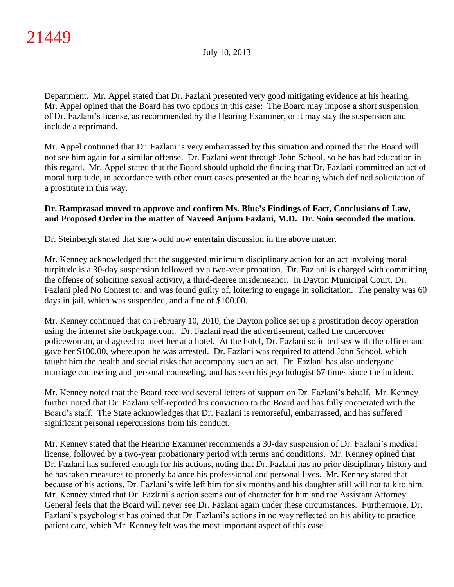Department. Mr. Appel stated that Dr. Fazlani presented very good mitigating evidence at his hearing. Mr. Appel opined that the Board has two options in this case: The Board may impose a short suspension of Dr. Fazlani's license, as recommended by the Hearing Examiner, or it may stay the suspension and include a reprimand.

Mr. Appel continued that Dr. Fazlani is very embarrassed by this situation and opined that the Board will not see him again for a similar offense. Dr. Fazlani went through John School, so he has had education in this regard. Mr. Appel stated that the Board should uphold the finding that Dr. Fazlani committed an act of moral turpitude, in accordance with other court cases presented at the hearing which defined solicitation of a prostitute in this way.

# **Dr. Ramprasad moved to approve and confirm Ms. Blue's Findings of Fact, Conclusions of Law, and Proposed Order in the matter of Naveed Anjum Fazlani, M.D. Dr. Soin seconded the motion.**

Dr. Steinbergh stated that she would now entertain discussion in the above matter.

Mr. Kenney acknowledged that the suggested minimum disciplinary action for an act involving moral turpitude is a 30-day suspension followed by a two-year probation. Dr. Fazlani is charged with committing the offense of soliciting sexual activity, a third-degree misdemeanor. In Dayton Municipal Court, Dr. Fazlani pled No Contest to, and was found guilty of, loitering to engage in solicitation. The penalty was 60 days in jail, which was suspended, and a fine of \$100.00.

Mr. Kenney continued that on February 10, 2010, the Dayton police set up a prostitution decoy operation using the internet site backpage.com. Dr. Fazlani read the advertisement, called the undercover policewoman, and agreed to meet her at a hotel. At the hotel, Dr. Fazlani solicited sex with the officer and gave her \$100.00, whereupon he was arrested. Dr. Fazlani was required to attend John School, which taught him the health and social risks that accompany such an act. Dr. Fazlani has also undergone marriage counseling and personal counseling, and has seen his psychologist 67 times since the incident.

Mr. Kenney noted that the Board received several letters of support on Dr. Fazlani's behalf. Mr. Kenney further noted that Dr. Fazlani self-reported his conviction to the Board and has fully cooperated with the Board's staff. The State acknowledges that Dr. Fazlani is remorseful, embarrassed, and has suffered significant personal repercussions from his conduct.

Mr. Kenney stated that the Hearing Examiner recommends a 30-day suspension of Dr. Fazlani's medical license, followed by a two-year probationary period with terms and conditions. Mr. Kenney opined that Dr. Fazlani has suffered enough for his actions, noting that Dr. Fazlani has no prior disciplinary history and he has taken measures to properly balance his professional and personal lives. Mr. Kenney stated that because of his actions, Dr. Fazlani's wife left him for six months and his daughter still will not talk to him. Mr. Kenney stated that Dr. Fazlani's action seems out of character for him and the Assistant Attorney General feels that the Board will never see Dr. Fazlani again under these circumstances. Furthermore, Dr. Fazlani's psychologist has opined that Dr. Fazlani's actions in no way reflected on his ability to practice patient care, which Mr. Kenney felt was the most important aspect of this case.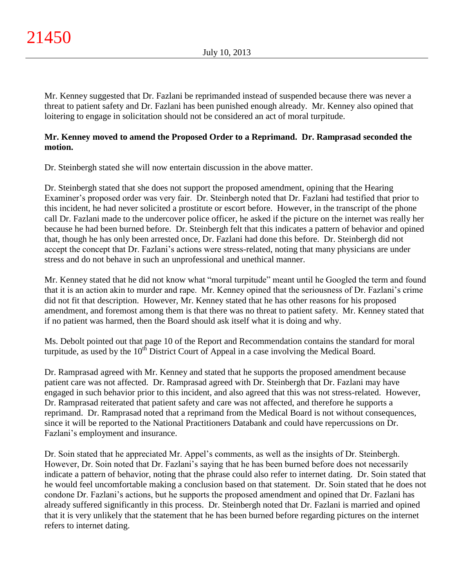Mr. Kenney suggested that Dr. Fazlani be reprimanded instead of suspended because there was never a threat to patient safety and Dr. Fazlani has been punished enough already. Mr. Kenney also opined that loitering to engage in solicitation should not be considered an act of moral turpitude.

# **Mr. Kenney moved to amend the Proposed Order to a Reprimand. Dr. Ramprasad seconded the motion.**

Dr. Steinbergh stated she will now entertain discussion in the above matter.

Dr. Steinbergh stated that she does not support the proposed amendment, opining that the Hearing Examiner's proposed order was very fair. Dr. Steinbergh noted that Dr. Fazlani had testified that prior to this incident, he had never solicited a prostitute or escort before. However, in the transcript of the phone call Dr. Fazlani made to the undercover police officer, he asked if the picture on the internet was really her because he had been burned before. Dr. Steinbergh felt that this indicates a pattern of behavior and opined that, though he has only been arrested once, Dr. Fazlani had done this before. Dr. Steinbergh did not accept the concept that Dr. Fazlani's actions were stress-related, noting that many physicians are under stress and do not behave in such an unprofessional and unethical manner.

Mr. Kenney stated that he did not know what "moral turpitude" meant until he Googled the term and found that it is an action akin to murder and rape. Mr. Kenney opined that the seriousness of Dr. Fazlani's crime did not fit that description. However, Mr. Kenney stated that he has other reasons for his proposed amendment, and foremost among them is that there was no threat to patient safety. Mr. Kenney stated that if no patient was harmed, then the Board should ask itself what it is doing and why.

Ms. Debolt pointed out that page 10 of the Report and Recommendation contains the standard for moral turpitude, as used by the 10<sup>th</sup> District Court of Appeal in a case involving the Medical Board.

Dr. Ramprasad agreed with Mr. Kenney and stated that he supports the proposed amendment because patient care was not affected. Dr. Ramprasad agreed with Dr. Steinbergh that Dr. Fazlani may have engaged in such behavior prior to this incident, and also agreed that this was not stress-related. However, Dr. Ramprasad reiterated that patient safety and care was not affected, and therefore he supports a reprimand. Dr. Ramprasad noted that a reprimand from the Medical Board is not without consequences, since it will be reported to the National Practitioners Databank and could have repercussions on Dr. Fazlani's employment and insurance.

Dr. Soin stated that he appreciated Mr. Appel's comments, as well as the insights of Dr. Steinbergh. However, Dr. Soin noted that Dr. Fazlani's saying that he has been burned before does not necessarily indicate a pattern of behavior, noting that the phrase could also refer to internet dating. Dr. Soin stated that he would feel uncomfortable making a conclusion based on that statement. Dr. Soin stated that he does not condone Dr. Fazlani's actions, but he supports the proposed amendment and opined that Dr. Fazlani has already suffered significantly in this process. Dr. Steinbergh noted that Dr. Fazlani is married and opined that it is very unlikely that the statement that he has been burned before regarding pictures on the internet refers to internet dating.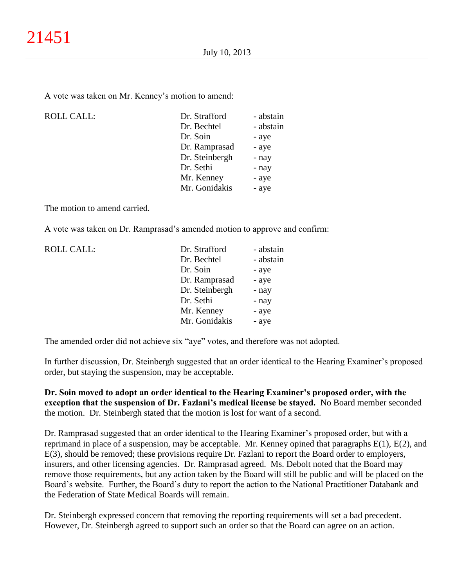A vote was taken on Mr. Kenney's motion to amend:

| <b>ROLL CALL:</b> | Dr. Strafford  | - abstain |
|-------------------|----------------|-----------|
|                   | Dr. Bechtel    | - abstain |
|                   | Dr. Soin       | - aye     |
|                   | Dr. Ramprasad  | - aye     |
|                   | Dr. Steinbergh | - nay     |
|                   | Dr. Sethi      | - nay     |
|                   | Mr. Kenney     | - aye     |
|                   | Mr. Gonidakis  | - aye     |
|                   |                |           |

The motion to amend carried.

A vote was taken on Dr. Ramprasad's amended motion to approve and confirm:

| <b>ROLL CALL:</b> | Dr. Strafford  | - abstain |
|-------------------|----------------|-----------|
|                   | Dr. Bechtel    | - abstain |
|                   | Dr. Soin       | - aye     |
|                   | Dr. Ramprasad  | - aye     |
|                   | Dr. Steinbergh | - nay     |
|                   | Dr. Sethi      | - nay     |
|                   | Mr. Kenney     | - aye     |
|                   | Mr. Gonidakis  | - aye     |

The amended order did not achieve six "aye" votes, and therefore was not adopted.

In further discussion, Dr. Steinbergh suggested that an order identical to the Hearing Examiner's proposed order, but staying the suspension, may be acceptable.

**Dr. Soin moved to adopt an order identical to the Hearing Examiner's proposed order, with the exception that the suspension of Dr. Fazlani's medical license be stayed.** No Board member seconded the motion. Dr. Steinbergh stated that the motion is lost for want of a second.

Dr. Ramprasad suggested that an order identical to the Hearing Examiner's proposed order, but with a reprimand in place of a suspension, may be acceptable. Mr. Kenney opined that paragraphs E(1), E(2), and E(3), should be removed; these provisions require Dr. Fazlani to report the Board order to employers, insurers, and other licensing agencies. Dr. Ramprasad agreed. Ms. Debolt noted that the Board may remove those requirements, but any action taken by the Board will still be public and will be placed on the Board's website. Further, the Board's duty to report the action to the National Practitioner Databank and the Federation of State Medical Boards will remain.

Dr. Steinbergh expressed concern that removing the reporting requirements will set a bad precedent. However, Dr. Steinbergh agreed to support such an order so that the Board can agree on an action.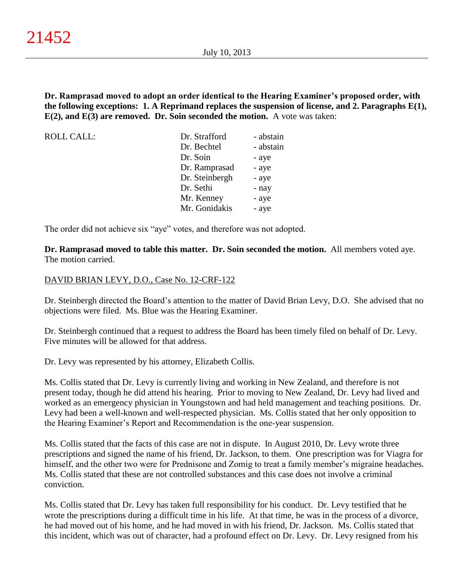**Dr. Ramprasad moved to adopt an order identical to the Hearing Examiner's proposed order, with the following exceptions: 1. A Reprimand replaces the suspension of license, and 2. Paragraphs E(1), E(2), and E(3) are removed. Dr. Soin seconded the motion.** A vote was taken:

| ROLL CALL: | Dr. Strafford  | - abstain |
|------------|----------------|-----------|
|            | Dr. Bechtel    | - abstain |
|            | Dr. Soin       | - aye     |
|            | Dr. Ramprasad  | - aye     |
|            | Dr. Steinbergh | - aye     |
|            | Dr. Sethi      | - nay     |
|            | Mr. Kenney     | - aye     |
|            | Mr. Gonidakis  | - aye     |

The order did not achieve six "aye" votes, and therefore was not adopted.

**Dr. Ramprasad moved to table this matter. Dr. Soin seconded the motion.** All members voted aye. The motion carried.

## DAVID BRIAN LEVY, D.O., Case No. 12-CRF-122

Dr. Steinbergh directed the Board's attention to the matter of David Brian Levy, D.O. She advised that no objections were filed. Ms. Blue was the Hearing Examiner.

Dr. Steinbergh continued that a request to address the Board has been timely filed on behalf of Dr. Levy. Five minutes will be allowed for that address.

Dr. Levy was represented by his attorney, Elizabeth Collis.

Ms. Collis stated that Dr. Levy is currently living and working in New Zealand, and therefore is not present today, though he did attend his hearing. Prior to moving to New Zealand, Dr. Levy had lived and worked as an emergency physician in Youngstown and had held management and teaching positions. Dr. Levy had been a well-known and well-respected physician. Ms. Collis stated that her only opposition to the Hearing Examiner's Report and Recommendation is the one-year suspension.

Ms. Collis stated that the facts of this case are not in dispute. In August 2010, Dr. Levy wrote three prescriptions and signed the name of his friend, Dr. Jackson, to them. One prescription was for Viagra for himself, and the other two were for Prednisone and Zomig to treat a family member's migraine headaches. Ms. Collis stated that these are not controlled substances and this case does not involve a criminal conviction.

Ms. Collis stated that Dr. Levy has taken full responsibility for his conduct. Dr. Levy testified that he wrote the prescriptions during a difficult time in his life. At that time, he was in the process of a divorce, he had moved out of his home, and he had moved in with his friend, Dr. Jackson. Ms. Collis stated that this incident, which was out of character, had a profound effect on Dr. Levy. Dr. Levy resigned from his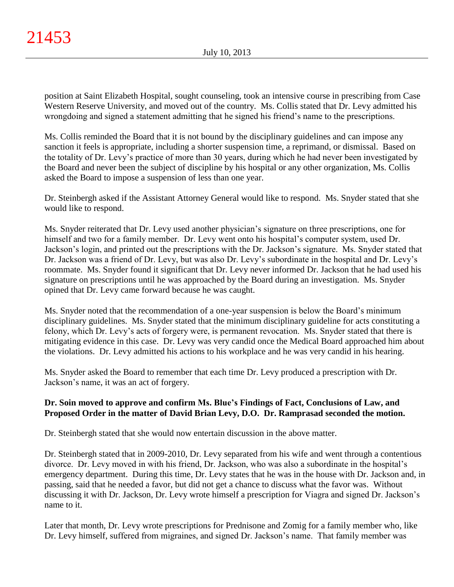position at Saint Elizabeth Hospital, sought counseling, took an intensive course in prescribing from Case Western Reserve University, and moved out of the country. Ms. Collis stated that Dr. Levy admitted his wrongdoing and signed a statement admitting that he signed his friend's name to the prescriptions.

Ms. Collis reminded the Board that it is not bound by the disciplinary guidelines and can impose any sanction it feels is appropriate, including a shorter suspension time, a reprimand, or dismissal. Based on the totality of Dr. Levy's practice of more than 30 years, during which he had never been investigated by the Board and never been the subject of discipline by his hospital or any other organization, Ms. Collis asked the Board to impose a suspension of less than one year.

Dr. Steinbergh asked if the Assistant Attorney General would like to respond. Ms. Snyder stated that she would like to respond.

Ms. Snyder reiterated that Dr. Levy used another physician's signature on three prescriptions, one for himself and two for a family member. Dr. Levy went onto his hospital's computer system, used Dr. Jackson's login, and printed out the prescriptions with the Dr. Jackson's signature. Ms. Snyder stated that Dr. Jackson was a friend of Dr. Levy, but was also Dr. Levy's subordinate in the hospital and Dr. Levy's roommate. Ms. Snyder found it significant that Dr. Levy never informed Dr. Jackson that he had used his signature on prescriptions until he was approached by the Board during an investigation. Ms. Snyder opined that Dr. Levy came forward because he was caught.

Ms. Snyder noted that the recommendation of a one-year suspension is below the Board's minimum disciplinary guidelines. Ms. Snyder stated that the minimum disciplinary guideline for acts constituting a felony, which Dr. Levy's acts of forgery were, is permanent revocation. Ms. Snyder stated that there is mitigating evidence in this case. Dr. Levy was very candid once the Medical Board approached him about the violations. Dr. Levy admitted his actions to his workplace and he was very candid in his hearing.

Ms. Snyder asked the Board to remember that each time Dr. Levy produced a prescription with Dr. Jackson's name, it was an act of forgery.

# **Dr. Soin moved to approve and confirm Ms. Blue's Findings of Fact, Conclusions of Law, and Proposed Order in the matter of David Brian Levy, D.O. Dr. Ramprasad seconded the motion.**

Dr. Steinbergh stated that she would now entertain discussion in the above matter.

Dr. Steinbergh stated that in 2009-2010, Dr. Levy separated from his wife and went through a contentious divorce. Dr. Levy moved in with his friend, Dr. Jackson, who was also a subordinate in the hospital's emergency department. During this time, Dr. Levy states that he was in the house with Dr. Jackson and, in passing, said that he needed a favor, but did not get a chance to discuss what the favor was. Without discussing it with Dr. Jackson, Dr. Levy wrote himself a prescription for Viagra and signed Dr. Jackson's name to it.

Later that month, Dr. Levy wrote prescriptions for Prednisone and Zomig for a family member who, like Dr. Levy himself, suffered from migraines, and signed Dr. Jackson's name. That family member was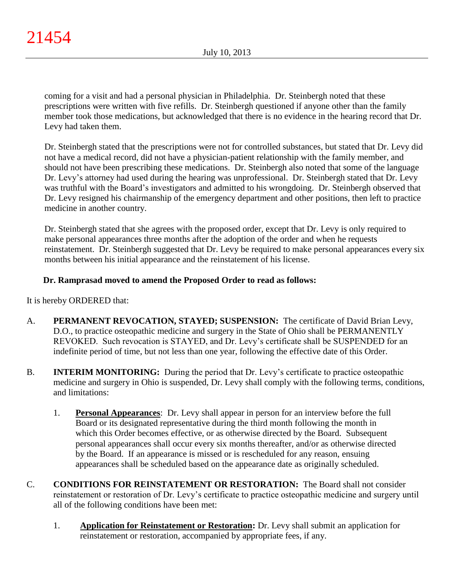coming for a visit and had a personal physician in Philadelphia. Dr. Steinbergh noted that these prescriptions were written with five refills. Dr. Steinbergh questioned if anyone other than the family member took those medications, but acknowledged that there is no evidence in the hearing record that Dr. Levy had taken them.

Dr. Steinbergh stated that the prescriptions were not for controlled substances, but stated that Dr. Levy did not have a medical record, did not have a physician-patient relationship with the family member, and should not have been prescribing these medications. Dr. Steinbergh also noted that some of the language Dr. Levy's attorney had used during the hearing was unprofessional. Dr. Steinbergh stated that Dr. Levy was truthful with the Board's investigators and admitted to his wrongdoing. Dr. Steinbergh observed that Dr. Levy resigned his chairmanship of the emergency department and other positions, then left to practice medicine in another country.

Dr. Steinbergh stated that she agrees with the proposed order, except that Dr. Levy is only required to make personal appearances three months after the adoption of the order and when he requests reinstatement. Dr. Steinbergh suggested that Dr. Levy be required to make personal appearances every six months between his initial appearance and the reinstatement of his license.

# **Dr. Ramprasad moved to amend the Proposed Order to read as follows:**

It is hereby ORDERED that:

- A. **PERMANENT REVOCATION, STAYED; SUSPENSION:** The certificate of David Brian Levy, D.O., to practice osteopathic medicine and surgery in the State of Ohio shall be PERMANENTLY REVOKED. Such revocation is STAYED, and Dr. Levy's certificate shall be SUSPENDED for an indefinite period of time, but not less than one year, following the effective date of this Order.
- B. **INTERIM MONITORING:** During the period that Dr. Levy's certificate to practice osteopathic medicine and surgery in Ohio is suspended, Dr. Levy shall comply with the following terms, conditions, and limitations:
	- 1. **Personal Appearances**: Dr. Levy shall appear in person for an interview before the full Board or its designated representative during the third month following the month in which this Order becomes effective, or as otherwise directed by the Board. Subsequent personal appearances shall occur every six months thereafter, and/or as otherwise directed by the Board. If an appearance is missed or is rescheduled for any reason, ensuing appearances shall be scheduled based on the appearance date as originally scheduled.
- C. **CONDITIONS FOR REINSTATEMENT OR RESTORATION:** The Board shall not consider reinstatement or restoration of Dr. Levy's certificate to practice osteopathic medicine and surgery until all of the following conditions have been met:
	- 1. **Application for Reinstatement or Restoration:** Dr. Levy shall submit an application for reinstatement or restoration, accompanied by appropriate fees, if any.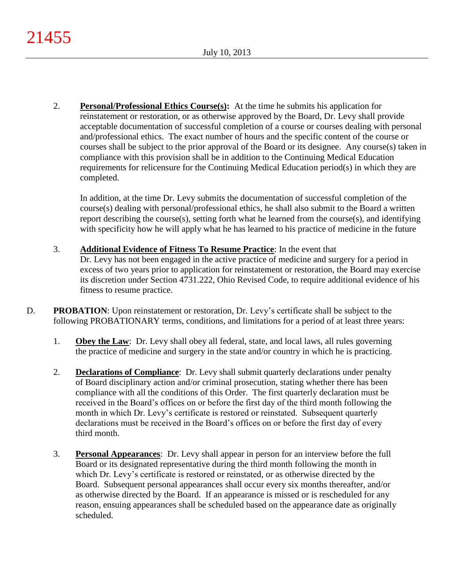2. **Personal/Professional Ethics Course(s):** At the time he submits his application for reinstatement or restoration, or as otherwise approved by the Board, Dr. Levy shall provide acceptable documentation of successful completion of a course or courses dealing with personal and/professional ethics. The exact number of hours and the specific content of the course or courses shall be subject to the prior approval of the Board or its designee. Any course(s) taken in compliance with this provision shall be in addition to the Continuing Medical Education requirements for relicensure for the Continuing Medical Education period(s) in which they are completed.

In addition, at the time Dr. Levy submits the documentation of successful completion of the course(s) dealing with personal/professional ethics, he shall also submit to the Board a written report describing the course(s), setting forth what he learned from the course(s), and identifying with specificity how he will apply what he has learned to his practice of medicine in the future

- 3. **Additional Evidence of Fitness To Resume Practice**: In the event that Dr. Levy has not been engaged in the active practice of medicine and surgery for a period in excess of two years prior to application for reinstatement or restoration, the Board may exercise its discretion under Section 4731.222, Ohio Revised Code, to require additional evidence of his fitness to resume practice.
- D. **PROBATION:** Upon reinstatement or restoration, Dr. Levy's certificate shall be subject to the following PROBATIONARY terms, conditions, and limitations for a period of at least three years:
	- 1. **Obey the Law**: Dr. Levy shall obey all federal, state, and local laws, all rules governing the practice of medicine and surgery in the state and/or country in which he is practicing.
	- 2. **Declarations of Compliance**: Dr. Levy shall submit quarterly declarations under penalty of Board disciplinary action and/or criminal prosecution, stating whether there has been compliance with all the conditions of this Order. The first quarterly declaration must be received in the Board's offices on or before the first day of the third month following the month in which Dr. Levy's certificate is restored or reinstated. Subsequent quarterly declarations must be received in the Board's offices on or before the first day of every third month.
	- 3. **Personal Appearances**: Dr. Levy shall appear in person for an interview before the full Board or its designated representative during the third month following the month in which Dr. Levy's certificate is restored or reinstated, or as otherwise directed by the Board. Subsequent personal appearances shall occur every six months thereafter, and/or as otherwise directed by the Board. If an appearance is missed or is rescheduled for any reason, ensuing appearances shall be scheduled based on the appearance date as originally scheduled.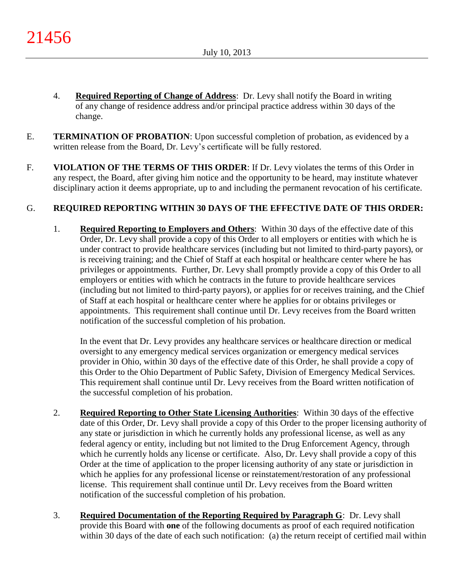- 4. **Required Reporting of Change of Address**: Dr. Levy shall notify the Board in writing of any change of residence address and/or principal practice address within 30 days of the change.
- E. **TERMINATION OF PROBATION**: Upon successful completion of probation, as evidenced by a written release from the Board, Dr. Levy's certificate will be fully restored.
- F. **VIOLATION OF THE TERMS OF THIS ORDER**: If Dr. Levy violates the terms of this Order in any respect, the Board, after giving him notice and the opportunity to be heard, may institute whatever disciplinary action it deems appropriate, up to and including the permanent revocation of his certificate.

# G. **REQUIRED REPORTING WITHIN 30 DAYS OF THE EFFECTIVE DATE OF THIS ORDER:**

1. **Required Reporting to Employers and Others**: Within 30 days of the effective date of this Order, Dr. Levy shall provide a copy of this Order to all employers or entities with which he is under contract to provide healthcare services (including but not limited to third-party payors), or is receiving training; and the Chief of Staff at each hospital or healthcare center where he has privileges or appointments. Further, Dr. Levy shall promptly provide a copy of this Order to all employers or entities with which he contracts in the future to provide healthcare services (including but not limited to third-party payors), or applies for or receives training, and the Chief of Staff at each hospital or healthcare center where he applies for or obtains privileges or appointments. This requirement shall continue until Dr. Levy receives from the Board written notification of the successful completion of his probation.

In the event that Dr. Levy provides any healthcare services or healthcare direction or medical oversight to any emergency medical services organization or emergency medical services provider in Ohio, within 30 days of the effective date of this Order, he shall provide a copy of this Order to the Ohio Department of Public Safety, Division of Emergency Medical Services. This requirement shall continue until Dr. Levy receives from the Board written notification of the successful completion of his probation.

- 2. **Required Reporting to Other State Licensing Authorities**: Within 30 days of the effective date of this Order, Dr. Levy shall provide a copy of this Order to the proper licensing authority of any state or jurisdiction in which he currently holds any professional license, as well as any federal agency or entity, including but not limited to the Drug Enforcement Agency, through which he currently holds any license or certificate. Also, Dr. Levy shall provide a copy of this Order at the time of application to the proper licensing authority of any state or jurisdiction in which he applies for any professional license or reinstatement/restoration of any professional license. This requirement shall continue until Dr. Levy receives from the Board written notification of the successful completion of his probation.
- 3. **Required Documentation of the Reporting Required by Paragraph G**: Dr. Levy shall provide this Board with **one** of the following documents as proof of each required notification within 30 days of the date of each such notification: (a) the return receipt of certified mail within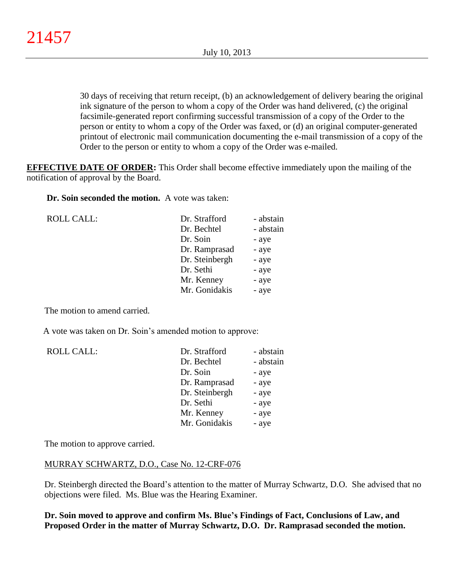30 days of receiving that return receipt, (b) an acknowledgement of delivery bearing the original ink signature of the person to whom a copy of the Order was hand delivered, (c) the original facsimile-generated report confirming successful transmission of a copy of the Order to the person or entity to whom a copy of the Order was faxed, or (d) an original computer-generated printout of electronic mail communication documenting the e-mail transmission of a copy of the Order to the person or entity to whom a copy of the Order was e-mailed.

**EFFECTIVE DATE OF ORDER:** This Order shall become effective immediately upon the mailing of the notification of approval by the Board.

**Dr. Soin seconded the motion.** A vote was taken:

| <b>ROLL CALL:</b> | Dr. Strafford  | - abstain |
|-------------------|----------------|-----------|
|                   | Dr. Bechtel    | - abstain |
|                   | Dr. Soin       | - aye     |
|                   | Dr. Ramprasad  | - aye     |
|                   | Dr. Steinbergh | - aye     |
|                   | Dr. Sethi      | - aye     |
|                   | Mr. Kenney     | - aye     |
|                   | Mr. Gonidakis  | - aye     |
|                   |                |           |

The motion to amend carried.

A vote was taken on Dr. Soin's amended motion to approve:

| <b>ROLL CALL:</b> | Dr. Strafford  | - abstain |
|-------------------|----------------|-----------|
|                   | Dr. Bechtel    | - abstain |
|                   | Dr. Soin       | - aye     |
|                   | Dr. Ramprasad  | - aye     |
|                   | Dr. Steinbergh | - aye     |
|                   | Dr. Sethi      | - aye     |
|                   | Mr. Kenney     | - aye     |
|                   | Mr. Gonidakis  | - aye     |

The motion to approve carried.

## MURRAY SCHWARTZ, D.O., Case No. 12-CRF-076

Dr. Steinbergh directed the Board's attention to the matter of Murray Schwartz, D.O. She advised that no objections were filed. Ms. Blue was the Hearing Examiner.

**Dr. Soin moved to approve and confirm Ms. Blue's Findings of Fact, Conclusions of Law, and Proposed Order in the matter of Murray Schwartz, D.O. Dr. Ramprasad seconded the motion.**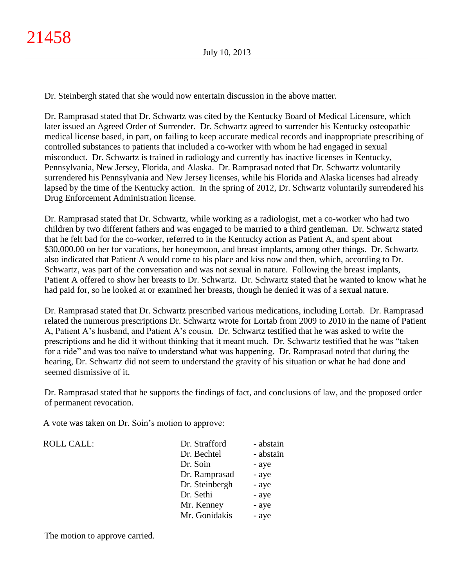Dr. Steinbergh stated that she would now entertain discussion in the above matter.

Dr. Ramprasad stated that Dr. Schwartz was cited by the Kentucky Board of Medical Licensure, which later issued an Agreed Order of Surrender. Dr. Schwartz agreed to surrender his Kentucky osteopathic medical license based, in part, on failing to keep accurate medical records and inappropriate prescribing of controlled substances to patients that included a co-worker with whom he had engaged in sexual misconduct. Dr. Schwartz is trained in radiology and currently has inactive licenses in Kentucky, Pennsylvania, New Jersey, Florida, and Alaska. Dr. Ramprasad noted that Dr. Schwartz voluntarily surrendered his Pennsylvania and New Jersey licenses, while his Florida and Alaska licenses had already lapsed by the time of the Kentucky action. In the spring of 2012, Dr. Schwartz voluntarily surrendered his Drug Enforcement Administration license.

Dr. Ramprasad stated that Dr. Schwartz, while working as a radiologist, met a co-worker who had two children by two different fathers and was engaged to be married to a third gentleman. Dr. Schwartz stated that he felt bad for the co-worker, referred to in the Kentucky action as Patient A, and spent about \$30,000.00 on her for vacations, her honeymoon, and breast implants, among other things. Dr. Schwartz also indicated that Patient A would come to his place and kiss now and then, which, according to Dr. Schwartz, was part of the conversation and was not sexual in nature. Following the breast implants, Patient A offered to show her breasts to Dr. Schwartz. Dr. Schwartz stated that he wanted to know what he had paid for, so he looked at or examined her breasts, though he denied it was of a sexual nature.

Dr. Ramprasad stated that Dr. Schwartz prescribed various medications, including Lortab. Dr. Ramprasad related the numerous prescriptions Dr. Schwartz wrote for Lortab from 2009 to 2010 in the name of Patient A, Patient A's husband, and Patient A's cousin. Dr. Schwartz testified that he was asked to write the prescriptions and he did it without thinking that it meant much. Dr. Schwartz testified that he was "taken for a ride" and was too naïve to understand what was happening. Dr. Ramprasad noted that during the hearing, Dr. Schwartz did not seem to understand the gravity of his situation or what he had done and seemed dismissive of it.

Dr. Ramprasad stated that he supports the findings of fact, and conclusions of law, and the proposed order of permanent revocation.

A vote was taken on Dr. Soin's motion to approve:

| Dr. Strafford  | - abstain |
|----------------|-----------|
| Dr. Bechtel    | - abstain |
| Dr. Soin       | - aye     |
| Dr. Ramprasad  | - aye     |
| Dr. Steinbergh | - aye     |
| Dr. Sethi      | - aye     |
| Mr. Kenney     | - aye     |
| Mr. Gonidakis  | - aye     |

The motion to approve carried.

ROLL CALL: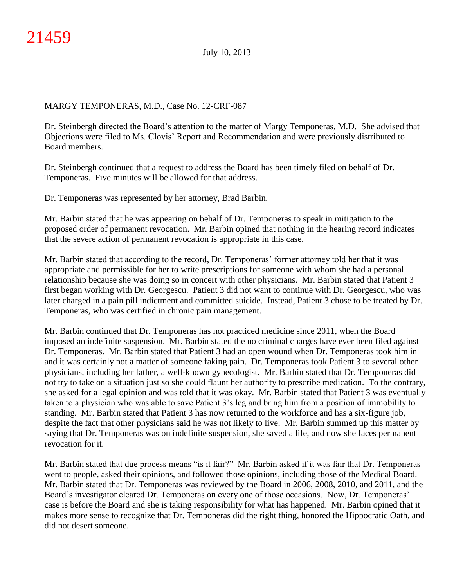# MARGY TEMPONERAS, M.D., Case No. 12-CRF-087

Dr. Steinbergh directed the Board's attention to the matter of Margy Temponeras, M.D. She advised that Objections were filed to Ms. Clovis' Report and Recommendation and were previously distributed to Board members.

Dr. Steinbergh continued that a request to address the Board has been timely filed on behalf of Dr. Temponeras. Five minutes will be allowed for that address.

Dr. Temponeras was represented by her attorney, Brad Barbin.

Mr. Barbin stated that he was appearing on behalf of Dr. Temponeras to speak in mitigation to the proposed order of permanent revocation. Mr. Barbin opined that nothing in the hearing record indicates that the severe action of permanent revocation is appropriate in this case.

Mr. Barbin stated that according to the record, Dr. Temponeras' former attorney told her that it was appropriate and permissible for her to write prescriptions for someone with whom she had a personal relationship because she was doing so in concert with other physicians. Mr. Barbin stated that Patient 3 first began working with Dr. Georgescu. Patient 3 did not want to continue with Dr. Georgescu, who was later charged in a pain pill indictment and committed suicide. Instead, Patient 3 chose to be treated by Dr. Temponeras, who was certified in chronic pain management.

Mr. Barbin continued that Dr. Temponeras has not practiced medicine since 2011, when the Board imposed an indefinite suspension. Mr. Barbin stated the no criminal charges have ever been filed against Dr. Temponeras. Mr. Barbin stated that Patient 3 had an open wound when Dr. Temponeras took him in and it was certainly not a matter of someone faking pain. Dr. Temponeras took Patient 3 to several other physicians, including her father, a well-known gynecologist. Mr. Barbin stated that Dr. Temponeras did not try to take on a situation just so she could flaunt her authority to prescribe medication. To the contrary, she asked for a legal opinion and was told that it was okay. Mr. Barbin stated that Patient 3 was eventually taken to a physician who was able to save Patient 3's leg and bring him from a position of immobility to standing. Mr. Barbin stated that Patient 3 has now returned to the workforce and has a six-figure job, despite the fact that other physicians said he was not likely to live. Mr. Barbin summed up this matter by saying that Dr. Temponeras was on indefinite suspension, she saved a life, and now she faces permanent revocation for it.

Mr. Barbin stated that due process means "is it fair?" Mr. Barbin asked if it was fair that Dr. Temponeras went to people, asked their opinions, and followed those opinions, including those of the Medical Board. Mr. Barbin stated that Dr. Temponeras was reviewed by the Board in 2006, 2008, 2010, and 2011, and the Board's investigator cleared Dr. Temponeras on every one of those occasions. Now, Dr. Temponeras' case is before the Board and she is taking responsibility for what has happened. Mr. Barbin opined that it makes more sense to recognize that Dr. Temponeras did the right thing, honored the Hippocratic Oath, and did not desert someone.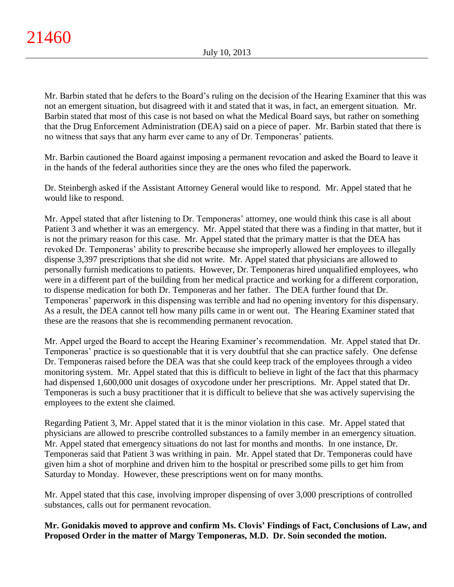Mr. Barbin stated that he defers to the Board's ruling on the decision of the Hearing Examiner that this was not an emergent situation, but disagreed with it and stated that it was, in fact, an emergent situation. Mr. Barbin stated that most of this case is not based on what the Medical Board says, but rather on something that the Drug Enforcement Administration (DEA) said on a piece of paper. Mr. Barbin stated that there is no witness that says that any harm ever came to any of Dr. Temponeras' patients.

Mr. Barbin cautioned the Board against imposing a permanent revocation and asked the Board to leave it in the hands of the federal authorities since they are the ones who filed the paperwork.

Dr. Steinbergh asked if the Assistant Attorney General would like to respond. Mr. Appel stated that he would like to respond.

Mr. Appel stated that after listening to Dr. Temponeras' attorney, one would think this case is all about Patient 3 and whether it was an emergency. Mr. Appel stated that there was a finding in that matter, but it is not the primary reason for this case. Mr. Appel stated that the primary matter is that the DEA has revoked Dr. Temponeras' ability to prescribe because she improperly allowed her employees to illegally dispense 3,397 prescriptions that she did not write. Mr. Appel stated that physicians are allowed to personally furnish medications to patients. However, Dr. Temponeras hired unqualified employees, who were in a different part of the building from her medical practice and working for a different corporation, to dispense medication for both Dr. Temponeras and her father. The DEA further found that Dr. Temponeras' paperwork in this dispensing was terrible and had no opening inventory for this dispensary. As a result, the DEA cannot tell how many pills came in or went out. The Hearing Examiner stated that these are the reasons that she is recommending permanent revocation.

Mr. Appel urged the Board to accept the Hearing Examiner's recommendation. Mr. Appel stated that Dr. Temponeras' practice is so questionable that it is very doubtful that she can practice safely. One defense Dr. Temponeras raised before the DEA was that she could keep track of the employees through a video monitoring system. Mr. Appel stated that this is difficult to believe in light of the fact that this pharmacy had dispensed 1,600,000 unit dosages of oxycodone under her prescriptions. Mr. Appel stated that Dr. Temponeras is such a busy practitioner that it is difficult to believe that she was actively supervising the employees to the extent she claimed.

Regarding Patient 3, Mr. Appel stated that it is the minor violation in this case. Mr. Appel stated that physicians are allowed to prescribe controlled substances to a family member in an emergency situation. Mr. Appel stated that emergency situations do not last for months and months. In one instance, Dr. Temponeras said that Patient 3 was writhing in pain. Mr. Appel stated that Dr. Temponeras could have given him a shot of morphine and driven him to the hospital or prescribed some pills to get him from Saturday to Monday. However, these prescriptions went on for many months.

Mr. Appel stated that this case, involving improper dispensing of over 3,000 prescriptions of controlled substances, calls out for permanent revocation.

**Mr. Gonidakis moved to approve and confirm Ms. Clovis' Findings of Fact, Conclusions of Law, and Proposed Order in the matter of Margy Temponeras, M.D. Dr. Soin seconded the motion.**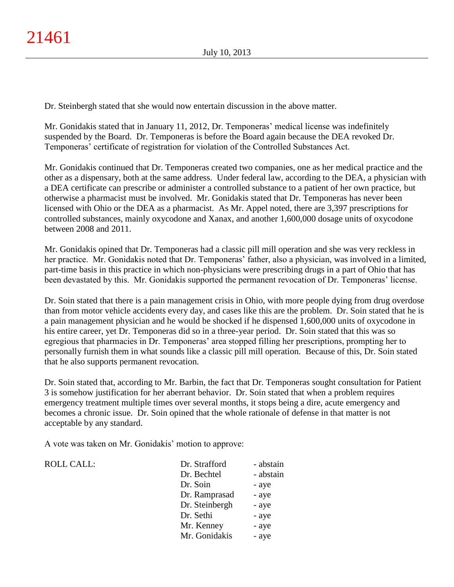Dr. Steinbergh stated that she would now entertain discussion in the above matter.

Mr. Gonidakis stated that in January 11, 2012, Dr. Temponeras' medical license was indefinitely suspended by the Board. Dr. Temponeras is before the Board again because the DEA revoked Dr. Temponeras' certificate of registration for violation of the Controlled Substances Act.

Mr. Gonidakis continued that Dr. Temponeras created two companies, one as her medical practice and the other as a dispensary, both at the same address. Under federal law, according to the DEA, a physician with a DEA certificate can prescribe or administer a controlled substance to a patient of her own practice, but otherwise a pharmacist must be involved. Mr. Gonidakis stated that Dr. Temponeras has never been licensed with Ohio or the DEA as a pharmacist. As Mr. Appel noted, there are 3,397 prescriptions for controlled substances, mainly oxycodone and Xanax, and another 1,600,000 dosage units of oxycodone between 2008 and 2011.

Mr. Gonidakis opined that Dr. Temponeras had a classic pill mill operation and she was very reckless in her practice. Mr. Gonidakis noted that Dr. Temponeras' father, also a physician, was involved in a limited, part-time basis in this practice in which non-physicians were prescribing drugs in a part of Ohio that has been devastated by this. Mr. Gonidakis supported the permanent revocation of Dr. Temponeras' license.

Dr. Soin stated that there is a pain management crisis in Ohio, with more people dying from drug overdose than from motor vehicle accidents every day, and cases like this are the problem. Dr. Soin stated that he is a pain management physician and he would be shocked if he dispensed 1,600,000 units of oxycodone in his entire career, yet Dr. Temponeras did so in a three-year period. Dr. Soin stated that this was so egregious that pharmacies in Dr. Temponeras' area stopped filling her prescriptions, prompting her to personally furnish them in what sounds like a classic pill mill operation. Because of this, Dr. Soin stated that he also supports permanent revocation.

Dr. Soin stated that, according to Mr. Barbin, the fact that Dr. Temponeras sought consultation for Patient 3 is somehow justification for her aberrant behavior. Dr. Soin stated that when a problem requires emergency treatment multiple times over several months, it stops being a dire, acute emergency and becomes a chronic issue. Dr. Soin opined that the whole rationale of defense in that matter is not acceptable by any standard.

A vote was taken on Mr. Gonidakis' motion to approve:

ROLL CALL:  $\blacksquare$ 

| Dr. Strafford  | - abstain |
|----------------|-----------|
| Dr. Bechtel    | - abstain |
| Dr. Soin       | - aye     |
| Dr. Ramprasad  | - aye     |
| Dr. Steinbergh | - aye     |
| Dr. Sethi      | - aye     |
| Mr. Kenney     | - aye     |
| Mr. Gonidakis  | - aye     |
|                |           |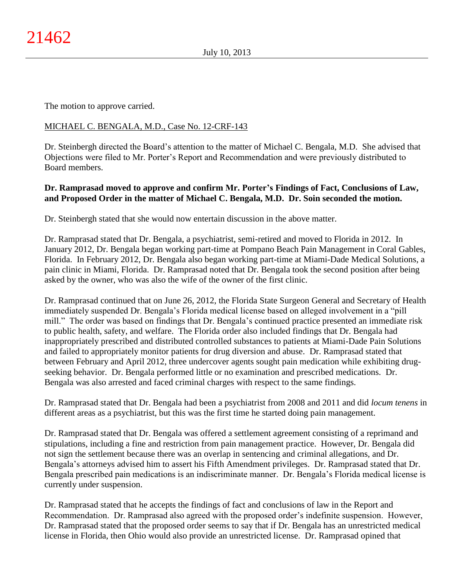The motion to approve carried.

# MICHAEL C. BENGALA, M.D., Case No. 12-CRF-143

Dr. Steinbergh directed the Board's attention to the matter of Michael C. Bengala, M.D. She advised that Objections were filed to Mr. Porter's Report and Recommendation and were previously distributed to Board members.

# **Dr. Ramprasad moved to approve and confirm Mr. Porter's Findings of Fact, Conclusions of Law, and Proposed Order in the matter of Michael C. Bengala, M.D. Dr. Soin seconded the motion.**

Dr. Steinbergh stated that she would now entertain discussion in the above matter.

Dr. Ramprasad stated that Dr. Bengala, a psychiatrist, semi-retired and moved to Florida in 2012. In January 2012, Dr. Bengala began working part-time at Pompano Beach Pain Management in Coral Gables, Florida. In February 2012, Dr. Bengala also began working part-time at Miami-Dade Medical Solutions, a pain clinic in Miami, Florida. Dr. Ramprasad noted that Dr. Bengala took the second position after being asked by the owner, who was also the wife of the owner of the first clinic.

Dr. Ramprasad continued that on June 26, 2012, the Florida State Surgeon General and Secretary of Health immediately suspended Dr. Bengala's Florida medical license based on alleged involvement in a "pill mill." The order was based on findings that Dr. Bengala's continued practice presented an immediate risk to public health, safety, and welfare. The Florida order also included findings that Dr. Bengala had inappropriately prescribed and distributed controlled substances to patients at Miami-Dade Pain Solutions and failed to appropriately monitor patients for drug diversion and abuse. Dr. Ramprasad stated that between February and April 2012, three undercover agents sought pain medication while exhibiting drugseeking behavior. Dr. Bengala performed little or no examination and prescribed medications. Dr. Bengala was also arrested and faced criminal charges with respect to the same findings.

Dr. Ramprasad stated that Dr. Bengala had been a psychiatrist from 2008 and 2011 and did *locum tenens* in different areas as a psychiatrist, but this was the first time he started doing pain management.

Dr. Ramprasad stated that Dr. Bengala was offered a settlement agreement consisting of a reprimand and stipulations, including a fine and restriction from pain management practice. However, Dr. Bengala did not sign the settlement because there was an overlap in sentencing and criminal allegations, and Dr. Bengala's attorneys advised him to assert his Fifth Amendment privileges. Dr. Ramprasad stated that Dr. Bengala prescribed pain medications is an indiscriminate manner. Dr. Bengala's Florida medical license is currently under suspension.

Dr. Ramprasad stated that he accepts the findings of fact and conclusions of law in the Report and Recommendation. Dr. Ramprasad also agreed with the proposed order's indefinite suspension. However, Dr. Ramprasad stated that the proposed order seems to say that if Dr. Bengala has an unrestricted medical license in Florida, then Ohio would also provide an unrestricted license. Dr. Ramprasad opined that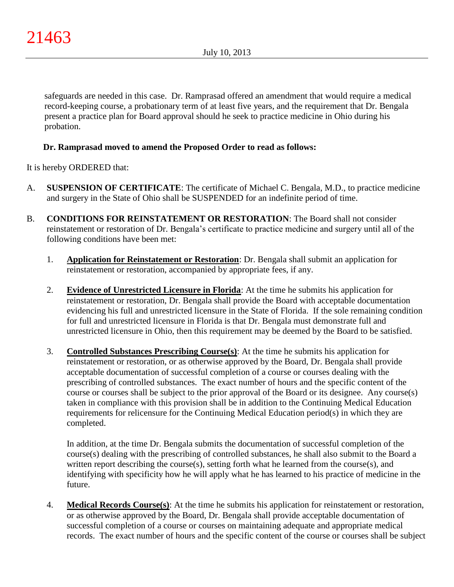safeguards are needed in this case. Dr. Ramprasad offered an amendment that would require a medical record-keeping course, a probationary term of at least five years, and the requirement that Dr. Bengala present a practice plan for Board approval should he seek to practice medicine in Ohio during his probation.

# **Dr. Ramprasad moved to amend the Proposed Order to read as follows:**

It is hereby ORDERED that:

- A. **SUSPENSION OF CERTIFICATE**: The certificate of Michael C. Bengala, M.D., to practice medicine and surgery in the State of Ohio shall be SUSPENDED for an indefinite period of time.
- B. **CONDITIONS FOR REINSTATEMENT OR RESTORATION**: The Board shall not consider reinstatement or restoration of Dr. Bengala's certificate to practice medicine and surgery until all of the following conditions have been met:
	- 1. **Application for Reinstatement or Restoration**: Dr. Bengala shall submit an application for reinstatement or restoration, accompanied by appropriate fees, if any.
	- 2. **Evidence of Unrestricted Licensure in Florida**: At the time he submits his application for reinstatement or restoration, Dr. Bengala shall provide the Board with acceptable documentation evidencing his full and unrestricted licensure in the State of Florida. If the sole remaining condition for full and unrestricted licensure in Florida is that Dr. Bengala must demonstrate full and unrestricted licensure in Ohio, then this requirement may be deemed by the Board to be satisfied.
	- 3. **Controlled Substances Prescribing Course(s)**: At the time he submits his application for reinstatement or restoration, or as otherwise approved by the Board, Dr. Bengala shall provide acceptable documentation of successful completion of a course or courses dealing with the prescribing of controlled substances. The exact number of hours and the specific content of the course or courses shall be subject to the prior approval of the Board or its designee. Any course(s) taken in compliance with this provision shall be in addition to the Continuing Medical Education requirements for relicensure for the Continuing Medical Education period(s) in which they are completed.

In addition, at the time Dr. Bengala submits the documentation of successful completion of the course(s) dealing with the prescribing of controlled substances, he shall also submit to the Board a written report describing the course(s), setting forth what he learned from the course(s), and identifying with specificity how he will apply what he has learned to his practice of medicine in the future.

4. **Medical Records Course(s)**: At the time he submits his application for reinstatement or restoration, or as otherwise approved by the Board, Dr. Bengala shall provide acceptable documentation of successful completion of a course or courses on maintaining adequate and appropriate medical records. The exact number of hours and the specific content of the course or courses shall be subject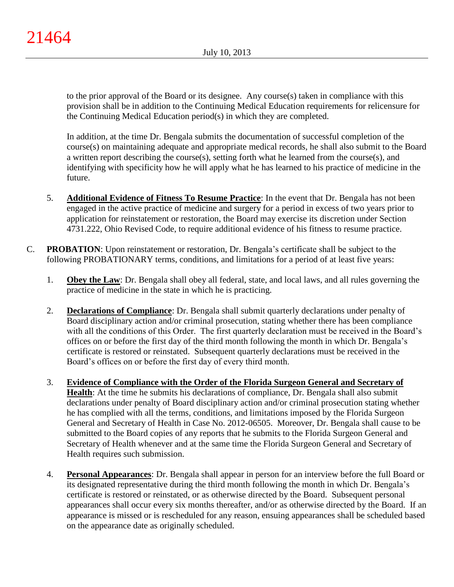to the prior approval of the Board or its designee. Any course(s) taken in compliance with this provision shall be in addition to the Continuing Medical Education requirements for relicensure for the Continuing Medical Education period(s) in which they are completed.

In addition, at the time Dr. Bengala submits the documentation of successful completion of the course(s) on maintaining adequate and appropriate medical records, he shall also submit to the Board a written report describing the course(s), setting forth what he learned from the course(s), and identifying with specificity how he will apply what he has learned to his practice of medicine in the future.

- 5. **Additional Evidence of Fitness To Resume Practice**: In the event that Dr. Bengala has not been engaged in the active practice of medicine and surgery for a period in excess of two years prior to application for reinstatement or restoration, the Board may exercise its discretion under Section 4731.222, Ohio Revised Code, to require additional evidence of his fitness to resume practice.
- C. **PROBATION**: Upon reinstatement or restoration, Dr. Bengala's certificate shall be subject to the following PROBATIONARY terms, conditions, and limitations for a period of at least five years:
	- 1. **Obey the Law**: Dr. Bengala shall obey all federal, state, and local laws, and all rules governing the practice of medicine in the state in which he is practicing.
	- 2. **Declarations of Compliance**: Dr. Bengala shall submit quarterly declarations under penalty of Board disciplinary action and/or criminal prosecution, stating whether there has been compliance with all the conditions of this Order. The first quarterly declaration must be received in the Board's offices on or before the first day of the third month following the month in which Dr. Bengala's certificate is restored or reinstated. Subsequent quarterly declarations must be received in the Board's offices on or before the first day of every third month.
	- 3. **Evidence of Compliance with the Order of the Florida Surgeon General and Secretary of Health**: At the time he submits his declarations of compliance, Dr. Bengala shall also submit declarations under penalty of Board disciplinary action and/or criminal prosecution stating whether he has complied with all the terms, conditions, and limitations imposed by the Florida Surgeon General and Secretary of Health in Case No. 2012-06505. Moreover, Dr. Bengala shall cause to be submitted to the Board copies of any reports that he submits to the Florida Surgeon General and Secretary of Health whenever and at the same time the Florida Surgeon General and Secretary of Health requires such submission.
	- 4. **Personal Appearances**: Dr. Bengala shall appear in person for an interview before the full Board or its designated representative during the third month following the month in which Dr. Bengala's certificate is restored or reinstated, or as otherwise directed by the Board. Subsequent personal appearances shall occur every six months thereafter, and/or as otherwise directed by the Board. If an appearance is missed or is rescheduled for any reason, ensuing appearances shall be scheduled based on the appearance date as originally scheduled.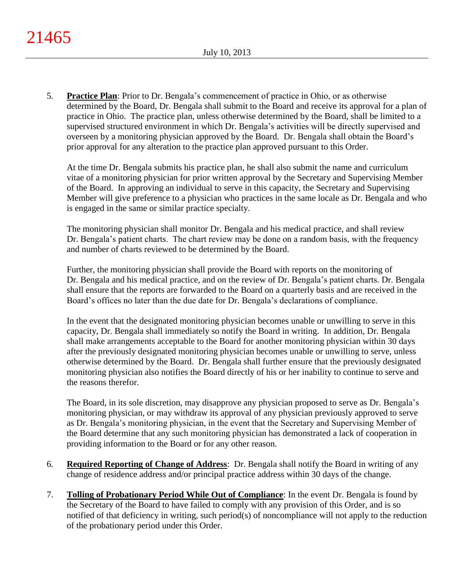5. **Practice Plan**: Prior to Dr. Bengala's commencement of practice in Ohio, or as otherwise determined by the Board, Dr. Bengala shall submit to the Board and receive its approval for a plan of practice in Ohio. The practice plan, unless otherwise determined by the Board, shall be limited to a supervised structured environment in which Dr. Bengala's activities will be directly supervised and overseen by a monitoring physician approved by the Board. Dr. Bengala shall obtain the Board's prior approval for any alteration to the practice plan approved pursuant to this Order.

At the time Dr. Bengala submits his practice plan, he shall also submit the name and curriculum vitae of a monitoring physician for prior written approval by the Secretary and Supervising Member of the Board. In approving an individual to serve in this capacity, the Secretary and Supervising Member will give preference to a physician who practices in the same locale as Dr. Bengala and who is engaged in the same or similar practice specialty.

The monitoring physician shall monitor Dr. Bengala and his medical practice, and shall review Dr. Bengala's patient charts. The chart review may be done on a random basis, with the frequency and number of charts reviewed to be determined by the Board.

Further, the monitoring physician shall provide the Board with reports on the monitoring of Dr. Bengala and his medical practice, and on the review of Dr. Bengala's patient charts. Dr. Bengala shall ensure that the reports are forwarded to the Board on a quarterly basis and are received in the Board's offices no later than the due date for Dr. Bengala's declarations of compliance.

In the event that the designated monitoring physician becomes unable or unwilling to serve in this capacity, Dr. Bengala shall immediately so notify the Board in writing. In addition, Dr. Bengala shall make arrangements acceptable to the Board for another monitoring physician within 30 days after the previously designated monitoring physician becomes unable or unwilling to serve, unless otherwise determined by the Board. Dr. Bengala shall further ensure that the previously designated monitoring physician also notifies the Board directly of his or her inability to continue to serve and the reasons therefor.

The Board, in its sole discretion, may disapprove any physician proposed to serve as Dr. Bengala's monitoring physician, or may withdraw its approval of any physician previously approved to serve as Dr. Bengala's monitoring physician, in the event that the Secretary and Supervising Member of the Board determine that any such monitoring physician has demonstrated a lack of cooperation in providing information to the Board or for any other reason.

- 6. **Required Reporting of Change of Address**: Dr. Bengala shall notify the Board in writing of any change of residence address and/or principal practice address within 30 days of the change.
- 7. **Tolling of Probationary Period While Out of Compliance**: In the event Dr. Bengala is found by the Secretary of the Board to have failed to comply with any provision of this Order, and is so notified of that deficiency in writing, such period(s) of noncompliance will not apply to the reduction of the probationary period under this Order.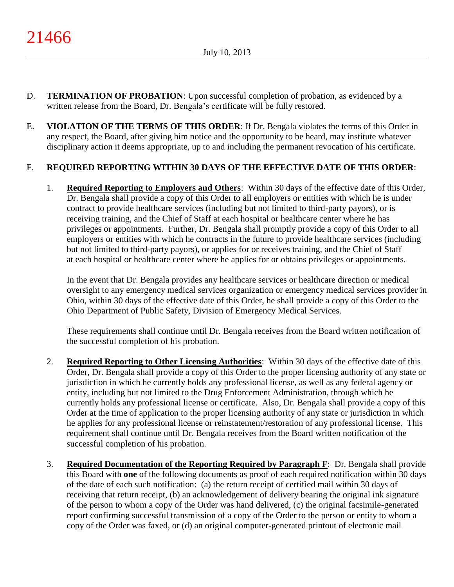- D. **TERMINATION OF PROBATION**: Upon successful completion of probation, as evidenced by a written release from the Board, Dr. Bengala's certificate will be fully restored.
- E. **VIOLATION OF THE TERMS OF THIS ORDER**: If Dr. Bengala violates the terms of this Order in any respect, the Board, after giving him notice and the opportunity to be heard, may institute whatever disciplinary action it deems appropriate, up to and including the permanent revocation of his certificate.

# F. **REQUIRED REPORTING WITHIN 30 DAYS OF THE EFFECTIVE DATE OF THIS ORDER**:

1. **Required Reporting to Employers and Others**: Within 30 days of the effective date of this Order, Dr. Bengala shall provide a copy of this Order to all employers or entities with which he is under contract to provide healthcare services (including but not limited to third-party payors), or is receiving training, and the Chief of Staff at each hospital or healthcare center where he has privileges or appointments. Further, Dr. Bengala shall promptly provide a copy of this Order to all employers or entities with which he contracts in the future to provide healthcare services (including but not limited to third-party payors), or applies for or receives training, and the Chief of Staff at each hospital or healthcare center where he applies for or obtains privileges or appointments.

In the event that Dr. Bengala provides any healthcare services or healthcare direction or medical oversight to any emergency medical services organization or emergency medical services provider in Ohio, within 30 days of the effective date of this Order, he shall provide a copy of this Order to the Ohio Department of Public Safety, Division of Emergency Medical Services.

These requirements shall continue until Dr. Bengala receives from the Board written notification of the successful completion of his probation.

- 2. **Required Reporting to Other Licensing Authorities**: Within 30 days of the effective date of this Order, Dr. Bengala shall provide a copy of this Order to the proper licensing authority of any state or jurisdiction in which he currently holds any professional license, as well as any federal agency or entity, including but not limited to the Drug Enforcement Administration, through which he currently holds any professional license or certificate. Also, Dr. Bengala shall provide a copy of this Order at the time of application to the proper licensing authority of any state or jurisdiction in which he applies for any professional license or reinstatement/restoration of any professional license. This requirement shall continue until Dr. Bengala receives from the Board written notification of the successful completion of his probation.
- 3. **Required Documentation of the Reporting Required by Paragraph F**: Dr. Bengala shall provide this Board with **one** of the following documents as proof of each required notification within 30 days of the date of each such notification: (a) the return receipt of certified mail within 30 days of receiving that return receipt, (b) an acknowledgement of delivery bearing the original ink signature of the person to whom a copy of the Order was hand delivered, (c) the original facsimile-generated report confirming successful transmission of a copy of the Order to the person or entity to whom a copy of the Order was faxed, or (d) an original computer-generated printout of electronic mail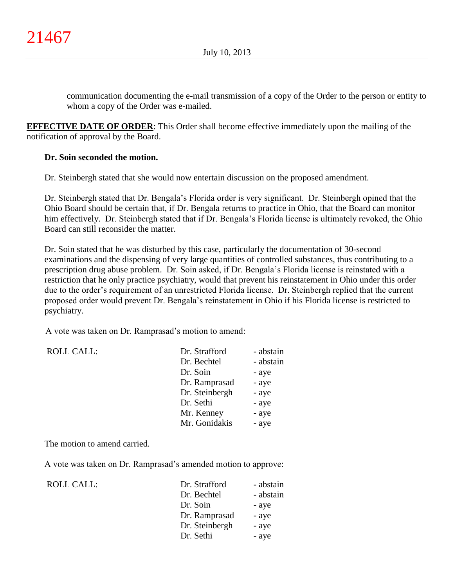communication documenting the e-mail transmission of a copy of the Order to the person or entity to whom a copy of the Order was e-mailed.

**EFFECTIVE DATE OF ORDER**: This Order shall become effective immediately upon the mailing of the notification of approval by the Board.

# **Dr. Soin seconded the motion.**

Dr. Steinbergh stated that she would now entertain discussion on the proposed amendment.

Dr. Steinbergh stated that Dr. Bengala's Florida order is very significant. Dr. Steinbergh opined that the Ohio Board should be certain that, if Dr. Bengala returns to practice in Ohio, that the Board can monitor him effectively. Dr. Steinbergh stated that if Dr. Bengala's Florida license is ultimately revoked, the Ohio Board can still reconsider the matter.

Dr. Soin stated that he was disturbed by this case, particularly the documentation of 30-second examinations and the dispensing of very large quantities of controlled substances, thus contributing to a prescription drug abuse problem. Dr. Soin asked, if Dr. Bengala's Florida license is reinstated with a restriction that he only practice psychiatry, would that prevent his reinstatement in Ohio under this order due to the order's requirement of an unrestricted Florida license. Dr. Steinbergh replied that the current proposed order would prevent Dr. Bengala's reinstatement in Ohio if his Florida license is restricted to psychiatry.

A vote was taken on Dr. Ramprasad's motion to amend:

ROLL CALL:

| <b>ROLL CALL:</b> | Dr. Strafford  | - abstain |
|-------------------|----------------|-----------|
|                   | Dr. Bechtel    | - abstain |
|                   | Dr. Soin       | - aye     |
|                   | Dr. Ramprasad  | - aye     |
|                   | Dr. Steinbergh | - aye     |
|                   | Dr. Sethi      | - aye     |
|                   | Mr. Kenney     | - aye     |
|                   | Mr. Gonidakis  | - aye     |

The motion to amend carried.

A vote was taken on Dr. Ramprasad's amended motion to approve:

| Dr. Strafford  | - abstain |
|----------------|-----------|
| Dr. Bechtel    | - abstain |
| Dr. Soin       | - aye     |
| Dr. Ramprasad  | - aye     |
| Dr. Steinbergh | - aye     |
| Dr. Sethi      | - aye     |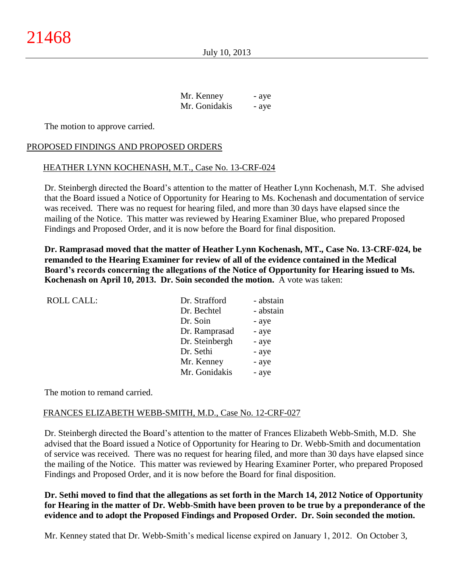| Mr. Kenney    | - aye |
|---------------|-------|
| Mr. Gonidakis | - aye |

The motion to approve carried.

# PROPOSED FINDINGS AND PROPOSED ORDERS

# HEATHER LYNN KOCHENASH, M.T., Case No. 13-CRF-024

Dr. Steinbergh directed the Board's attention to the matter of Heather Lynn Kochenash, M.T. She advised that the Board issued a Notice of Opportunity for Hearing to Ms. Kochenash and documentation of service was received. There was no request for hearing filed, and more than 30 days have elapsed since the mailing of the Notice. This matter was reviewed by Hearing Examiner Blue, who prepared Proposed Findings and Proposed Order, and it is now before the Board for final disposition.

**Dr. Ramprasad moved that the matter of Heather Lynn Kochenash, MT., Case No. 13-CRF-024, be remanded to the Hearing Examiner for review of all of the evidence contained in the Medical Board's records concerning the allegations of the Notice of Opportunity for Hearing issued to Ms. Kochenash on April 10, 2013. Dr. Soin seconded the motion.** A vote was taken:

| <b>ROLL CALL:</b> | Dr. Strafford  | - abstain |
|-------------------|----------------|-----------|
|                   | Dr. Bechtel    | - abstain |
|                   | Dr. Soin       | - aye     |
|                   | Dr. Ramprasad  | - aye     |
|                   | Dr. Steinbergh | - aye     |
|                   | Dr. Sethi      | - aye     |
|                   | Mr. Kenney     | - aye     |
|                   | Mr. Gonidakis  | - aye     |
|                   |                |           |

The motion to remand carried.

## FRANCES ELIZABETH WEBB-SMITH, M.D., Case No. 12-CRF-027

Dr. Steinbergh directed the Board's attention to the matter of Frances Elizabeth Webb-Smith, M.D. She advised that the Board issued a Notice of Opportunity for Hearing to Dr. Webb-Smith and documentation of service was received. There was no request for hearing filed, and more than 30 days have elapsed since the mailing of the Notice. This matter was reviewed by Hearing Examiner Porter, who prepared Proposed Findings and Proposed Order, and it is now before the Board for final disposition.

**Dr. Sethi moved to find that the allegations as set forth in the March 14, 2012 Notice of Opportunity for Hearing in the matter of Dr. Webb-Smith have been proven to be true by a preponderance of the evidence and to adopt the Proposed Findings and Proposed Order. Dr. Soin seconded the motion.**

Mr. Kenney stated that Dr. Webb-Smith's medical license expired on January 1, 2012. On October 3,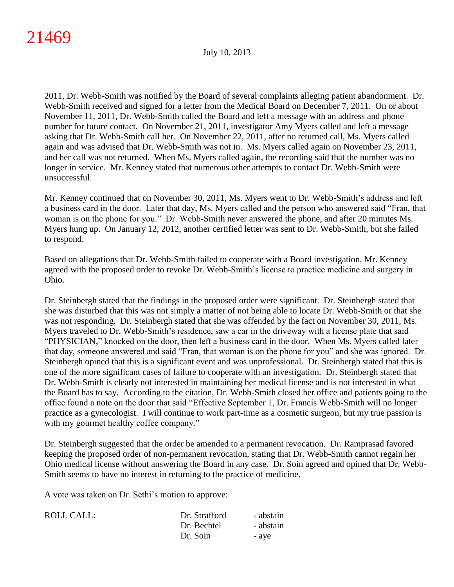2011, Dr. Webb-Smith was notified by the Board of several complaints alleging patient abandonment. Dr. Webb-Smith received and signed for a letter from the Medical Board on December 7, 2011. On or about November 11, 2011, Dr. Webb-Smith called the Board and left a message with an address and phone number for future contact. On November 21, 2011, investigator Amy Myers called and left a message asking that Dr. Webb-Smith call her. On November 22, 2011, after no returned call, Ms. Myers called again and was advised that Dr. Webb-Smith was not in. Ms. Myers called again on November 23, 2011, and her call was not returned. When Ms. Myers called again, the recording said that the number was no longer in service. Mr. Kenney stated that numerous other attempts to contact Dr. Webb-Smith were unsuccessful.

Mr. Kenney continued that on November 30, 2011, Ms. Myers went to Dr. Webb-Smith's address and left a business card in the door. Later that day, Ms. Myers called and the person who answered said "Fran, that woman is on the phone for you." Dr. Webb-Smith never answered the phone, and after 20 minutes Ms. Myers hung up. On January 12, 2012, another certified letter was sent to Dr. Webb-Smith, but she failed to respond.

Based on allegations that Dr. Webb-Smith failed to cooperate with a Board investigation, Mr. Kenney agreed with the proposed order to revoke Dr. Webb-Smith's license to practice medicine and surgery in Ohio.

Dr. Steinbergh stated that the findings in the proposed order were significant. Dr. Steinbergh stated that she was disturbed that this was not simply a matter of not being able to locate Dr. Webb-Smith or that she was not responding. Dr. Steinbergh stated that she was offended by the fact on November 30, 2011, Ms. Myers traveled to Dr. Webb-Smith's residence, saw a car in the driveway with a license plate that said "PHYSICIAN," knocked on the door, then left a business card in the door. When Ms. Myers called later that day, someone answered and said "Fran, that woman is on the phone for you" and she was ignored. Dr. Steinbergh opined that this is a significant event and was unprofessional. Dr. Steinbergh stated that this is one of the more significant cases of failure to cooperate with an investigation. Dr. Steinbergh stated that Dr. Webb-Smith is clearly not interested in maintaining her medical license and is not interested in what the Board has to say. According to the citation, Dr. Webb-Smith closed her office and patients going to the office found a note on the door that said "Effective September 1, Dr. Francis Webb-Smith will no longer practice as a gynecologist. I will continue to work part-time as a cosmetic surgeon, but my true passion is with my gourmet healthy coffee company."

Dr. Steinbergh suggested that the order be amended to a permanent revocation. Dr. Ramprasad favored keeping the proposed order of non-permanent revocation, stating that Dr. Webb-Smith cannot regain her Ohio medical license without answering the Board in any case. Dr. Soin agreed and opined that Dr. Webb-Smith seems to have no interest in returning to the practice of medicine.

A vote was taken on Dr. Sethi's motion to approve:

| <b>ROLL CALL:</b> | Dr. Strafford | - abstain |
|-------------------|---------------|-----------|
|                   | Dr. Bechtel   | - abstain |
|                   | Dr. Soin      | - ave     |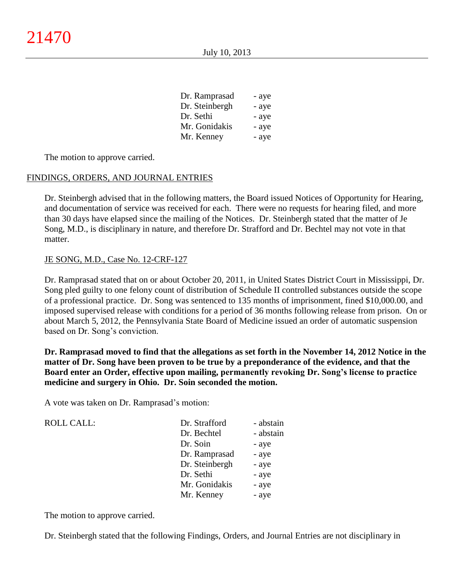| Dr. Ramprasad  | - aye |
|----------------|-------|
| Dr. Steinbergh | - aye |
| Dr. Sethi      | - aye |
| Mr. Gonidakis  | - aye |
| Mr. Kenney     | - aye |

The motion to approve carried.

#### FINDINGS, ORDERS, AND JOURNAL ENTRIES

Dr. Steinbergh advised that in the following matters, the Board issued Notices of Opportunity for Hearing, and documentation of service was received for each. There were no requests for hearing filed, and more than 30 days have elapsed since the mailing of the Notices. Dr. Steinbergh stated that the matter of Je Song, M.D., is disciplinary in nature, and therefore Dr. Strafford and Dr. Bechtel may not vote in that matter.

#### JE SONG, M.D., Case No. 12-CRF-127

Dr. Ramprasad stated that on or about October 20, 2011, in United States District Court in Mississippi, Dr. Song pled guilty to one felony count of distribution of Schedule II controlled substances outside the scope of a professional practice. Dr. Song was sentenced to 135 months of imprisonment, fined \$10,000.00, and imposed supervised release with conditions for a period of 36 months following release from prison. On or about March 5, 2012, the Pennsylvania State Board of Medicine issued an order of automatic suspension based on Dr. Song's conviction.

**Dr. Ramprasad moved to find that the allegations as set forth in the November 14, 2012 Notice in the matter of Dr. Song have been proven to be true by a preponderance of the evidence, and that the Board enter an Order, effective upon mailing, permanently revoking Dr. Song's license to practice medicine and surgery in Ohio. Dr. Soin seconded the motion.**

A vote was taken on Dr. Ramprasad's motion:

ROLL CALL:

| Dr. Strafford  | - abstain |
|----------------|-----------|
| Dr. Bechtel    | - abstain |
| Dr. Soin       | - aye     |
| Dr. Ramprasad  | - aye     |
| Dr. Steinbergh | - aye     |
| Dr. Sethi      | - aye     |
| Mr. Gonidakis  | - aye     |
| Mr. Kenney     | - aye     |

The motion to approve carried.

Dr. Steinbergh stated that the following Findings, Orders, and Journal Entries are not disciplinary in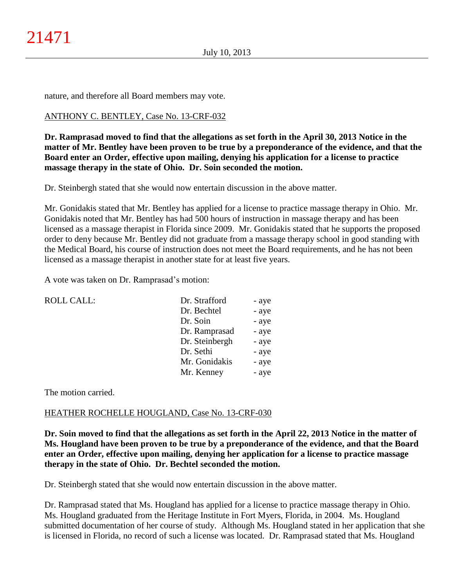nature, and therefore all Board members may vote.

# ANTHONY C. BENTLEY, Case No. 13-CRF-032

**Dr. Ramprasad moved to find that the allegations as set forth in the April 30, 2013 Notice in the matter of Mr. Bentley have been proven to be true by a preponderance of the evidence, and that the Board enter an Order, effective upon mailing, denying his application for a license to practice massage therapy in the state of Ohio. Dr. Soin seconded the motion.**

Dr. Steinbergh stated that she would now entertain discussion in the above matter.

Mr. Gonidakis stated that Mr. Bentley has applied for a license to practice massage therapy in Ohio. Mr. Gonidakis noted that Mr. Bentley has had 500 hours of instruction in massage therapy and has been licensed as a massage therapist in Florida since 2009. Mr. Gonidakis stated that he supports the proposed order to deny because Mr. Bentley did not graduate from a massage therapy school in good standing with the Medical Board, his course of instruction does not meet the Board requirements, and he has not been licensed as a massage therapist in another state for at least five years.

A vote was taken on Dr. Ramprasad's motion:

| <b>ROLL CALL:</b> | Dr. Strafford  | - aye |
|-------------------|----------------|-------|
|                   | Dr. Bechtel    | - aye |
|                   | Dr. Soin       | - aye |
|                   | Dr. Ramprasad  | - aye |
|                   | Dr. Steinbergh | - aye |
|                   | Dr. Sethi      | - aye |
|                   | Mr. Gonidakis  | - aye |
|                   | Mr. Kenney     | - aye |
|                   |                |       |

The motion carried.

#### HEATHER ROCHELLE HOUGLAND, Case No. 13-CRF-030

**Dr. Soin moved to find that the allegations as set forth in the April 22, 2013 Notice in the matter of Ms. Hougland have been proven to be true by a preponderance of the evidence, and that the Board enter an Order, effective upon mailing, denying her application for a license to practice massage therapy in the state of Ohio. Dr. Bechtel seconded the motion.**

Dr. Steinbergh stated that she would now entertain discussion in the above matter.

Dr. Ramprasad stated that Ms. Hougland has applied for a license to practice massage therapy in Ohio. Ms. Hougland graduated from the Heritage Institute in Fort Myers, Florida, in 2004. Ms. Hougland submitted documentation of her course of study. Although Ms. Hougland stated in her application that she is licensed in Florida, no record of such a license was located. Dr. Ramprasad stated that Ms. Hougland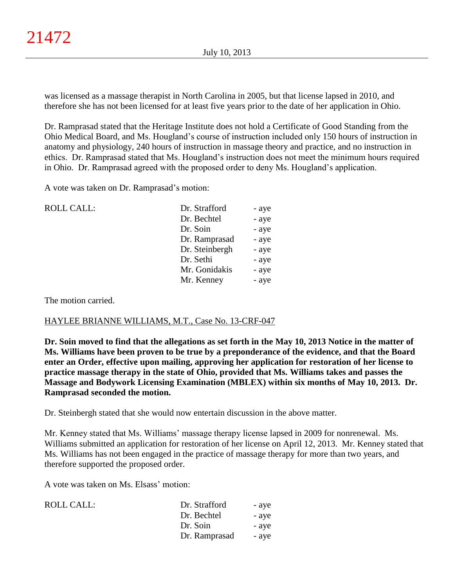was licensed as a massage therapist in North Carolina in 2005, but that license lapsed in 2010, and therefore she has not been licensed for at least five years prior to the date of her application in Ohio.

Dr. Ramprasad stated that the Heritage Institute does not hold a Certificate of Good Standing from the Ohio Medical Board, and Ms. Hougland's course of instruction included only 150 hours of instruction in anatomy and physiology, 240 hours of instruction in massage theory and practice, and no instruction in ethics. Dr. Ramprasad stated that Ms. Hougland's instruction does not meet the minimum hours required in Ohio. Dr. Ramprasad agreed with the proposed order to deny Ms. Hougland's application.

A vote was taken on Dr. Ramprasad's motion:

| <b>ROLL CALL:</b> | Dr. Strafford  | - aye |
|-------------------|----------------|-------|
|                   | Dr. Bechtel    | - aye |
|                   | Dr. Soin       | - aye |
|                   | Dr. Ramprasad  | - aye |
|                   | Dr. Steinbergh | - aye |
|                   | Dr. Sethi      | - aye |
|                   | Mr. Gonidakis  | - aye |
|                   | Mr. Kenney     | - aye |
|                   |                |       |

The motion carried.

## HAYLEE BRIANNE WILLIAMS, M.T., Case No. 13-CRF-047

**Dr. Soin moved to find that the allegations as set forth in the May 10, 2013 Notice in the matter of Ms. Williams have been proven to be true by a preponderance of the evidence, and that the Board enter an Order, effective upon mailing, approving her application for restoration of her license to practice massage therapy in the state of Ohio, provided that Ms. Williams takes and passes the Massage and Bodywork Licensing Examination (MBLEX) within six months of May 10, 2013. Dr. Ramprasad seconded the motion.**

Dr. Steinbergh stated that she would now entertain discussion in the above matter.

Mr. Kenney stated that Ms. Williams' massage therapy license lapsed in 2009 for nonrenewal. Ms. Williams submitted an application for restoration of her license on April 12, 2013. Mr. Kenney stated that Ms. Williams has not been engaged in the practice of massage therapy for more than two years, and therefore supported the proposed order.

A vote was taken on Ms. Elsass' motion:

| ROLL CALL: | Dr. Strafford | - aye |
|------------|---------------|-------|
|            | Dr. Bechtel   | - aye |
|            | Dr. Soin      | - aye |
|            | Dr. Ramprasad | - aye |
|            |               |       |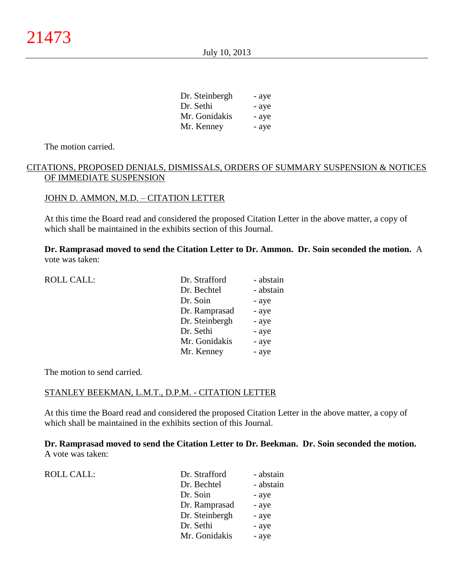| Dr. Steinbergh | - aye |
|----------------|-------|
| Dr. Sethi      | - aye |
| Mr. Gonidakis  | - aye |
| Mr. Kenney     | - aye |

The motion carried.

# CITATIONS, PROPOSED DENIALS, DISMISSALS, ORDERS OF SUMMARY SUSPENSION & NOTICES OF IMMEDIATE SUSPENSION

#### JOHN D. AMMON, M.D. – CITATION LETTER

At this time the Board read and considered the proposed Citation Letter in the above matter, a copy of which shall be maintained in the exhibits section of this Journal.

**Dr. Ramprasad moved to send the Citation Letter to Dr. Ammon. Dr. Soin seconded the motion.** A vote was taken:

| <b>ROLL CALL:</b> | Dr. Strafford  | - abstain |
|-------------------|----------------|-----------|
|                   | Dr. Bechtel    | - abstain |
|                   | Dr. Soin       | - aye     |
|                   | Dr. Ramprasad  | - aye     |
|                   | Dr. Steinbergh | - aye     |
|                   | Dr. Sethi      | - aye     |
|                   | Mr. Gonidakis  | - aye     |
|                   | Mr. Kenney     | - aye     |
|                   |                |           |

The motion to send carried.

#### STANLEY BEEKMAN, L.M.T., D.P.M. - CITATION LETTER

At this time the Board read and considered the proposed Citation Letter in the above matter, a copy of which shall be maintained in the exhibits section of this Journal.

**Dr. Ramprasad moved to send the Citation Letter to Dr. Beekman. Dr. Soin seconded the motion.** A vote was taken:

| <b>ROLL CALL:</b> | Dr. Strafford  | - abstain |
|-------------------|----------------|-----------|
|                   | Dr. Bechtel    | - abstain |
|                   | Dr. Soin       | - aye     |
|                   | Dr. Ramprasad  | - aye     |
|                   | Dr. Steinbergh | - aye     |
|                   | Dr. Sethi      | - aye     |
|                   | Mr. Gonidakis  | - aye     |
|                   |                |           |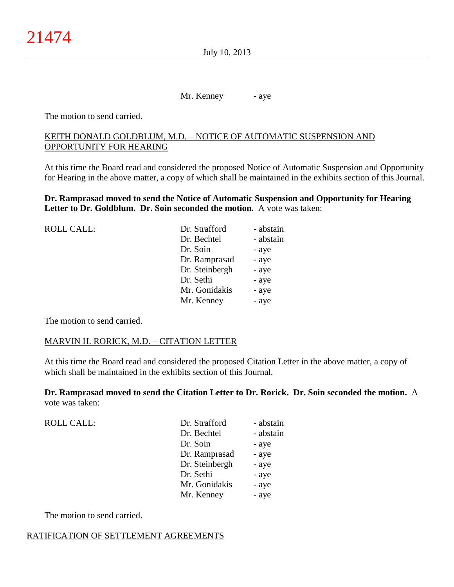July 10, 2013

Mr. Kenney - aye

The motion to send carried.

# KEITH DONALD GOLDBLUM, M.D. – NOTICE OF AUTOMATIC SUSPENSION AND OPPORTUNITY FOR HEARING

At this time the Board read and considered the proposed Notice of Automatic Suspension and Opportunity for Hearing in the above matter, a copy of which shall be maintained in the exhibits section of this Journal.

**Dr. Ramprasad moved to send the Notice of Automatic Suspension and Opportunity for Hearing Letter to Dr. Goldblum. Dr. Soin seconded the motion.** A vote was taken:

| <b>ROLL CALL:</b> | Dr. Strafford  | - abstain |
|-------------------|----------------|-----------|
|                   | Dr. Bechtel    | - abstain |
|                   | Dr. Soin       | - aye     |
|                   | Dr. Ramprasad  | - aye     |
|                   | Dr. Steinbergh | - aye     |
|                   | Dr. Sethi      | - aye     |
|                   | Mr. Gonidakis  | - aye     |
|                   | Mr. Kenney     | - aye     |
|                   |                |           |

The motion to send carried.

#### MARVIN H. RORICK, M.D. – CITATION LETTER

At this time the Board read and considered the proposed Citation Letter in the above matter, a copy of which shall be maintained in the exhibits section of this Journal.

**Dr. Ramprasad moved to send the Citation Letter to Dr. Rorick. Dr. Soin seconded the motion.** A vote was taken:

| ROLL CALL: | Dr. Strafford  | - abstain |
|------------|----------------|-----------|
|            | Dr. Bechtel    | - abstain |
|            | Dr. Soin       | - aye     |
|            | Dr. Ramprasad  | - aye     |
|            | Dr. Steinbergh | - aye     |
|            | Dr. Sethi      | - aye     |
|            | Mr. Gonidakis  | - aye     |
|            | Mr. Kenney     | - aye     |
|            |                |           |

The motion to send carried.

## RATIFICATION OF SETTLEMENT AGREEMENTS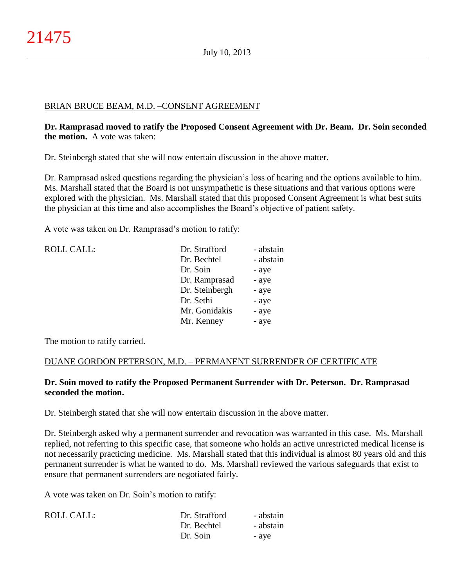# BRIAN BRUCE BEAM, M.D. –CONSENT AGREEMENT

# **Dr. Ramprasad moved to ratify the Proposed Consent Agreement with Dr. Beam. Dr. Soin seconded the motion.** A vote was taken:

Dr. Steinbergh stated that she will now entertain discussion in the above matter.

Dr. Ramprasad asked questions regarding the physician's loss of hearing and the options available to him. Ms. Marshall stated that the Board is not unsympathetic is these situations and that various options were explored with the physician. Ms. Marshall stated that this proposed Consent Agreement is what best suits the physician at this time and also accomplishes the Board's objective of patient safety.

A vote was taken on Dr. Ramprasad's motion to ratify:

| <b>ROLL CALL:</b> | Dr. Strafford  | - abstain |
|-------------------|----------------|-----------|
|                   | Dr. Bechtel    | - abstain |
|                   | Dr. Soin       | - aye     |
|                   | Dr. Ramprasad  | - aye     |
|                   | Dr. Steinbergh | - aye     |
|                   | Dr. Sethi      | - aye     |
|                   | Mr. Gonidakis  | - aye     |
|                   | Mr. Kenney     | - aye     |
|                   |                |           |

The motion to ratify carried.

## DUANE GORDON PETERSON, M.D. – PERMANENT SURRENDER OF CERTIFICATE

# **Dr. Soin moved to ratify the Proposed Permanent Surrender with Dr. Peterson. Dr. Ramprasad seconded the motion.**

Dr. Steinbergh stated that she will now entertain discussion in the above matter.

Dr. Steinbergh asked why a permanent surrender and revocation was warranted in this case. Ms. Marshall replied, not referring to this specific case, that someone who holds an active unrestricted medical license is not necessarily practicing medicine. Ms. Marshall stated that this individual is almost 80 years old and this permanent surrender is what he wanted to do. Ms. Marshall reviewed the various safeguards that exist to ensure that permanent surrenders are negotiated fairly.

A vote was taken on Dr. Soin's motion to ratify:

| ROLL CALL: | Dr. Strafford | - abstain |
|------------|---------------|-----------|
|            | Dr. Bechtel   | - abstain |
|            | Dr. Soin      | - ave     |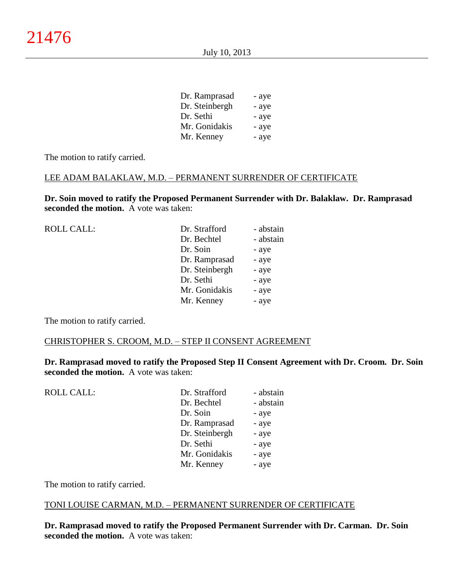| Dr. Ramprasad  | - aye |
|----------------|-------|
| Dr. Steinbergh | - aye |
| Dr. Sethi      | - aye |
| Mr. Gonidakis  | - aye |
| Mr. Kenney     | - aye |
|                |       |

The motion to ratify carried.

#### LEE ADAM BALAKLAW, M.D. – PERMANENT SURRENDER OF CERTIFICATE

**Dr. Soin moved to ratify the Proposed Permanent Surrender with Dr. Balaklaw. Dr. Ramprasad seconded the motion.** A vote was taken:

| <b>ROLL CALL:</b> | Dr. Strafford  | - abstain |
|-------------------|----------------|-----------|
|                   | Dr. Bechtel    | - abstain |
|                   | Dr. Soin       | - aye     |
|                   | Dr. Ramprasad  | - aye     |
|                   | Dr. Steinbergh | - aye     |
|                   | Dr. Sethi      | - aye     |
|                   | Mr. Gonidakis  | - aye     |
|                   | Mr. Kenney     | - aye     |
|                   |                |           |

The motion to ratify carried.

#### CHRISTOPHER S. CROOM, M.D. – STEP II CONSENT AGREEMENT

**Dr. Ramprasad moved to ratify the Proposed Step II Consent Agreement with Dr. Croom. Dr. Soin seconded the motion.** A vote was taken:

| <b>ROLL CALL:</b> | Dr. Strafford  | - abstain |
|-------------------|----------------|-----------|
|                   | Dr. Bechtel    | - abstain |
|                   | Dr. Soin       | - aye     |
|                   | Dr. Ramprasad  | - aye     |
|                   | Dr. Steinbergh | - aye     |
|                   | Dr. Sethi      | - aye     |
|                   | Mr. Gonidakis  | - aye     |
|                   | Mr. Kenney     | - aye     |
|                   |                |           |

The motion to ratify carried.

#### TONI LOUISE CARMAN, M.D. – PERMANENT SURRENDER OF CERTIFICATE

**Dr. Ramprasad moved to ratify the Proposed Permanent Surrender with Dr. Carman. Dr. Soin seconded the motion.** A vote was taken: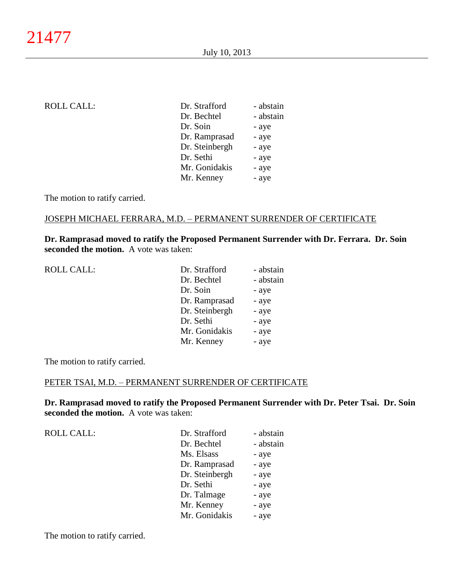| <b>ROLL CALL:</b> | Dr. Strafford  | - abstain |
|-------------------|----------------|-----------|
|                   | Dr. Bechtel    | - abstain |
|                   | Dr. Soin       | - aye     |
|                   | Dr. Ramprasad  | - aye     |
|                   | Dr. Steinbergh | - aye     |
|                   | Dr. Sethi      | - aye     |
|                   | Mr. Gonidakis  | - aye     |
|                   | Mr. Kenney     | - aye     |
|                   |                |           |

The motion to ratify carried.

#### JOSEPH MICHAEL FERRARA, M.D. – PERMANENT SURRENDER OF CERTIFICATE

# **Dr. Ramprasad moved to ratify the Proposed Permanent Surrender with Dr. Ferrara. Dr. Soin seconded the motion.** A vote was taken:

| <b>ROLL CALL:</b> | Dr. Strafford  | - abstain |
|-------------------|----------------|-----------|
|                   | Dr. Bechtel    | - abstain |
|                   | Dr. Soin       | - aye     |
|                   | Dr. Ramprasad  | - aye     |
|                   | Dr. Steinbergh | - aye     |
|                   | Dr. Sethi      | - aye     |
|                   | Mr. Gonidakis  | - aye     |
|                   | Mr. Kenney     | - aye     |

The motion to ratify carried.

#### PETER TSAI, M.D. – PERMANENT SURRENDER OF CERTIFICATE

**Dr. Ramprasad moved to ratify the Proposed Permanent Surrender with Dr. Peter Tsai. Dr. Soin seconded the motion.** A vote was taken:

| Dr. Strafford  | - abstain |
|----------------|-----------|
| Dr. Bechtel    | - abstain |
| Ms. Elsass     | - aye     |
| Dr. Ramprasad  | - aye     |
| Dr. Steinbergh | - aye     |
| Dr. Sethi      | - aye     |
| Dr. Talmage    | - aye     |
| Mr. Kenney     | - aye     |
| Mr. Gonidakis  | - aye     |
|                |           |

The motion to ratify carried.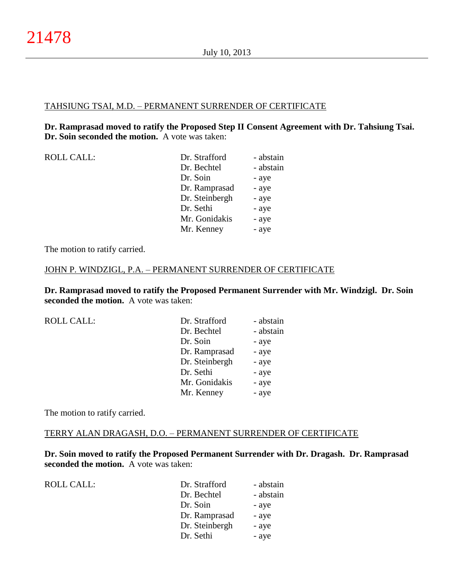## TAHSIUNG TSAI, M.D. – PERMANENT SURRENDER OF CERTIFICATE

# **Dr. Ramprasad moved to ratify the Proposed Step II Consent Agreement with Dr. Tahsiung Tsai. Dr. Soin seconded the motion.** A vote was taken:

| <b>ROLL CALL:</b> | Dr. Strafford  | - abstain |
|-------------------|----------------|-----------|
|                   | Dr. Bechtel    | - abstain |
|                   | Dr. Soin       | - aye     |
|                   | Dr. Ramprasad  | - aye     |
|                   | Dr. Steinbergh | - aye     |
|                   | Dr. Sethi      | - aye     |
|                   | Mr. Gonidakis  | - aye     |
|                   | Mr. Kenney     | - aye     |
|                   |                |           |

The motion to ratify carried.

#### JOHN P. WINDZIGL, P.A. – PERMANENT SURRENDER OF CERTIFICATE

**Dr. Ramprasad moved to ratify the Proposed Permanent Surrender with Mr. Windzigl. Dr. Soin seconded the motion.** A vote was taken:

| <b>ROLL CALL:</b> | Dr. Strafford  | - abstain |
|-------------------|----------------|-----------|
|                   | Dr. Bechtel    | - abstain |
|                   | Dr. Soin       | - aye     |
|                   | Dr. Ramprasad  | - aye     |
|                   | Dr. Steinbergh | - aye     |
|                   | Dr. Sethi      | - aye     |
|                   | Mr. Gonidakis  | - aye     |
|                   | Mr. Kenney     | - aye     |
|                   |                |           |

The motion to ratify carried.

#### TERRY ALAN DRAGASH, D.O. – PERMANENT SURRENDER OF CERTIFICATE

**Dr. Soin moved to ratify the Proposed Permanent Surrender with Dr. Dragash. Dr. Ramprasad seconded the motion.** A vote was taken:

| <b>ROLL CALL:</b> |  |
|-------------------|--|
|-------------------|--|

| Dr. Strafford  | - abstain |
|----------------|-----------|
| Dr. Bechtel    | - abstain |
| Dr. Soin       | - aye     |
| Dr. Ramprasad  | - aye     |
| Dr. Steinbergh | - aye     |
| Dr. Sethi      | - aye     |
|                |           |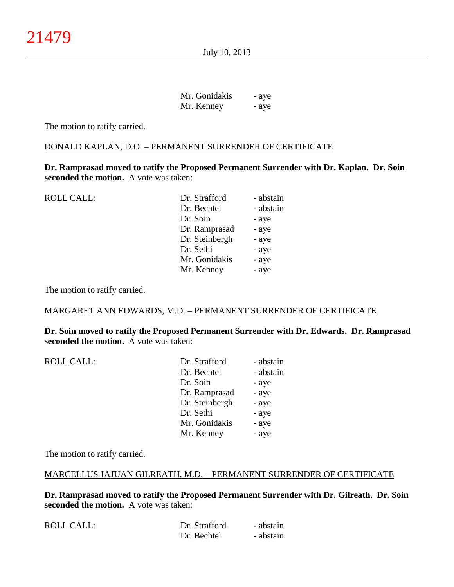July 10, 2013

| Mr. Gonidakis | - aye |
|---------------|-------|
| Mr. Kenney    | - aye |

The motion to ratify carried.

#### DONALD KAPLAN, D.O. – PERMANENT SURRENDER OF CERTIFICATE

**Dr. Ramprasad moved to ratify the Proposed Permanent Surrender with Dr. Kaplan. Dr. Soin seconded the motion.** A vote was taken:

| Dr. Strafford  | - abstain |
|----------------|-----------|
| Dr. Bechtel    | - abstain |
| Dr. Soin       | - aye     |
| Dr. Ramprasad  | - aye     |
| Dr. Steinbergh | - aye     |
| Dr. Sethi      | - aye     |
| Mr. Gonidakis  | - aye     |
| Mr. Kenney     | - aye     |
|                |           |

The motion to ratify carried.

#### MARGARET ANN EDWARDS, M.D. – PERMANENT SURRENDER OF CERTIFICATE

**Dr. Soin moved to ratify the Proposed Permanent Surrender with Dr. Edwards. Dr. Ramprasad seconded the motion.** A vote was taken:

| ROLL CALL: | Dr. Strafford | - abstain |
|------------|---------------|-----------|
|            | Dr. Bechtel   | - abstain |
|            | Dr. Soin      | - aye     |
|            | Dr. Ramprasad | - ave     |

| Dr. Strafford  | - abstain |
|----------------|-----------|
| Dr. Bechtel    | - abstain |
| Dr. Soin       | - aye     |
| Dr. Ramprasad  | - aye     |
| Dr. Steinbergh | - aye     |
| Dr. Sethi      | - aye     |
| Mr. Gonidakis  | - aye     |
| Mr. Kenney     | - aye     |
|                |           |

The motion to ratify carried.

# MARCELLUS JAJUAN GILREATH, M.D. – PERMANENT SURRENDER OF CERTIFICATE

**Dr. Ramprasad moved to ratify the Proposed Permanent Surrender with Dr. Gilreath. Dr. Soin seconded the motion.** A vote was taken:

| ROLL CALL: | Dr. Strafford | - abstain |
|------------|---------------|-----------|
|            | Dr. Bechtel   | - abstain |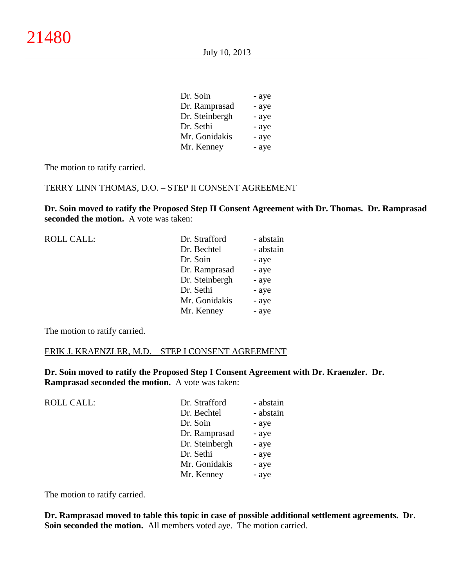| Dr. Soin       | - aye |
|----------------|-------|
| Dr. Ramprasad  | - aye |
| Dr. Steinbergh | - aye |
| Dr. Sethi      | - aye |
| Mr. Gonidakis  | - aye |
| Mr. Kenney     | - aye |
|                |       |

The motion to ratify carried.

#### TERRY LINN THOMAS, D.O. – STEP II CONSENT AGREEMENT

**Dr. Soin moved to ratify the Proposed Step II Consent Agreement with Dr. Thomas. Dr. Ramprasad seconded the motion.** A vote was taken:

| <b>ROLL CALL:</b> | Dr. Strafford  | - abstain |
|-------------------|----------------|-----------|
|                   | Dr. Bechtel    | - abstain |
|                   | Dr. Soin       | - aye     |
|                   | Dr. Ramprasad  | - aye     |
|                   | Dr. Steinbergh | - aye     |
|                   | Dr. Sethi      | - aye     |
|                   | Mr. Gonidakis  | - aye     |
|                   | Mr. Kenney     | - aye     |
|                   |                |           |

The motion to ratify carried.

#### ERIK J. KRAENZLER, M.D. – STEP I CONSENT AGREEMENT

**Dr. Soin moved to ratify the Proposed Step I Consent Agreement with Dr. Kraenzler. Dr. Ramprasad seconded the motion.** A vote was taken:

| <b>ROLL CALL:</b> | Dr. Strafford  | - abstain |
|-------------------|----------------|-----------|
|                   | Dr. Bechtel    | - abstain |
|                   | Dr. Soin       | - aye     |
|                   | Dr. Ramprasad  | - aye     |
|                   | Dr. Steinbergh | - aye     |
|                   | Dr. Sethi      | - aye     |
|                   | Mr. Gonidakis  | - aye     |
|                   | Mr. Kenney     | - aye     |
|                   |                |           |

The motion to ratify carried.

**Dr. Ramprasad moved to table this topic in case of possible additional settlement agreements. Dr. Soin seconded the motion.** All members voted aye. The motion carried.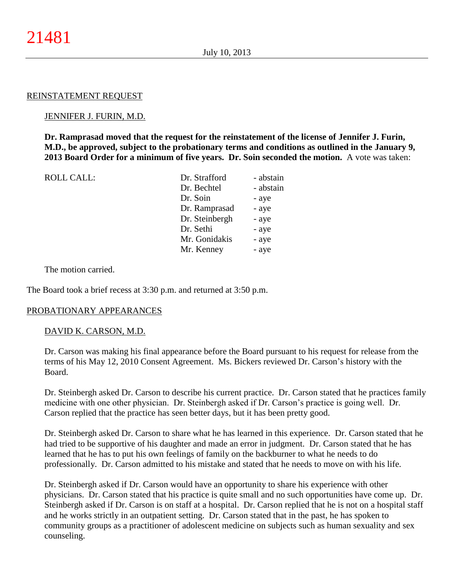#### REINSTATEMENT REQUEST

#### JENNIFER J. FURIN, M.D.

**Dr. Ramprasad moved that the request for the reinstatement of the license of Jennifer J. Furin, M.D., be approved, subject to the probationary terms and conditions as outlined in the January 9, 2013 Board Order for a minimum of five years. Dr. Soin seconded the motion.** A vote was taken:

| <b>ROLL CALL:</b> | Dr. Strafford  | - abstain |
|-------------------|----------------|-----------|
|                   | Dr. Bechtel    | - abstain |
|                   | Dr. Soin       | - aye     |
|                   | Dr. Ramprasad  | - aye     |
|                   | Dr. Steinbergh | - aye     |
|                   | Dr. Sethi      | - aye     |
|                   | Mr. Gonidakis  | - aye     |
|                   | Mr. Kenney     | - aye     |
|                   |                |           |

The motion carried.

The Board took a brief recess at 3:30 p.m. and returned at 3:50 p.m.

#### PROBATIONARY APPEARANCES

#### DAVID K. CARSON, M.D.

Dr. Carson was making his final appearance before the Board pursuant to his request for release from the terms of his May 12, 2010 Consent Agreement. Ms. Bickers reviewed Dr. Carson's history with the Board.

Dr. Steinbergh asked Dr. Carson to describe his current practice. Dr. Carson stated that he practices family medicine with one other physician. Dr. Steinbergh asked if Dr. Carson's practice is going well. Dr. Carson replied that the practice has seen better days, but it has been pretty good.

Dr. Steinbergh asked Dr. Carson to share what he has learned in this experience. Dr. Carson stated that he had tried to be supportive of his daughter and made an error in judgment. Dr. Carson stated that he has learned that he has to put his own feelings of family on the backburner to what he needs to do professionally. Dr. Carson admitted to his mistake and stated that he needs to move on with his life.

Dr. Steinbergh asked if Dr. Carson would have an opportunity to share his experience with other physicians. Dr. Carson stated that his practice is quite small and no such opportunities have come up. Dr. Steinbergh asked if Dr. Carson is on staff at a hospital. Dr. Carson replied that he is not on a hospital staff and he works strictly in an outpatient setting. Dr. Carson stated that in the past, he has spoken to community groups as a practitioner of adolescent medicine on subjects such as human sexuality and sex counseling.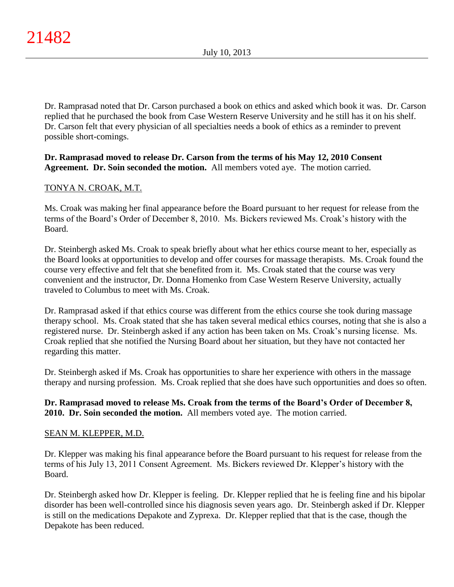Dr. Ramprasad noted that Dr. Carson purchased a book on ethics and asked which book it was. Dr. Carson replied that he purchased the book from Case Western Reserve University and he still has it on his shelf. Dr. Carson felt that every physician of all specialties needs a book of ethics as a reminder to prevent possible short-comings.

# **Dr. Ramprasad moved to release Dr. Carson from the terms of his May 12, 2010 Consent Agreement. Dr. Soin seconded the motion.** All members voted aye. The motion carried.

# TONYA N. CROAK, M.T.

Ms. Croak was making her final appearance before the Board pursuant to her request for release from the terms of the Board's Order of December 8, 2010. Ms. Bickers reviewed Ms. Croak's history with the Board.

Dr. Steinbergh asked Ms. Croak to speak briefly about what her ethics course meant to her, especially as the Board looks at opportunities to develop and offer courses for massage therapists. Ms. Croak found the course very effective and felt that she benefited from it. Ms. Croak stated that the course was very convenient and the instructor, Dr. Donna Homenko from Case Western Reserve University, actually traveled to Columbus to meet with Ms. Croak.

Dr. Ramprasad asked if that ethics course was different from the ethics course she took during massage therapy school. Ms. Croak stated that she has taken several medical ethics courses, noting that she is also a registered nurse. Dr. Steinbergh asked if any action has been taken on Ms. Croak's nursing license. Ms. Croak replied that she notified the Nursing Board about her situation, but they have not contacted her regarding this matter.

Dr. Steinbergh asked if Ms. Croak has opportunities to share her experience with others in the massage therapy and nursing profession. Ms. Croak replied that she does have such opportunities and does so often.

# **Dr. Ramprasad moved to release Ms. Croak from the terms of the Board's Order of December 8, 2010. Dr. Soin seconded the motion.** All members voted aye. The motion carried.

# SEAN M. KLEPPER, M.D.

Dr. Klepper was making his final appearance before the Board pursuant to his request for release from the terms of his July 13, 2011 Consent Agreement. Ms. Bickers reviewed Dr. Klepper's history with the Board.

Dr. Steinbergh asked how Dr. Klepper is feeling. Dr. Klepper replied that he is feeling fine and his bipolar disorder has been well-controlled since his diagnosis seven years ago. Dr. Steinbergh asked if Dr. Klepper is still on the medications Depakote and Zyprexa. Dr. Klepper replied that that is the case, though the Depakote has been reduced.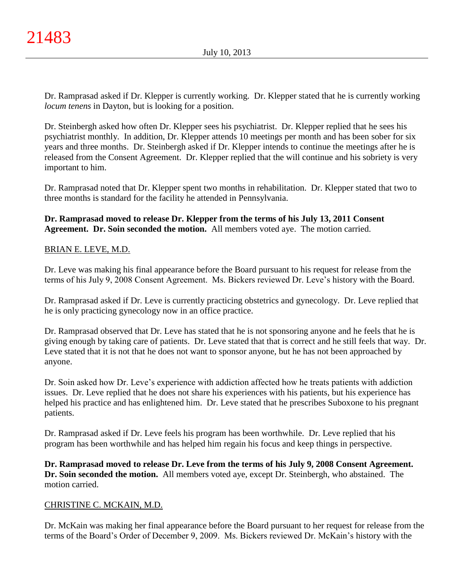Dr. Ramprasad asked if Dr. Klepper is currently working. Dr. Klepper stated that he is currently working *locum tenens* in Dayton, but is looking for a position.

Dr. Steinbergh asked how often Dr. Klepper sees his psychiatrist. Dr. Klepper replied that he sees his psychiatrist monthly. In addition, Dr. Klepper attends 10 meetings per month and has been sober for six years and three months. Dr. Steinbergh asked if Dr. Klepper intends to continue the meetings after he is released from the Consent Agreement. Dr. Klepper replied that the will continue and his sobriety is very important to him.

Dr. Ramprasad noted that Dr. Klepper spent two months in rehabilitation. Dr. Klepper stated that two to three months is standard for the facility he attended in Pennsylvania.

**Dr. Ramprasad moved to release Dr. Klepper from the terms of his July 13, 2011 Consent Agreement. Dr. Soin seconded the motion.** All members voted aye. The motion carried.

# BRIAN E. LEVE, M.D.

Dr. Leve was making his final appearance before the Board pursuant to his request for release from the terms of his July 9, 2008 Consent Agreement. Ms. Bickers reviewed Dr. Leve's history with the Board.

Dr. Ramprasad asked if Dr. Leve is currently practicing obstetrics and gynecology. Dr. Leve replied that he is only practicing gynecology now in an office practice.

Dr. Ramprasad observed that Dr. Leve has stated that he is not sponsoring anyone and he feels that he is giving enough by taking care of patients. Dr. Leve stated that that is correct and he still feels that way. Dr. Leve stated that it is not that he does not want to sponsor anyone, but he has not been approached by anyone.

Dr. Soin asked how Dr. Leve's experience with addiction affected how he treats patients with addiction issues. Dr. Leve replied that he does not share his experiences with his patients, but his experience has helped his practice and has enlightened him. Dr. Leve stated that he prescribes Suboxone to his pregnant patients.

Dr. Ramprasad asked if Dr. Leve feels his program has been worthwhile. Dr. Leve replied that his program has been worthwhile and has helped him regain his focus and keep things in perspective.

**Dr. Ramprasad moved to release Dr. Leve from the terms of his July 9, 2008 Consent Agreement. Dr. Soin seconded the motion.** All members voted aye, except Dr. Steinbergh, who abstained. The motion carried.

## CHRISTINE C. MCKAIN, M.D.

Dr. McKain was making her final appearance before the Board pursuant to her request for release from the terms of the Board's Order of December 9, 2009. Ms. Bickers reviewed Dr. McKain's history with the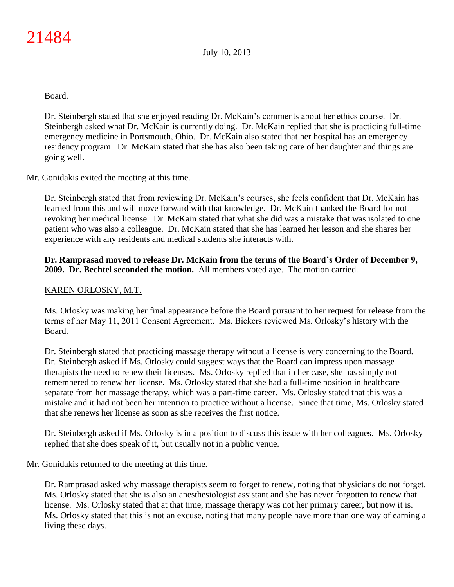Board.

Dr. Steinbergh stated that she enjoyed reading Dr. McKain's comments about her ethics course. Dr. Steinbergh asked what Dr. McKain is currently doing. Dr. McKain replied that she is practicing full-time emergency medicine in Portsmouth, Ohio. Dr. McKain also stated that her hospital has an emergency residency program. Dr. McKain stated that she has also been taking care of her daughter and things are going well.

Mr. Gonidakis exited the meeting at this time.

Dr. Steinbergh stated that from reviewing Dr. McKain's courses, she feels confident that Dr. McKain has learned from this and will move forward with that knowledge. Dr. McKain thanked the Board for not revoking her medical license. Dr. McKain stated that what she did was a mistake that was isolated to one patient who was also a colleague. Dr. McKain stated that she has learned her lesson and she shares her experience with any residents and medical students she interacts with.

# **Dr. Ramprasad moved to release Dr. McKain from the terms of the Board's Order of December 9, 2009. Dr. Bechtel seconded the motion.** All members voted aye. The motion carried.

# KAREN ORLOSKY, M.T.

Ms. Orlosky was making her final appearance before the Board pursuant to her request for release from the terms of her May 11, 2011 Consent Agreement. Ms. Bickers reviewed Ms. Orlosky's history with the Board.

Dr. Steinbergh stated that practicing massage therapy without a license is very concerning to the Board. Dr. Steinbergh asked if Ms. Orlosky could suggest ways that the Board can impress upon massage therapists the need to renew their licenses. Ms. Orlosky replied that in her case, she has simply not remembered to renew her license. Ms. Orlosky stated that she had a full-time position in healthcare separate from her massage therapy, which was a part-time career. Ms. Orlosky stated that this was a mistake and it had not been her intention to practice without a license. Since that time, Ms. Orlosky stated that she renews her license as soon as she receives the first notice.

Dr. Steinbergh asked if Ms. Orlosky is in a position to discuss this issue with her colleagues. Ms. Orlosky replied that she does speak of it, but usually not in a public venue.

Mr. Gonidakis returned to the meeting at this time.

Dr. Ramprasad asked why massage therapists seem to forget to renew, noting that physicians do not forget. Ms. Orlosky stated that she is also an anesthesiologist assistant and she has never forgotten to renew that license. Ms. Orlosky stated that at that time, massage therapy was not her primary career, but now it is. Ms. Orlosky stated that this is not an excuse, noting that many people have more than one way of earning a living these days.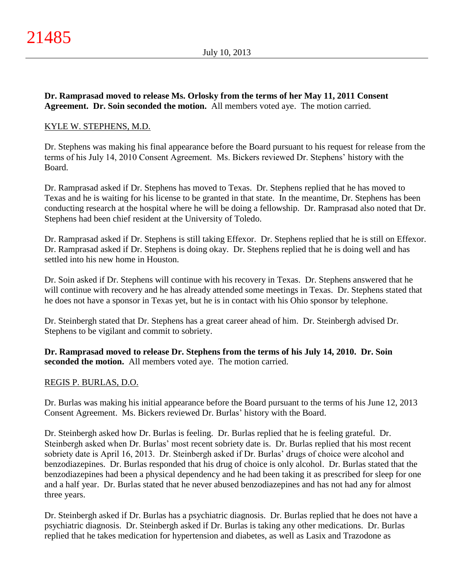# **Dr. Ramprasad moved to release Ms. Orlosky from the terms of her May 11, 2011 Consent Agreement. Dr. Soin seconded the motion.** All members voted aye. The motion carried.

# KYLE W. STEPHENS, M.D.

Dr. Stephens was making his final appearance before the Board pursuant to his request for release from the terms of his July 14, 2010 Consent Agreement. Ms. Bickers reviewed Dr. Stephens' history with the Board.

Dr. Ramprasad asked if Dr. Stephens has moved to Texas. Dr. Stephens replied that he has moved to Texas and he is waiting for his license to be granted in that state. In the meantime, Dr. Stephens has been conducting research at the hospital where he will be doing a fellowship. Dr. Ramprasad also noted that Dr. Stephens had been chief resident at the University of Toledo.

Dr. Ramprasad asked if Dr. Stephens is still taking Effexor. Dr. Stephens replied that he is still on Effexor. Dr. Ramprasad asked if Dr. Stephens is doing okay. Dr. Stephens replied that he is doing well and has settled into his new home in Houston.

Dr. Soin asked if Dr. Stephens will continue with his recovery in Texas. Dr. Stephens answered that he will continue with recovery and he has already attended some meetings in Texas. Dr. Stephens stated that he does not have a sponsor in Texas yet, but he is in contact with his Ohio sponsor by telephone.

Dr. Steinbergh stated that Dr. Stephens has a great career ahead of him. Dr. Steinbergh advised Dr. Stephens to be vigilant and commit to sobriety.

**Dr. Ramprasad moved to release Dr. Stephens from the terms of his July 14, 2010. Dr. Soin seconded the motion.** All members voted aye. The motion carried.

# REGIS P. BURLAS, D.O.

Dr. Burlas was making his initial appearance before the Board pursuant to the terms of his June 12, 2013 Consent Agreement. Ms. Bickers reviewed Dr. Burlas' history with the Board.

Dr. Steinbergh asked how Dr. Burlas is feeling. Dr. Burlas replied that he is feeling grateful. Dr. Steinbergh asked when Dr. Burlas' most recent sobriety date is. Dr. Burlas replied that his most recent sobriety date is April 16, 2013. Dr. Steinbergh asked if Dr. Burlas' drugs of choice were alcohol and benzodiazepines. Dr. Burlas responded that his drug of choice is only alcohol. Dr. Burlas stated that the benzodiazepines had been a physical dependency and he had been taking it as prescribed for sleep for one and a half year. Dr. Burlas stated that he never abused benzodiazepines and has not had any for almost three years.

Dr. Steinbergh asked if Dr. Burlas has a psychiatric diagnosis. Dr. Burlas replied that he does not have a psychiatric diagnosis. Dr. Steinbergh asked if Dr. Burlas is taking any other medications. Dr. Burlas replied that he takes medication for hypertension and diabetes, as well as Lasix and Trazodone as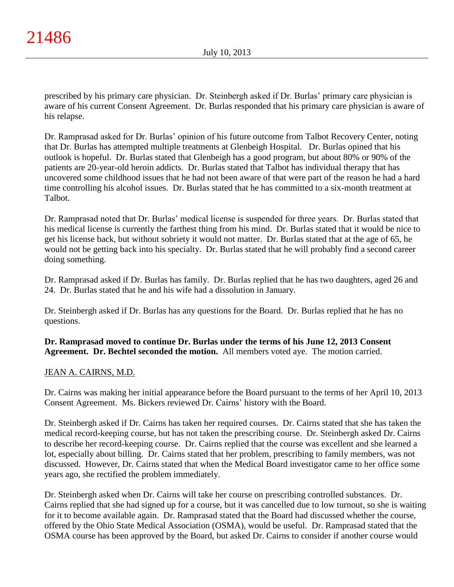prescribed by his primary care physician. Dr. Steinbergh asked if Dr. Burlas' primary care physician is aware of his current Consent Agreement. Dr. Burlas responded that his primary care physician is aware of his relapse.

Dr. Ramprasad asked for Dr. Burlas' opinion of his future outcome from Talbot Recovery Center, noting that Dr. Burlas has attempted multiple treatments at Glenbeigh Hospital. Dr. Burlas opined that his outlook is hopeful. Dr. Burlas stated that Glenbeigh has a good program, but about 80% or 90% of the patients are 20-year-old heroin addicts. Dr. Burlas stated that Talbot has individual therapy that has uncovered some childhood issues that he had not been aware of that were part of the reason he had a hard time controlling his alcohol issues. Dr. Burlas stated that he has committed to a six-month treatment at Talbot.

Dr. Ramprasad noted that Dr. Burlas' medical license is suspended for three years. Dr. Burlas stated that his medical license is currently the farthest thing from his mind. Dr. Burlas stated that it would be nice to get his license back, but without sobriety it would not matter. Dr. Burlas stated that at the age of 65, he would not be getting back into his specialty. Dr. Burlas stated that he will probably find a second career doing something.

Dr. Ramprasad asked if Dr. Burlas has family. Dr. Burlas replied that he has two daughters, aged 26 and 24. Dr. Burlas stated that he and his wife had a dissolution in January.

Dr. Steinbergh asked if Dr. Burlas has any questions for the Board. Dr. Burlas replied that he has no questions.

**Dr. Ramprasad moved to continue Dr. Burlas under the terms of his June 12, 2013 Consent Agreement. Dr. Bechtel seconded the motion.** All members voted aye. The motion carried.

# JEAN A. CAIRNS, M.D.

Dr. Cairns was making her initial appearance before the Board pursuant to the terms of her April 10, 2013 Consent Agreement. Ms. Bickers reviewed Dr. Cairns' history with the Board.

Dr. Steinbergh asked if Dr. Cairns has taken her required courses. Dr. Cairns stated that she has taken the medical record-keeping course, but has not taken the prescribing course. Dr. Steinbergh asked Dr. Cairns to describe her record-keeping course. Dr. Cairns replied that the course was excellent and she learned a lot, especially about billing. Dr. Cairns stated that her problem, prescribing to family members, was not discussed. However, Dr. Cairns stated that when the Medical Board investigator came to her office some years ago, she rectified the problem immediately.

Dr. Steinbergh asked when Dr. Cairns will take her course on prescribing controlled substances. Dr. Cairns replied that she had signed up for a course, but it was cancelled due to low turnout, so she is waiting for it to become available again. Dr. Ramprasad stated that the Board had discussed whether the course, offered by the Ohio State Medical Association (OSMA), would be useful. Dr. Ramprasad stated that the OSMA course has been approved by the Board, but asked Dr. Cairns to consider if another course would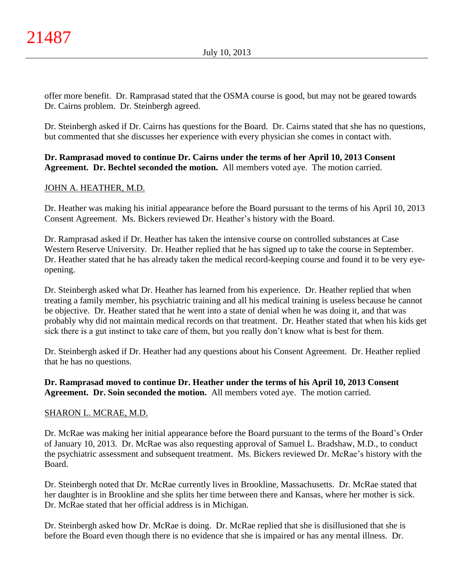offer more benefit. Dr. Ramprasad stated that the OSMA course is good, but may not be geared towards Dr. Cairns problem. Dr. Steinbergh agreed.

Dr. Steinbergh asked if Dr. Cairns has questions for the Board. Dr. Cairns stated that she has no questions, but commented that she discusses her experience with every physician she comes in contact with.

# **Dr. Ramprasad moved to continue Dr. Cairns under the terms of her April 10, 2013 Consent Agreement. Dr. Bechtel seconded the motion.** All members voted aye. The motion carried.

# JOHN A. HEATHER, M.D.

Dr. Heather was making his initial appearance before the Board pursuant to the terms of his April 10, 2013 Consent Agreement. Ms. Bickers reviewed Dr. Heather's history with the Board.

Dr. Ramprasad asked if Dr. Heather has taken the intensive course on controlled substances at Case Western Reserve University. Dr. Heather replied that he has signed up to take the course in September. Dr. Heather stated that he has already taken the medical record-keeping course and found it to be very eyeopening.

Dr. Steinbergh asked what Dr. Heather has learned from his experience. Dr. Heather replied that when treating a family member, his psychiatric training and all his medical training is useless because he cannot be objective. Dr. Heather stated that he went into a state of denial when he was doing it, and that was probably why did not maintain medical records on that treatment. Dr. Heather stated that when his kids get sick there is a gut instinct to take care of them, but you really don't know what is best for them.

Dr. Steinbergh asked if Dr. Heather had any questions about his Consent Agreement. Dr. Heather replied that he has no questions.

# **Dr. Ramprasad moved to continue Dr. Heather under the terms of his April 10, 2013 Consent Agreement. Dr. Soin seconded the motion.** All members voted aye. The motion carried.

# SHARON L. MCRAE, M.D.

Dr. McRae was making her initial appearance before the Board pursuant to the terms of the Board's Order of January 10, 2013. Dr. McRae was also requesting approval of Samuel L. Bradshaw, M.D., to conduct the psychiatric assessment and subsequent treatment. Ms. Bickers reviewed Dr. McRae's history with the Board.

Dr. Steinbergh noted that Dr. McRae currently lives in Brookline, Massachusetts. Dr. McRae stated that her daughter is in Brookline and she splits her time between there and Kansas, where her mother is sick. Dr. McRae stated that her official address is in Michigan.

Dr. Steinbergh asked how Dr. McRae is doing. Dr. McRae replied that she is disillusioned that she is before the Board even though there is no evidence that she is impaired or has any mental illness. Dr.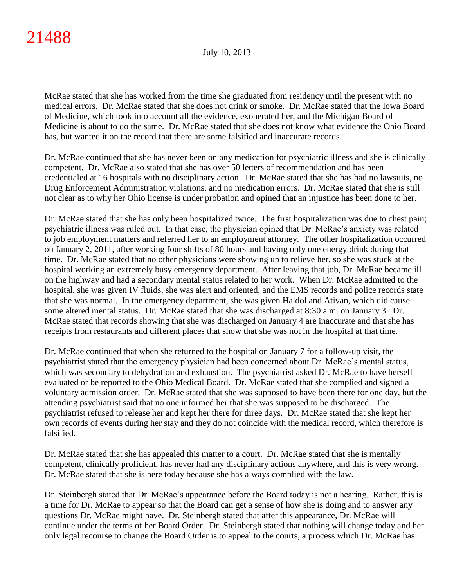McRae stated that she has worked from the time she graduated from residency until the present with no medical errors. Dr. McRae stated that she does not drink or smoke. Dr. McRae stated that the Iowa Board of Medicine, which took into account all the evidence, exonerated her, and the Michigan Board of Medicine is about to do the same. Dr. McRae stated that she does not know what evidence the Ohio Board has, but wanted it on the record that there are some falsified and inaccurate records.

Dr. McRae continued that she has never been on any medication for psychiatric illness and she is clinically competent. Dr. McRae also stated that she has over 50 letters of recommendation and has been credentialed at 16 hospitals with no disciplinary action. Dr. McRae stated that she has had no lawsuits, no Drug Enforcement Administration violations, and no medication errors. Dr. McRae stated that she is still not clear as to why her Ohio license is under probation and opined that an injustice has been done to her.

Dr. McRae stated that she has only been hospitalized twice. The first hospitalization was due to chest pain; psychiatric illness was ruled out. In that case, the physician opined that Dr. McRae's anxiety was related to job employment matters and referred her to an employment attorney. The other hospitalization occurred on January 2, 2011, after working four shifts of 80 hours and having only one energy drink during that time. Dr. McRae stated that no other physicians were showing up to relieve her, so she was stuck at the hospital working an extremely busy emergency department. After leaving that job, Dr. McRae became ill on the highway and had a secondary mental status related to her work. When Dr. McRae admitted to the hospital, she was given IV fluids, she was alert and oriented, and the EMS records and police records state that she was normal. In the emergency department, she was given Haldol and Ativan, which did cause some altered mental status. Dr. McRae stated that she was discharged at 8:30 a.m. on January 3. Dr. McRae stated that records showing that she was discharged on January 4 are inaccurate and that she has receipts from restaurants and different places that show that she was not in the hospital at that time.

Dr. McRae continued that when she returned to the hospital on January 7 for a follow-up visit, the psychiatrist stated that the emergency physician had been concerned about Dr. McRae's mental status, which was secondary to dehydration and exhaustion. The psychiatrist asked Dr. McRae to have herself evaluated or be reported to the Ohio Medical Board. Dr. McRae stated that she complied and signed a voluntary admission order. Dr. McRae stated that she was supposed to have been there for one day, but the attending psychiatrist said that no one informed her that she was supposed to be discharged. The psychiatrist refused to release her and kept her there for three days. Dr. McRae stated that she kept her own records of events during her stay and they do not coincide with the medical record, which therefore is falsified.

Dr. McRae stated that she has appealed this matter to a court. Dr. McRae stated that she is mentally competent, clinically proficient, has never had any disciplinary actions anywhere, and this is very wrong. Dr. McRae stated that she is here today because she has always complied with the law.

Dr. Steinbergh stated that Dr. McRae's appearance before the Board today is not a hearing. Rather, this is a time for Dr. McRae to appear so that the Board can get a sense of how she is doing and to answer any questions Dr. McRae might have. Dr. Steinbergh stated that after this appearance, Dr. McRae will continue under the terms of her Board Order. Dr. Steinbergh stated that nothing will change today and her only legal recourse to change the Board Order is to appeal to the courts, a process which Dr. McRae has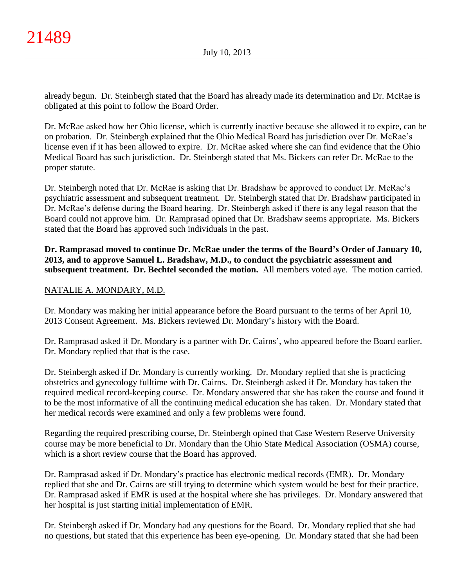already begun. Dr. Steinbergh stated that the Board has already made its determination and Dr. McRae is obligated at this point to follow the Board Order.

Dr. McRae asked how her Ohio license, which is currently inactive because she allowed it to expire, can be on probation. Dr. Steinbergh explained that the Ohio Medical Board has jurisdiction over Dr. McRae's license even if it has been allowed to expire. Dr. McRae asked where she can find evidence that the Ohio Medical Board has such jurisdiction. Dr. Steinbergh stated that Ms. Bickers can refer Dr. McRae to the proper statute.

Dr. Steinbergh noted that Dr. McRae is asking that Dr. Bradshaw be approved to conduct Dr. McRae's psychiatric assessment and subsequent treatment. Dr. Steinbergh stated that Dr. Bradshaw participated in Dr. McRae's defense during the Board hearing. Dr. Steinbergh asked if there is any legal reason that the Board could not approve him. Dr. Ramprasad opined that Dr. Bradshaw seems appropriate. Ms. Bickers stated that the Board has approved such individuals in the past.

**Dr. Ramprasad moved to continue Dr. McRae under the terms of the Board's Order of January 10, 2013, and to approve Samuel L. Bradshaw, M.D., to conduct the psychiatric assessment and subsequent treatment. Dr. Bechtel seconded the motion.** All members voted aye. The motion carried.

# NATALIE A. MONDARY, M.D.

Dr. Mondary was making her initial appearance before the Board pursuant to the terms of her April 10, 2013 Consent Agreement. Ms. Bickers reviewed Dr. Mondary's history with the Board.

Dr. Ramprasad asked if Dr. Mondary is a partner with Dr. Cairns', who appeared before the Board earlier. Dr. Mondary replied that that is the case.

Dr. Steinbergh asked if Dr. Mondary is currently working. Dr. Mondary replied that she is practicing obstetrics and gynecology fulltime with Dr. Cairns. Dr. Steinbergh asked if Dr. Mondary has taken the required medical record-keeping course. Dr. Mondary answered that she has taken the course and found it to be the most informative of all the continuing medical education she has taken. Dr. Mondary stated that her medical records were examined and only a few problems were found.

Regarding the required prescribing course, Dr. Steinbergh opined that Case Western Reserve University course may be more beneficial to Dr. Mondary than the Ohio State Medical Association (OSMA) course, which is a short review course that the Board has approved.

Dr. Ramprasad asked if Dr. Mondary's practice has electronic medical records (EMR). Dr. Mondary replied that she and Dr. Cairns are still trying to determine which system would be best for their practice. Dr. Ramprasad asked if EMR is used at the hospital where she has privileges. Dr. Mondary answered that her hospital is just starting initial implementation of EMR.

Dr. Steinbergh asked if Dr. Mondary had any questions for the Board. Dr. Mondary replied that she had no questions, but stated that this experience has been eye-opening. Dr. Mondary stated that she had been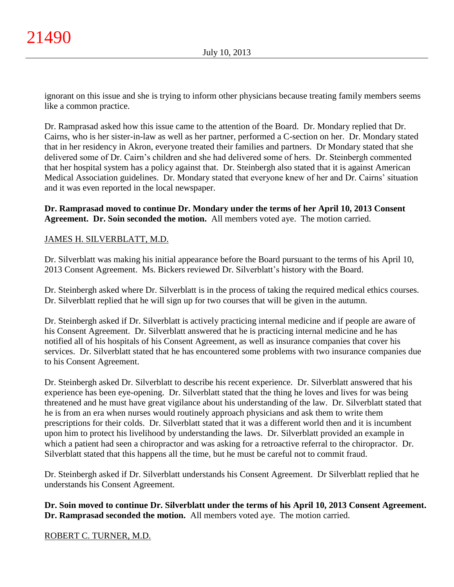ignorant on this issue and she is trying to inform other physicians because treating family members seems like a common practice.

Dr. Ramprasad asked how this issue came to the attention of the Board. Dr. Mondary replied that Dr. Cairns, who is her sister-in-law as well as her partner, performed a C-section on her. Dr. Mondary stated that in her residency in Akron, everyone treated their families and partners. Dr Mondary stated that she delivered some of Dr. Cairn's children and she had delivered some of hers. Dr. Steinbergh commented that her hospital system has a policy against that. Dr. Steinbergh also stated that it is against American Medical Association guidelines. Dr. Mondary stated that everyone knew of her and Dr. Cairns' situation and it was even reported in the local newspaper.

# **Dr. Ramprasad moved to continue Dr. Mondary under the terms of her April 10, 2013 Consent Agreement. Dr. Soin seconded the motion.** All members voted aye. The motion carried.

# JAMES H. SILVERBLATT, M.D.

Dr. Silverblatt was making his initial appearance before the Board pursuant to the terms of his April 10, 2013 Consent Agreement. Ms. Bickers reviewed Dr. Silverblatt's history with the Board.

Dr. Steinbergh asked where Dr. Silverblatt is in the process of taking the required medical ethics courses. Dr. Silverblatt replied that he will sign up for two courses that will be given in the autumn.

Dr. Steinbergh asked if Dr. Silverblatt is actively practicing internal medicine and if people are aware of his Consent Agreement. Dr. Silverblatt answered that he is practicing internal medicine and he has notified all of his hospitals of his Consent Agreement, as well as insurance companies that cover his services. Dr. Silverblatt stated that he has encountered some problems with two insurance companies due to his Consent Agreement.

Dr. Steinbergh asked Dr. Silverblatt to describe his recent experience. Dr. Silverblatt answered that his experience has been eye-opening. Dr. Silverblatt stated that the thing he loves and lives for was being threatened and he must have great vigilance about his understanding of the law. Dr. Silverblatt stated that he is from an era when nurses would routinely approach physicians and ask them to write them prescriptions for their colds. Dr. Silverblatt stated that it was a different world then and it is incumbent upon him to protect his livelihood by understanding the laws. Dr. Silverblatt provided an example in which a patient had seen a chiropractor and was asking for a retroactive referral to the chiropractor. Dr. Silverblatt stated that this happens all the time, but he must be careful not to commit fraud.

Dr. Steinbergh asked if Dr. Silverblatt understands his Consent Agreement. Dr Silverblatt replied that he understands his Consent Agreement.

**Dr. Soin moved to continue Dr. Silverblatt under the terms of his April 10, 2013 Consent Agreement. Dr. Ramprasad seconded the motion.** All members voted aye. The motion carried.

# ROBERT C. TURNER, M.D.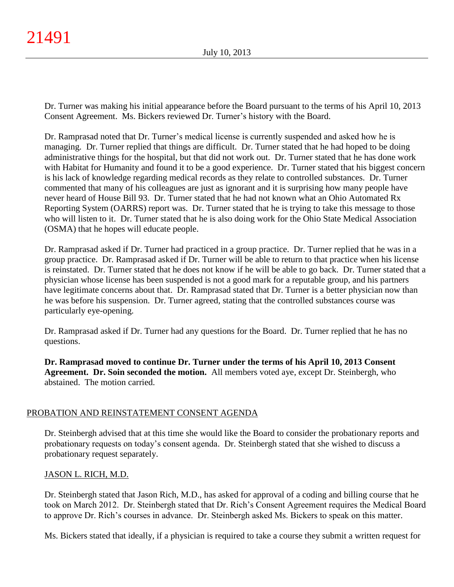Dr. Turner was making his initial appearance before the Board pursuant to the terms of his April 10, 2013 Consent Agreement. Ms. Bickers reviewed Dr. Turner's history with the Board.

Dr. Ramprasad noted that Dr. Turner's medical license is currently suspended and asked how he is managing. Dr. Turner replied that things are difficult. Dr. Turner stated that he had hoped to be doing administrative things for the hospital, but that did not work out. Dr. Turner stated that he has done work with Habitat for Humanity and found it to be a good experience. Dr. Turner stated that his biggest concern is his lack of knowledge regarding medical records as they relate to controlled substances. Dr. Turner commented that many of his colleagues are just as ignorant and it is surprising how many people have never heard of House Bill 93. Dr. Turner stated that he had not known what an Ohio Automated Rx Reporting System (OARRS) report was. Dr. Turner stated that he is trying to take this message to those who will listen to it. Dr. Turner stated that he is also doing work for the Ohio State Medical Association (OSMA) that he hopes will educate people.

Dr. Ramprasad asked if Dr. Turner had practiced in a group practice. Dr. Turner replied that he was in a group practice. Dr. Ramprasad asked if Dr. Turner will be able to return to that practice when his license is reinstated. Dr. Turner stated that he does not know if he will be able to go back. Dr. Turner stated that a physician whose license has been suspended is not a good mark for a reputable group, and his partners have legitimate concerns about that. Dr. Ramprasad stated that Dr. Turner is a better physician now than he was before his suspension. Dr. Turner agreed, stating that the controlled substances course was particularly eye-opening.

Dr. Ramprasad asked if Dr. Turner had any questions for the Board. Dr. Turner replied that he has no questions.

**Dr. Ramprasad moved to continue Dr. Turner under the terms of his April 10, 2013 Consent Agreement. Dr. Soin seconded the motion.** All members voted aye, except Dr. Steinbergh, who abstained. The motion carried.

# PROBATION AND REINSTATEMENT CONSENT AGENDA

Dr. Steinbergh advised that at this time she would like the Board to consider the probationary reports and probationary requests on today's consent agenda. Dr. Steinbergh stated that she wished to discuss a probationary request separately.

# JASON L. RICH, M.D.

Dr. Steinbergh stated that Jason Rich, M.D., has asked for approval of a coding and billing course that he took on March 2012. Dr. Steinbergh stated that Dr. Rich's Consent Agreement requires the Medical Board to approve Dr. Rich's courses in advance. Dr. Steinbergh asked Ms. Bickers to speak on this matter.

Ms. Bickers stated that ideally, if a physician is required to take a course they submit a written request for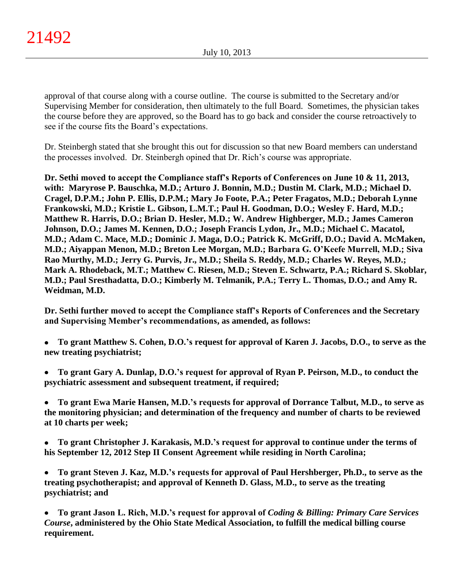approval of that course along with a course outline. The course is submitted to the Secretary and/or Supervising Member for consideration, then ultimately to the full Board. Sometimes, the physician takes the course before they are approved, so the Board has to go back and consider the course retroactively to see if the course fits the Board's expectations.

Dr. Steinbergh stated that she brought this out for discussion so that new Board members can understand the processes involved. Dr. Steinbergh opined that Dr. Rich's course was appropriate.

**Dr. Sethi moved to accept the Compliance staff's Reports of Conferences on June 10 & 11, 2013, with: Maryrose P. Bauschka, M.D.; Arturo J. Bonnin, M.D.; Dustin M. Clark, M.D.; Michael D. Cragel, D.P.M.; John P. Ellis, D.P.M.; Mary Jo Foote, P.A.; Peter Fragatos, M.D.; Deborah Lynne Frankowski, M.D.; Kristie L. Gibson, L.M.T.; Paul H. Goodman, D.O.; Wesley F. Hard, M.D.; Matthew R. Harris, D.O.; Brian D. Hesler, M.D.; W. Andrew Highberger, M.D.; James Cameron Johnson, D.O.; James M. Kennen, D.O.; Joseph Francis Lydon, Jr., M.D.; Michael C. Macatol, M.D.; Adam C. Mace, M.D.; Dominic J. Maga, D.O.; Patrick K. McGriff, D.O.; David A. McMaken, M.D.; Aiyappan Menon, M.D.; Breton Lee Morgan, M.D.; Barbara G. O'Keefe Murrell, M.D.; Siva Rao Murthy, M.D.; Jerry G. Purvis, Jr., M.D.; Sheila S. Reddy, M.D.; Charles W. Reyes, M.D.; Mark A. Rhodeback, M.T.; Matthew C. Riesen, M.D.; Steven E. Schwartz, P.A.; Richard S. Skoblar, M.D.; Paul Sresthadatta, D.O.; Kimberly M. Telmanik, P.A.; Terry L. Thomas, D.O.; and Amy R. Weidman, M.D.**

**Dr. Sethi further moved to accept the Compliance staff's Reports of Conferences and the Secretary and Supervising Member's recommendations, as amended, as follows:**

- $\bullet$ **To grant Matthew S. Cohen, D.O.'s request for approval of Karen J. Jacobs, D.O., to serve as the new treating psychiatrist;**
- **To grant Gary A. Dunlap, D.O.'s request for approval of Ryan P. Peirson, M.D., to conduct the**   $\bullet$ **psychiatric assessment and subsequent treatment, if required;**
- $\bullet$ **To grant Ewa Marie Hansen, M.D.'s requests for approval of Dorrance Talbut, M.D., to serve as the monitoring physician; and determination of the frequency and number of charts to be reviewed at 10 charts per week;**
- **To grant Christopher J. Karakasis, M.D.'s request for approval to continue under the terms of**   $\bullet$ **his September 12, 2012 Step II Consent Agreement while residing in North Carolina;**
- **To grant Steven J. Kaz, M.D.'s requests for approval of Paul Hershberger, Ph.D., to serve as the**   $\bullet$ **treating psychotherapist; and approval of Kenneth D. Glass, M.D., to serve as the treating psychiatrist; and**
- $\bullet$ **To grant Jason L. Rich, M.D.'s request for approval of** *Coding & Billing: Primary Care Services Course***, administered by the Ohio State Medical Association, to fulfill the medical billing course requirement.**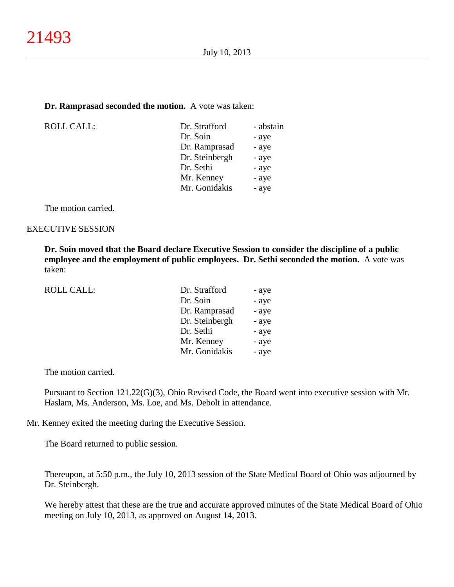#### **Dr. Ramprasad seconded the motion.** A vote was taken:

| <b>ROLL CALL:</b> | Dr. Strafford  | - abstain |
|-------------------|----------------|-----------|
|                   | Dr. Soin       | - aye     |
|                   | Dr. Ramprasad  | - aye     |
|                   | Dr. Steinbergh | - aye     |
|                   | Dr. Sethi      | - aye     |
|                   | Mr. Kenney     | - aye     |
|                   | Mr. Gonidakis  | - aye     |
|                   |                |           |

The motion carried.

#### EXECUTIVE SESSION

**Dr. Soin moved that the Board declare Executive Session to consider the discipline of a public employee and the employment of public employees. Dr. Sethi seconded the motion.** A vote was taken:

| ROLL CALL: | Dr. Strafford  | - aye |
|------------|----------------|-------|
|            | Dr. Soin       | - aye |
|            | Dr. Ramprasad  | - aye |
|            | Dr. Steinbergh | - aye |
|            | Dr. Sethi      | - aye |
|            | Mr. Kenney     | - aye |
|            | Mr. Gonidakis  | - aye |

The motion carried.

Pursuant to Section 121.22(G)(3), Ohio Revised Code, the Board went into executive session with Mr. Haslam, Ms. Anderson, Ms. Loe, and Ms. Debolt in attendance.

Mr. Kenney exited the meeting during the Executive Session.

The Board returned to public session.

Thereupon, at 5:50 p.m., the July 10, 2013 session of the State Medical Board of Ohio was adjourned by Dr. Steinbergh.

We hereby attest that these are the true and accurate approved minutes of the State Medical Board of Ohio meeting on July 10, 2013, as approved on August 14, 2013.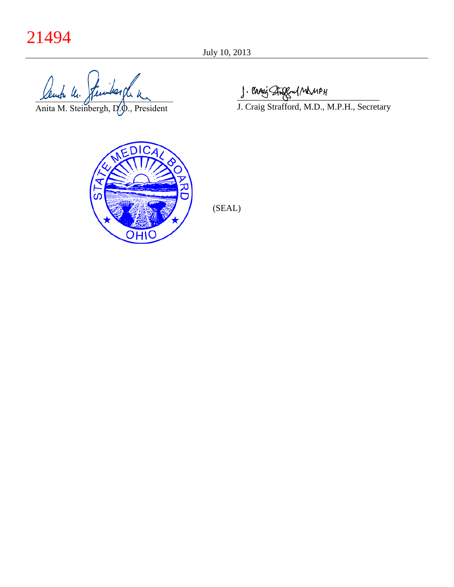# 21494

lente le févides de la

Anita M. Steinbergh, D.O., President

J. Crosis Staggful ManpH

J. Craig Strafford, M.D., M.P.H., Secretary



(SEAL)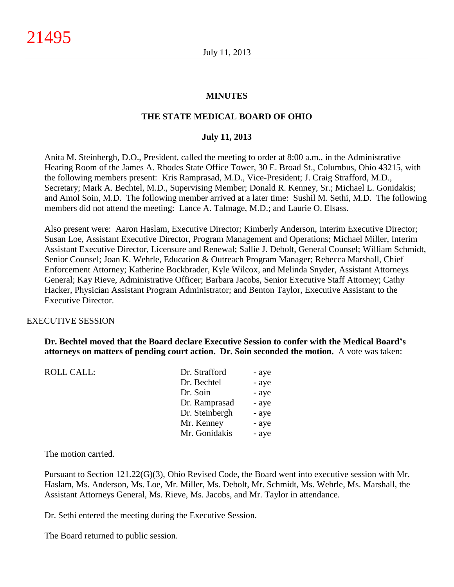#### **MINUTES**

## **THE STATE MEDICAL BOARD OF OHIO**

#### **July 11, 2013**

Anita M. Steinbergh, D.O., President, called the meeting to order at 8:00 a.m., in the Administrative Hearing Room of the James A. Rhodes State Office Tower, 30 E. Broad St., Columbus, Ohio 43215, with the following members present: Kris Ramprasad, M.D., Vice-President; J. Craig Strafford, M.D., Secretary; Mark A. Bechtel, M.D., Supervising Member; Donald R. Kenney, Sr.; Michael L. Gonidakis; and Amol Soin, M.D. The following member arrived at a later time: Sushil M. Sethi, M.D. The following members did not attend the meeting: Lance A. Talmage, M.D.; and Laurie O. Elsass.

Also present were: Aaron Haslam, Executive Director; Kimberly Anderson, Interim Executive Director; Susan Loe, Assistant Executive Director, Program Management and Operations; Michael Miller, Interim Assistant Executive Director, Licensure and Renewal; Sallie J. Debolt, General Counsel; William Schmidt, Senior Counsel; Joan K. Wehrle, Education & Outreach Program Manager; Rebecca Marshall, Chief Enforcement Attorney; Katherine Bockbrader, Kyle Wilcox, and Melinda Snyder, Assistant Attorneys General; Kay Rieve, Administrative Officer; Barbara Jacobs, Senior Executive Staff Attorney; Cathy Hacker, Physician Assistant Program Administrator; and Benton Taylor, Executive Assistant to the Executive Director.

#### EXECUTIVE SESSION

**Dr. Bechtel moved that the Board declare Executive Session to confer with the Medical Board's attorneys on matters of pending court action. Dr. Soin seconded the motion.** A vote was taken:

| <b>ROLL CALL:</b> | Dr. Strafford  | - aye |
|-------------------|----------------|-------|
|                   | Dr. Bechtel    | - aye |
|                   | Dr. Soin       | - aye |
|                   | Dr. Ramprasad  | - aye |
|                   | Dr. Steinbergh | - aye |
|                   | Mr. Kenney     | - aye |
|                   | Mr. Gonidakis  | - aye |
|                   |                |       |

The motion carried.

Pursuant to Section 121.22(G)(3), Ohio Revised Code, the Board went into executive session with Mr. Haslam, Ms. Anderson, Ms. Loe, Mr. Miller, Ms. Debolt, Mr. Schmidt, Ms. Wehrle, Ms. Marshall, the Assistant Attorneys General, Ms. Rieve, Ms. Jacobs, and Mr. Taylor in attendance.

Dr. Sethi entered the meeting during the Executive Session.

The Board returned to public session.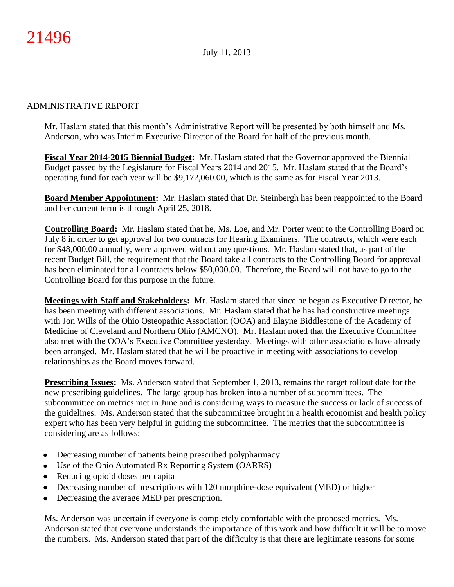# ADMINISTRATIVE REPORT

Mr. Haslam stated that this month's Administrative Report will be presented by both himself and Ms. Anderson, who was Interim Executive Director of the Board for half of the previous month.

**Fiscal Year 2014-2015 Biennial Budget:** Mr. Haslam stated that the Governor approved the Biennial Budget passed by the Legislature for Fiscal Years 2014 and 2015. Mr. Haslam stated that the Board's operating fund for each year will be \$9,172,060.00, which is the same as for Fiscal Year 2013.

**Board Member Appointment:** Mr. Haslam stated that Dr. Steinbergh has been reappointed to the Board and her current term is through April 25, 2018.

**Controlling Board:** Mr. Haslam stated that he, Ms. Loe, and Mr. Porter went to the Controlling Board on July 8 in order to get approval for two contracts for Hearing Examiners. The contracts, which were each for \$48,000.00 annually, were approved without any questions. Mr. Haslam stated that, as part of the recent Budget Bill, the requirement that the Board take all contracts to the Controlling Board for approval has been eliminated for all contracts below \$50,000.00. Therefore, the Board will not have to go to the Controlling Board for this purpose in the future.

**Meetings with Staff and Stakeholders:** Mr. Haslam stated that since he began as Executive Director, he has been meeting with different associations. Mr. Haslam stated that he has had constructive meetings with Jon Wills of the Ohio Osteopathic Association (OOA) and Elayne Biddlestone of the Academy of Medicine of Cleveland and Northern Ohio (AMCNO). Mr. Haslam noted that the Executive Committee also met with the OOA's Executive Committee yesterday. Meetings with other associations have already been arranged. Mr. Haslam stated that he will be proactive in meeting with associations to develop relationships as the Board moves forward.

**Prescribing Issues:** Ms. Anderson stated that September 1, 2013, remains the target rollout date for the new prescribing guidelines. The large group has broken into a number of subcommittees. The subcommittee on metrics met in June and is considering ways to measure the success or lack of success of the guidelines. Ms. Anderson stated that the subcommittee brought in a health economist and health policy expert who has been very helpful in guiding the subcommittee. The metrics that the subcommittee is considering are as follows:

- Decreasing number of patients being prescribed polypharmacy
- Use of the Ohio Automated Rx Reporting System (OARRS)
- Reducing opioid doses per capita
- Decreasing number of prescriptions with 120 morphine-dose equivalent (MED) or higher
- Decreasing the average MED per prescription.

Ms. Anderson was uncertain if everyone is completely comfortable with the proposed metrics. Ms. Anderson stated that everyone understands the importance of this work and how difficult it will be to move the numbers. Ms. Anderson stated that part of the difficulty is that there are legitimate reasons for some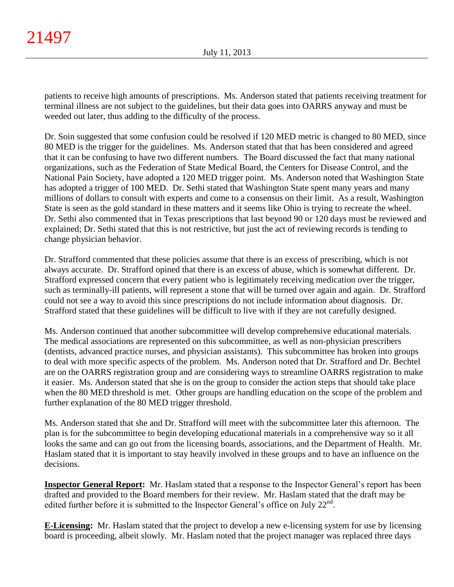patients to receive high amounts of prescriptions. Ms. Anderson stated that patients receiving treatment for terminal illness are not subject to the guidelines, but their data goes into OARRS anyway and must be weeded out later, thus adding to the difficulty of the process.

Dr. Soin suggested that some confusion could be resolved if 120 MED metric is changed to 80 MED, since 80 MED is the trigger for the guidelines. Ms. Anderson stated that that has been considered and agreed that it can be confusing to have two different numbers. The Board discussed the fact that many national organizations, such as the Federation of State Medical Board, the Centers for Disease Control, and the National Pain Society, have adopted a 120 MED trigger point. Ms. Anderson noted that Washington State has adopted a trigger of 100 MED. Dr. Sethi stated that Washington State spent many years and many millions of dollars to consult with experts and come to a consensus on their limit. As a result, Washington State is seen as the gold standard in these matters and it seems like Ohio is trying to recreate the wheel. Dr. Sethi also commented that in Texas prescriptions that last beyond 90 or 120 days must be reviewed and explained; Dr. Sethi stated that this is not restrictive, but just the act of reviewing records is tending to change physician behavior.

Dr. Strafford commented that these policies assume that there is an excess of prescribing, which is not always accurate. Dr. Strafford opined that there is an excess of abuse, which is somewhat different. Dr. Strafford expressed concern that every patient who is legitimately receiving medication over the trigger, such as terminally-ill patients, will represent a stone that will be turned over again and again. Dr. Strafford could not see a way to avoid this since prescriptions do not include information about diagnosis. Dr. Strafford stated that these guidelines will be difficult to live with if they are not carefully designed.

Ms. Anderson continued that another subcommittee will develop comprehensive educational materials. The medical associations are represented on this subcommittee, as well as non-physician prescribers (dentists, advanced practice nurses, and physician assistants). This subcommittee has broken into groups to deal with more specific aspects of the problem. Ms. Anderson noted that Dr. Strafford and Dr. Bechtel are on the OARRS registration group and are considering ways to streamline OARRS registration to make it easier. Ms. Anderson stated that she is on the group to consider the action steps that should take place when the 80 MED threshold is met. Other groups are handling education on the scope of the problem and further explanation of the 80 MED trigger threshold.

Ms. Anderson stated that she and Dr. Strafford will meet with the subcommittee later this afternoon. The plan is for the subcommittee to begin developing educational materials in a comprehensive way so it all looks the same and can go out from the licensing boards, associations, and the Department of Health. Mr. Haslam stated that it is important to stay heavily involved in these groups and to have an influence on the decisions.

**Inspector General Report:** Mr. Haslam stated that a response to the Inspector General's report has been drafted and provided to the Board members for their review. Mr. Haslam stated that the draft may be edited further before it is submitted to the Inspector General's office on July  $22<sup>nd</sup>$ .

**E-Licensing:** Mr. Haslam stated that the project to develop a new e-licensing system for use by licensing board is proceeding, albeit slowly. Mr. Haslam noted that the project manager was replaced three days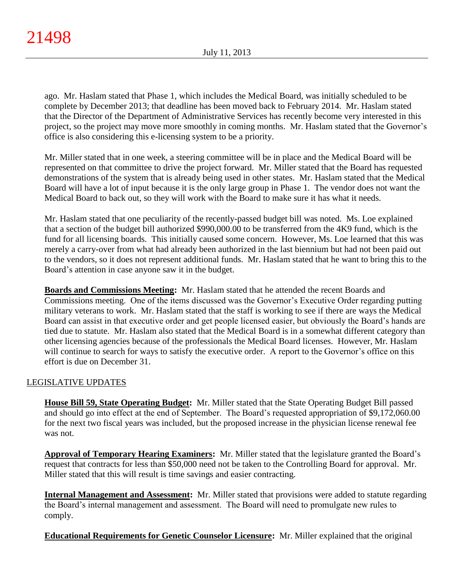ago. Mr. Haslam stated that Phase 1, which includes the Medical Board, was initially scheduled to be complete by December 2013; that deadline has been moved back to February 2014. Mr. Haslam stated that the Director of the Department of Administrative Services has recently become very interested in this project, so the project may move more smoothly in coming months. Mr. Haslam stated that the Governor's office is also considering this e-licensing system to be a priority.

Mr. Miller stated that in one week, a steering committee will be in place and the Medical Board will be represented on that committee to drive the project forward. Mr. Miller stated that the Board has requested demonstrations of the system that is already being used in other states. Mr. Haslam stated that the Medical Board will have a lot of input because it is the only large group in Phase 1. The vendor does not want the Medical Board to back out, so they will work with the Board to make sure it has what it needs.

Mr. Haslam stated that one peculiarity of the recently-passed budget bill was noted. Ms. Loe explained that a section of the budget bill authorized \$990,000.00 to be transferred from the 4K9 fund, which is the fund for all licensing boards. This initially caused some concern. However, Ms. Loe learned that this was merely a carry-over from what had already been authorized in the last biennium but had not been paid out to the vendors, so it does not represent additional funds. Mr. Haslam stated that he want to bring this to the Board's attention in case anyone saw it in the budget.

**Boards and Commissions Meeting:** Mr. Haslam stated that he attended the recent Boards and Commissions meeting. One of the items discussed was the Governor's Executive Order regarding putting military veterans to work. Mr. Haslam stated that the staff is working to see if there are ways the Medical Board can assist in that executive order and get people licensed easier, but obviously the Board's hands are tied due to statute. Mr. Haslam also stated that the Medical Board is in a somewhat different category than other licensing agencies because of the professionals the Medical Board licenses. However, Mr. Haslam will continue to search for ways to satisfy the executive order. A report to the Governor's office on this effort is due on December 31.

# LEGISLATIVE UPDATES

**House Bill 59, State Operating Budget:** Mr. Miller stated that the State Operating Budget Bill passed and should go into effect at the end of September. The Board's requested appropriation of \$9,172,060.00 for the next two fiscal years was included, but the proposed increase in the physician license renewal fee was not.

**Approval of Temporary Hearing Examiners:** Mr. Miller stated that the legislature granted the Board's request that contracts for less than \$50,000 need not be taken to the Controlling Board for approval. Mr. Miller stated that this will result is time savings and easier contracting.

**Internal Management and Assessment:** Mr. Miller stated that provisions were added to statute regarding the Board's internal management and assessment. The Board will need to promulgate new rules to comply.

**Educational Requirements for Genetic Counselor Licensure:** Mr. Miller explained that the original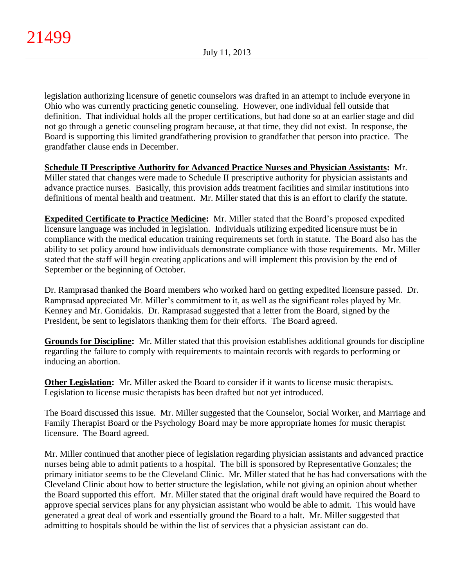legislation authorizing licensure of genetic counselors was drafted in an attempt to include everyone in Ohio who was currently practicing genetic counseling. However, one individual fell outside that definition. That individual holds all the proper certifications, but had done so at an earlier stage and did not go through a genetic counseling program because, at that time, they did not exist. In response, the Board is supporting this limited grandfathering provision to grandfather that person into practice. The grandfather clause ends in December.

**Schedule II Prescriptive Authority for Advanced Practice Nurses and Physician Assistants:** Mr. Miller stated that changes were made to Schedule II prescriptive authority for physician assistants and advance practice nurses. Basically, this provision adds treatment facilities and similar institutions into definitions of mental health and treatment. Mr. Miller stated that this is an effort to clarify the statute.

**Expedited Certificate to Practice Medicine:** Mr. Miller stated that the Board's proposed expedited licensure language was included in legislation. Individuals utilizing expedited licensure must be in compliance with the medical education training requirements set forth in statute. The Board also has the ability to set policy around how individuals demonstrate compliance with those requirements. Mr. Miller stated that the staff will begin creating applications and will implement this provision by the end of September or the beginning of October.

Dr. Ramprasad thanked the Board members who worked hard on getting expedited licensure passed. Dr. Ramprasad appreciated Mr. Miller's commitment to it, as well as the significant roles played by Mr. Kenney and Mr. Gonidakis. Dr. Ramprasad suggested that a letter from the Board, signed by the President, be sent to legislators thanking them for their efforts. The Board agreed.

**Grounds for Discipline:** Mr. Miller stated that this provision establishes additional grounds for discipline regarding the failure to comply with requirements to maintain records with regards to performing or inducing an abortion.

**Other Legislation:** Mr. Miller asked the Board to consider if it wants to license music therapists. Legislation to license music therapists has been drafted but not yet introduced.

The Board discussed this issue. Mr. Miller suggested that the Counselor, Social Worker, and Marriage and Family Therapist Board or the Psychology Board may be more appropriate homes for music therapist licensure. The Board agreed.

Mr. Miller continued that another piece of legislation regarding physician assistants and advanced practice nurses being able to admit patients to a hospital. The bill is sponsored by Representative Gonzales; the primary initiator seems to be the Cleveland Clinic. Mr. Miller stated that he has had conversations with the Cleveland Clinic about how to better structure the legislation, while not giving an opinion about whether the Board supported this effort. Mr. Miller stated that the original draft would have required the Board to approve special services plans for any physician assistant who would be able to admit. This would have generated a great deal of work and essentially ground the Board to a halt. Mr. Miller suggested that admitting to hospitals should be within the list of services that a physician assistant can do.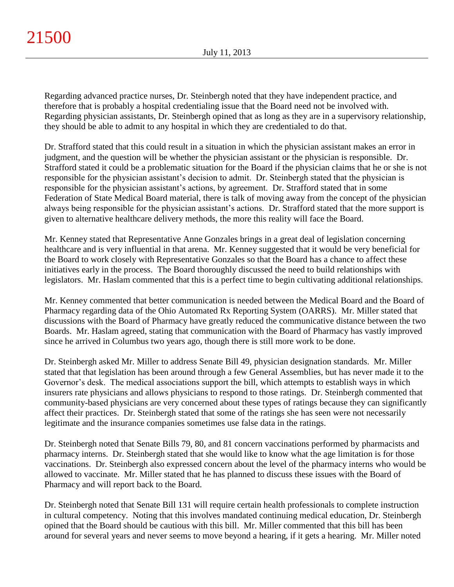Regarding advanced practice nurses, Dr. Steinbergh noted that they have independent practice, and therefore that is probably a hospital credentialing issue that the Board need not be involved with. Regarding physician assistants, Dr. Steinbergh opined that as long as they are in a supervisory relationship, they should be able to admit to any hospital in which they are credentialed to do that.

Dr. Strafford stated that this could result in a situation in which the physician assistant makes an error in judgment, and the question will be whether the physician assistant or the physician is responsible. Dr. Strafford stated it could be a problematic situation for the Board if the physician claims that he or she is not responsible for the physician assistant's decision to admit. Dr. Steinbergh stated that the physician is responsible for the physician assistant's actions, by agreement. Dr. Strafford stated that in some Federation of State Medical Board material, there is talk of moving away from the concept of the physician always being responsible for the physician assistant's actions. Dr. Strafford stated that the more support is given to alternative healthcare delivery methods, the more this reality will face the Board.

Mr. Kenney stated that Representative Anne Gonzales brings in a great deal of legislation concerning healthcare and is very influential in that arena. Mr. Kenney suggested that it would be very beneficial for the Board to work closely with Representative Gonzales so that the Board has a chance to affect these initiatives early in the process. The Board thoroughly discussed the need to build relationships with legislators. Mr. Haslam commented that this is a perfect time to begin cultivating additional relationships.

Mr. Kenney commented that better communication is needed between the Medical Board and the Board of Pharmacy regarding data of the Ohio Automated Rx Reporting System (OARRS). Mr. Miller stated that discussions with the Board of Pharmacy have greatly reduced the communicative distance between the two Boards. Mr. Haslam agreed, stating that communication with the Board of Pharmacy has vastly improved since he arrived in Columbus two years ago, though there is still more work to be done.

Dr. Steinbergh asked Mr. Miller to address Senate Bill 49, physician designation standards. Mr. Miller stated that that legislation has been around through a few General Assemblies, but has never made it to the Governor's desk. The medical associations support the bill, which attempts to establish ways in which insurers rate physicians and allows physicians to respond to those ratings. Dr. Steinbergh commented that community-based physicians are very concerned about these types of ratings because they can significantly affect their practices. Dr. Steinbergh stated that some of the ratings she has seen were not necessarily legitimate and the insurance companies sometimes use false data in the ratings.

Dr. Steinbergh noted that Senate Bills 79, 80, and 81 concern vaccinations performed by pharmacists and pharmacy interns. Dr. Steinbergh stated that she would like to know what the age limitation is for those vaccinations. Dr. Steinbergh also expressed concern about the level of the pharmacy interns who would be allowed to vaccinate. Mr. Miller stated that he has planned to discuss these issues with the Board of Pharmacy and will report back to the Board.

Dr. Steinbergh noted that Senate Bill 131 will require certain health professionals to complete instruction in cultural competency. Noting that this involves mandated continuing medical education, Dr. Steinbergh opined that the Board should be cautious with this bill. Mr. Miller commented that this bill has been around for several years and never seems to move beyond a hearing, if it gets a hearing. Mr. Miller noted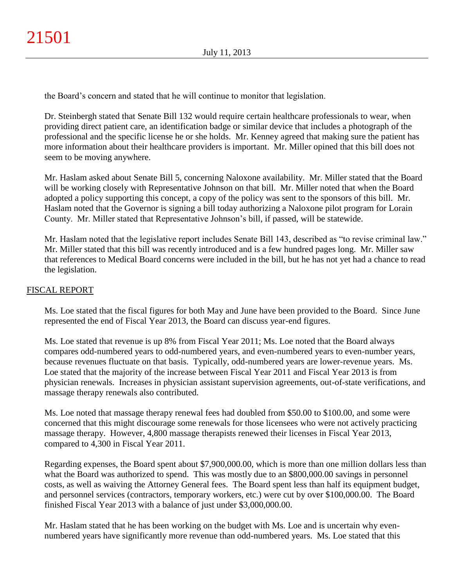the Board's concern and stated that he will continue to monitor that legislation.

Dr. Steinbergh stated that Senate Bill 132 would require certain healthcare professionals to wear, when providing direct patient care, an identification badge or similar device that includes a photograph of the professional and the specific license he or she holds. Mr. Kenney agreed that making sure the patient has more information about their healthcare providers is important. Mr. Miller opined that this bill does not seem to be moving anywhere.

Mr. Haslam asked about Senate Bill 5, concerning Naloxone availability. Mr. Miller stated that the Board will be working closely with Representative Johnson on that bill. Mr. Miller noted that when the Board adopted a policy supporting this concept, a copy of the policy was sent to the sponsors of this bill. Mr. Haslam noted that the Governor is signing a bill today authorizing a Naloxone pilot program for Lorain County. Mr. Miller stated that Representative Johnson's bill, if passed, will be statewide.

Mr. Haslam noted that the legislative report includes Senate Bill 143, described as "to revise criminal law." Mr. Miller stated that this bill was recently introduced and is a few hundred pages long. Mr. Miller saw that references to Medical Board concerns were included in the bill, but he has not yet had a chance to read the legislation.

# FISCAL REPORT

Ms. Loe stated that the fiscal figures for both May and June have been provided to the Board. Since June represented the end of Fiscal Year 2013, the Board can discuss year-end figures.

Ms. Loe stated that revenue is up 8% from Fiscal Year 2011; Ms. Loe noted that the Board always compares odd-numbered years to odd-numbered years, and even-numbered years to even-number years, because revenues fluctuate on that basis. Typically, odd-numbered years are lower-revenue years. Ms. Loe stated that the majority of the increase between Fiscal Year 2011 and Fiscal Year 2013 is from physician renewals. Increases in physician assistant supervision agreements, out-of-state verifications, and massage therapy renewals also contributed.

Ms. Loe noted that massage therapy renewal fees had doubled from \$50.00 to \$100.00, and some were concerned that this might discourage some renewals for those licensees who were not actively practicing massage therapy. However, 4,800 massage therapists renewed their licenses in Fiscal Year 2013, compared to 4,300 in Fiscal Year 2011.

Regarding expenses, the Board spent about \$7,900,000.00, which is more than one million dollars less than what the Board was authorized to spend. This was mostly due to an \$800,000.00 savings in personnel costs, as well as waiving the Attorney General fees. The Board spent less than half its equipment budget, and personnel services (contractors, temporary workers, etc.) were cut by over \$100,000.00. The Board finished Fiscal Year 2013 with a balance of just under \$3,000,000.00.

Mr. Haslam stated that he has been working on the budget with Ms. Loe and is uncertain why evennumbered years have significantly more revenue than odd-numbered years. Ms. Loe stated that this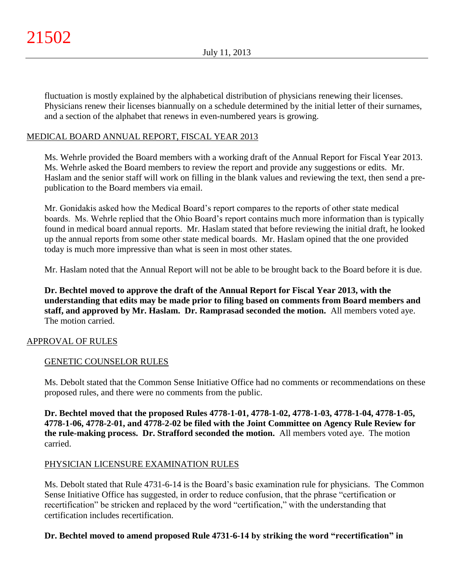fluctuation is mostly explained by the alphabetical distribution of physicians renewing their licenses. Physicians renew their licenses biannually on a schedule determined by the initial letter of their surnames, and a section of the alphabet that renews in even-numbered years is growing.

# MEDICAL BOARD ANNUAL REPORT, FISCAL YEAR 2013

Ms. Wehrle provided the Board members with a working draft of the Annual Report for Fiscal Year 2013. Ms. Wehrle asked the Board members to review the report and provide any suggestions or edits. Mr. Haslam and the senior staff will work on filling in the blank values and reviewing the text, then send a prepublication to the Board members via email.

Mr. Gonidakis asked how the Medical Board's report compares to the reports of other state medical boards. Ms. Wehrle replied that the Ohio Board's report contains much more information than is typically found in medical board annual reports. Mr. Haslam stated that before reviewing the initial draft, he looked up the annual reports from some other state medical boards. Mr. Haslam opined that the one provided today is much more impressive than what is seen in most other states.

Mr. Haslam noted that the Annual Report will not be able to be brought back to the Board before it is due.

**Dr. Bechtel moved to approve the draft of the Annual Report for Fiscal Year 2013, with the understanding that edits may be made prior to filing based on comments from Board members and staff, and approved by Mr. Haslam. Dr. Ramprasad seconded the motion.** All members voted aye. The motion carried.

## APPROVAL OF RULES

## GENETIC COUNSELOR RULES

Ms. Debolt stated that the Common Sense Initiative Office had no comments or recommendations on these proposed rules, and there were no comments from the public.

**Dr. Bechtel moved that the proposed Rules 4778-1-01, 4778-1-02, 4778-1-03, 4778-1-04, 4778-1-05, 4778-1-06, 4778-2-01, and 4778-2-02 be filed with the Joint Committee on Agency Rule Review for the rule-making process. Dr. Strafford seconded the motion.** All members voted aye. The motion carried.

## PHYSICIAN LICENSURE EXAMINATION RULES

Ms. Debolt stated that Rule 4731-6-14 is the Board's basic examination rule for physicians. The Common Sense Initiative Office has suggested, in order to reduce confusion, that the phrase "certification or recertification" be stricken and replaced by the word "certification," with the understanding that certification includes recertification.

# **Dr. Bechtel moved to amend proposed Rule 4731-6-14 by striking the word "recertification" in**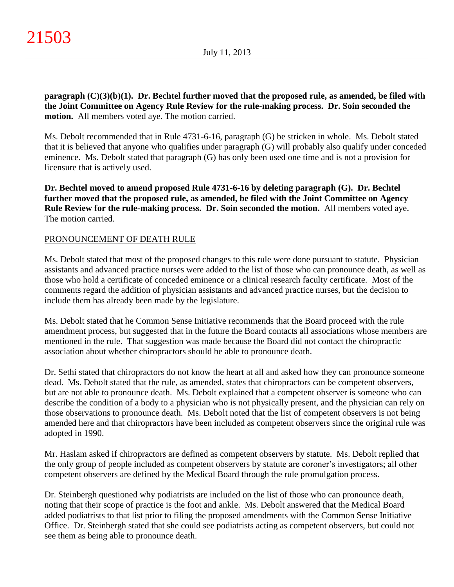**paragraph (C)(3)(b)(1). Dr. Bechtel further moved that the proposed rule, as amended, be filed with the Joint Committee on Agency Rule Review for the rule-making process. Dr. Soin seconded the motion.** All members voted aye. The motion carried.

Ms. Debolt recommended that in Rule 4731-6-16, paragraph (G) be stricken in whole. Ms. Debolt stated that it is believed that anyone who qualifies under paragraph (G) will probably also qualify under conceded eminence. Ms. Debolt stated that paragraph (G) has only been used one time and is not a provision for licensure that is actively used.

**Dr. Bechtel moved to amend proposed Rule 4731-6-16 by deleting paragraph (G). Dr. Bechtel further moved that the proposed rule, as amended, be filed with the Joint Committee on Agency Rule Review for the rule-making process. Dr. Soin seconded the motion.** All members voted aye. The motion carried.

# PRONOUNCEMENT OF DEATH RULE

Ms. Debolt stated that most of the proposed changes to this rule were done pursuant to statute. Physician assistants and advanced practice nurses were added to the list of those who can pronounce death, as well as those who hold a certificate of conceded eminence or a clinical research faculty certificate. Most of the comments regard the addition of physician assistants and advanced practice nurses, but the decision to include them has already been made by the legislature.

Ms. Debolt stated that he Common Sense Initiative recommends that the Board proceed with the rule amendment process, but suggested that in the future the Board contacts all associations whose members are mentioned in the rule. That suggestion was made because the Board did not contact the chiropractic association about whether chiropractors should be able to pronounce death.

Dr. Sethi stated that chiropractors do not know the heart at all and asked how they can pronounce someone dead. Ms. Debolt stated that the rule, as amended, states that chiropractors can be competent observers, but are not able to pronounce death. Ms. Debolt explained that a competent observer is someone who can describe the condition of a body to a physician who is not physically present, and the physician can rely on those observations to pronounce death. Ms. Debolt noted that the list of competent observers is not being amended here and that chiropractors have been included as competent observers since the original rule was adopted in 1990.

Mr. Haslam asked if chiropractors are defined as competent observers by statute. Ms. Debolt replied that the only group of people included as competent observers by statute are coroner's investigators; all other competent observers are defined by the Medical Board through the rule promulgation process.

Dr. Steinbergh questioned why podiatrists are included on the list of those who can pronounce death, noting that their scope of practice is the foot and ankle. Ms. Debolt answered that the Medical Board added podiatrists to that list prior to filing the proposed amendments with the Common Sense Initiative Office. Dr. Steinbergh stated that she could see podiatrists acting as competent observers, but could not see them as being able to pronounce death.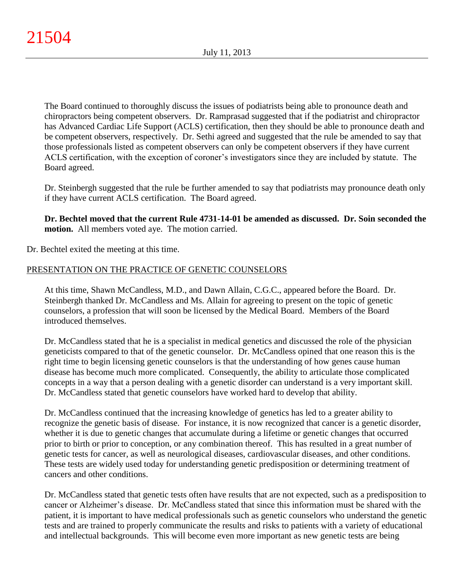The Board continued to thoroughly discuss the issues of podiatrists being able to pronounce death and chiropractors being competent observers. Dr. Ramprasad suggested that if the podiatrist and chiropractor has Advanced Cardiac Life Support (ACLS) certification, then they should be able to pronounce death and be competent observers, respectively. Dr. Sethi agreed and suggested that the rule be amended to say that those professionals listed as competent observers can only be competent observers if they have current ACLS certification, with the exception of coroner's investigators since they are included by statute. The Board agreed.

Dr. Steinbergh suggested that the rule be further amended to say that podiatrists may pronounce death only if they have current ACLS certification. The Board agreed.

**Dr. Bechtel moved that the current Rule 4731-14-01 be amended as discussed. Dr. Soin seconded the motion.** All members voted aye. The motion carried.

Dr. Bechtel exited the meeting at this time.

# PRESENTATION ON THE PRACTICE OF GENETIC COUNSELORS

At this time, Shawn McCandless, M.D., and Dawn Allain, C.G.C., appeared before the Board. Dr. Steinbergh thanked Dr. McCandless and Ms. Allain for agreeing to present on the topic of genetic counselors, a profession that will soon be licensed by the Medical Board. Members of the Board introduced themselves.

Dr. McCandless stated that he is a specialist in medical genetics and discussed the role of the physician geneticists compared to that of the genetic counselor. Dr. McCandless opined that one reason this is the right time to begin licensing genetic counselors is that the understanding of how genes cause human disease has become much more complicated. Consequently, the ability to articulate those complicated concepts in a way that a person dealing with a genetic disorder can understand is a very important skill. Dr. McCandless stated that genetic counselors have worked hard to develop that ability.

Dr. McCandless continued that the increasing knowledge of genetics has led to a greater ability to recognize the genetic basis of disease. For instance, it is now recognized that cancer is a genetic disorder, whether it is due to genetic changes that accumulate during a lifetime or genetic changes that occurred prior to birth or prior to conception, or any combination thereof. This has resulted in a great number of genetic tests for cancer, as well as neurological diseases, cardiovascular diseases, and other conditions. These tests are widely used today for understanding genetic predisposition or determining treatment of cancers and other conditions.

Dr. McCandless stated that genetic tests often have results that are not expected, such as a predisposition to cancer or Alzheimer's disease. Dr. McCandless stated that since this information must be shared with the patient, it is important to have medical professionals such as genetic counselors who understand the genetic tests and are trained to properly communicate the results and risks to patients with a variety of educational and intellectual backgrounds. This will become even more important as new genetic tests are being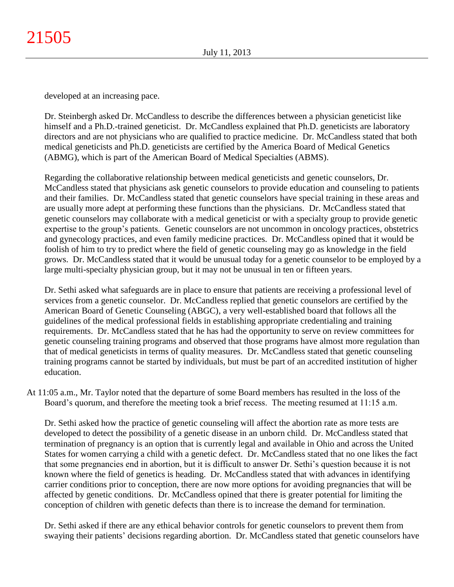developed at an increasing pace.

Dr. Steinbergh asked Dr. McCandless to describe the differences between a physician geneticist like himself and a Ph.D.-trained geneticist. Dr. McCandless explained that Ph.D. geneticists are laboratory directors and are not physicians who are qualified to practice medicine. Dr. McCandless stated that both medical geneticists and Ph.D. geneticists are certified by the America Board of Medical Genetics (ABMG), which is part of the American Board of Medical Specialties (ABMS).

Regarding the collaborative relationship between medical geneticists and genetic counselors, Dr. McCandless stated that physicians ask genetic counselors to provide education and counseling to patients and their families. Dr. McCandless stated that genetic counselors have special training in these areas and are usually more adept at performing these functions than the physicians. Dr. McCandless stated that genetic counselors may collaborate with a medical geneticist or with a specialty group to provide genetic expertise to the group's patients. Genetic counselors are not uncommon in oncology practices, obstetrics and gynecology practices, and even family medicine practices. Dr. McCandless opined that it would be foolish of him to try to predict where the field of genetic counseling may go as knowledge in the field grows. Dr. McCandless stated that it would be unusual today for a genetic counselor to be employed by a large multi-specialty physician group, but it may not be unusual in ten or fifteen years.

Dr. Sethi asked what safeguards are in place to ensure that patients are receiving a professional level of services from a genetic counselor. Dr. McCandless replied that genetic counselors are certified by the American Board of Genetic Counseling (ABGC), a very well-established board that follows all the guidelines of the medical professional fields in establishing appropriate credentialing and training requirements. Dr. McCandless stated that he has had the opportunity to serve on review committees for genetic counseling training programs and observed that those programs have almost more regulation than that of medical geneticists in terms of quality measures. Dr. McCandless stated that genetic counseling training programs cannot be started by individuals, but must be part of an accredited institution of higher education.

At 11:05 a.m., Mr. Taylor noted that the departure of some Board members has resulted in the loss of the Board's quorum, and therefore the meeting took a brief recess. The meeting resumed at 11:15 a.m.

Dr. Sethi asked how the practice of genetic counseling will affect the abortion rate as more tests are developed to detect the possibility of a genetic disease in an unborn child. Dr. McCandless stated that termination of pregnancy is an option that is currently legal and available in Ohio and across the United States for women carrying a child with a genetic defect. Dr. McCandless stated that no one likes the fact that some pregnancies end in abortion, but it is difficult to answer Dr. Sethi's question because it is not known where the field of genetics is heading. Dr. McCandless stated that with advances in identifying carrier conditions prior to conception, there are now more options for avoiding pregnancies that will be affected by genetic conditions. Dr. McCandless opined that there is greater potential for limiting the conception of children with genetic defects than there is to increase the demand for termination.

Dr. Sethi asked if there are any ethical behavior controls for genetic counselors to prevent them from swaying their patients' decisions regarding abortion. Dr. McCandless stated that genetic counselors have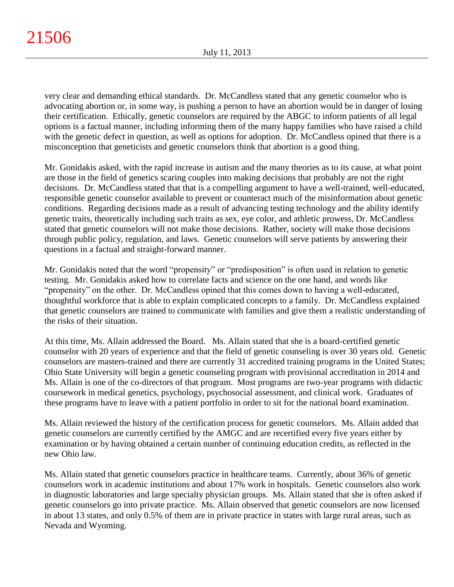very clear and demanding ethical standards. Dr. McCandless stated that any genetic counselor who is advocating abortion or, in some way, is pushing a person to have an abortion would be in danger of losing their certification. Ethically, genetic counselors are required by the ABGC to inform patients of all legal options is a factual manner, including informing them of the many happy families who have raised a child with the genetic defect in question, as well as options for adoption. Dr. McCandless opined that there is a misconception that geneticists and genetic counselors think that abortion is a good thing.

Mr. Gonidakis asked, with the rapid increase in autism and the many theories as to its cause, at what point are those in the field of genetics scaring couples into making decisions that probably are not the right decisions. Dr. McCandless stated that that is a compelling argument to have a well-trained, well-educated, responsible genetic counselor available to prevent or counteract much of the misinformation about genetic conditions. Regarding decisions made as a result of advancing testing technology and the ability identify genetic traits, theoretically including such traits as sex, eye color, and athletic prowess, Dr. McCandless stated that genetic counselors will not make those decisions. Rather, society will make those decisions through public policy, regulation, and laws. Genetic counselors will serve patients by answering their questions in a factual and straight-forward manner.

Mr. Gonidakis noted that the word "propensity" or "predisposition" is often used in relation to genetic testing. Mr. Gonidakis asked how to correlate facts and science on the one hand, and words like "propensity" on the other. Dr. McCandless opined that this comes down to having a well-educated, thoughtful workforce that is able to explain complicated concepts to a family. Dr. McCandless explained that genetic counselors are trained to communicate with families and give them a realistic understanding of the risks of their situation.

At this time, Ms. Allain addressed the Board. Ms. Allain stated that she is a board-certified genetic counselor with 20 years of experience and that the field of genetic counseling is over 30 years old. Genetic counselors are masters-trained and there are currently 31 accredited training programs in the United States; Ohio State University will begin a genetic counseling program with provisional accreditation in 2014 and Ms. Allain is one of the co-directors of that program. Most programs are two-year programs with didactic coursework in medical genetics, psychology, psychosocial assessment, and clinical work. Graduates of these programs have to leave with a patient portfolio in order to sit for the national board examination.

Ms. Allain reviewed the history of the certification process for genetic counselors. Ms. Allain added that genetic counselors are currently certified by the AMGC and are recertified every five years either by examination or by having obtained a certain number of continuing education credits, as reflected in the new Ohio law.

Ms. Allain stated that genetic counselors practice in healthcare teams. Currently, about 36% of genetic counselors work in academic institutions and about 17% work in hospitals. Genetic counselors also work in diagnostic laboratories and large specialty physician groups. Ms. Allain stated that she is often asked if genetic counselors go into private practice. Ms. Allain observed that genetic counselors are now licensed in about 13 states, and only 0.5% of them are in private practice in states with large rural areas, such as Nevada and Wyoming.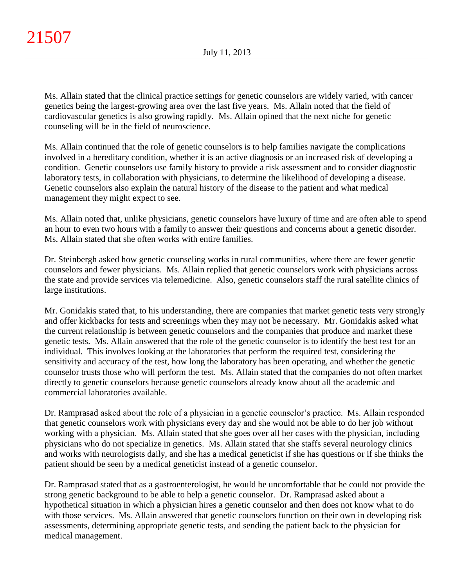Ms. Allain stated that the clinical practice settings for genetic counselors are widely varied, with cancer genetics being the largest-growing area over the last five years. Ms. Allain noted that the field of cardiovascular genetics is also growing rapidly. Ms. Allain opined that the next niche for genetic counseling will be in the field of neuroscience.

Ms. Allain continued that the role of genetic counselors is to help families navigate the complications involved in a hereditary condition, whether it is an active diagnosis or an increased risk of developing a condition. Genetic counselors use family history to provide a risk assessment and to consider diagnostic laboratory tests, in collaboration with physicians, to determine the likelihood of developing a disease. Genetic counselors also explain the natural history of the disease to the patient and what medical management they might expect to see.

Ms. Allain noted that, unlike physicians, genetic counselors have luxury of time and are often able to spend an hour to even two hours with a family to answer their questions and concerns about a genetic disorder. Ms. Allain stated that she often works with entire families.

Dr. Steinbergh asked how genetic counseling works in rural communities, where there are fewer genetic counselors and fewer physicians. Ms. Allain replied that genetic counselors work with physicians across the state and provide services via telemedicine. Also, genetic counselors staff the rural satellite clinics of large institutions.

Mr. Gonidakis stated that, to his understanding, there are companies that market genetic tests very strongly and offer kickbacks for tests and screenings when they may not be necessary. Mr. Gonidakis asked what the current relationship is between genetic counselors and the companies that produce and market these genetic tests. Ms. Allain answered that the role of the genetic counselor is to identify the best test for an individual. This involves looking at the laboratories that perform the required test, considering the sensitivity and accuracy of the test, how long the laboratory has been operating, and whether the genetic counselor trusts those who will perform the test. Ms. Allain stated that the companies do not often market directly to genetic counselors because genetic counselors already know about all the academic and commercial laboratories available.

Dr. Ramprasad asked about the role of a physician in a genetic counselor's practice. Ms. Allain responded that genetic counselors work with physicians every day and she would not be able to do her job without working with a physician. Ms. Allain stated that she goes over all her cases with the physician, including physicians who do not specialize in genetics. Ms. Allain stated that she staffs several neurology clinics and works with neurologists daily, and she has a medical geneticist if she has questions or if she thinks the patient should be seen by a medical geneticist instead of a genetic counselor.

Dr. Ramprasad stated that as a gastroenterologist, he would be uncomfortable that he could not provide the strong genetic background to be able to help a genetic counselor. Dr. Ramprasad asked about a hypothetical situation in which a physician hires a genetic counselor and then does not know what to do with those services. Ms. Allain answered that genetic counselors function on their own in developing risk assessments, determining appropriate genetic tests, and sending the patient back to the physician for medical management.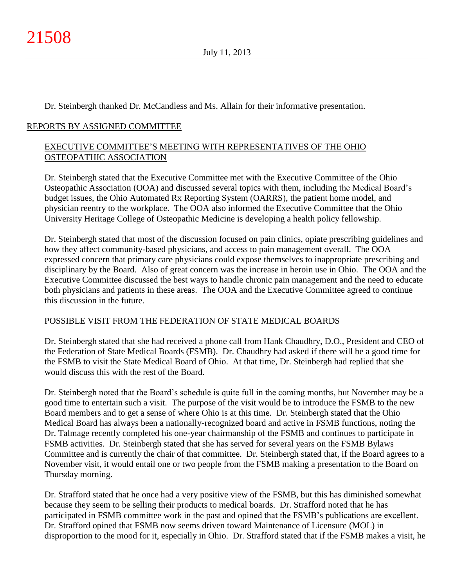Dr. Steinbergh thanked Dr. McCandless and Ms. Allain for their informative presentation.

# REPORTS BY ASSIGNED COMMITTEE

# EXECUTIVE COMMITTEE'S MEETING WITH REPRESENTATIVES OF THE OHIO OSTEOPATHIC ASSOCIATION

Dr. Steinbergh stated that the Executive Committee met with the Executive Committee of the Ohio Osteopathic Association (OOA) and discussed several topics with them, including the Medical Board's budget issues, the Ohio Automated Rx Reporting System (OARRS), the patient home model, and physician reentry to the workplace. The OOA also informed the Executive Committee that the Ohio University Heritage College of Osteopathic Medicine is developing a health policy fellowship.

Dr. Steinbergh stated that most of the discussion focused on pain clinics, opiate prescribing guidelines and how they affect community-based physicians, and access to pain management overall. The OOA expressed concern that primary care physicians could expose themselves to inappropriate prescribing and disciplinary by the Board. Also of great concern was the increase in heroin use in Ohio. The OOA and the Executive Committee discussed the best ways to handle chronic pain management and the need to educate both physicians and patients in these areas. The OOA and the Executive Committee agreed to continue this discussion in the future.

# POSSIBLE VISIT FROM THE FEDERATION OF STATE MEDICAL BOARDS

Dr. Steinbergh stated that she had received a phone call from Hank Chaudhry, D.O., President and CEO of the Federation of State Medical Boards (FSMB). Dr. Chaudhry had asked if there will be a good time for the FSMB to visit the State Medical Board of Ohio. At that time, Dr. Steinbergh had replied that she would discuss this with the rest of the Board.

Dr. Steinbergh noted that the Board's schedule is quite full in the coming months, but November may be a good time to entertain such a visit. The purpose of the visit would be to introduce the FSMB to the new Board members and to get a sense of where Ohio is at this time. Dr. Steinbergh stated that the Ohio Medical Board has always been a nationally-recognized board and active in FSMB functions, noting the Dr. Talmage recently completed his one-year chairmanship of the FSMB and continues to participate in FSMB activities. Dr. Steinbergh stated that she has served for several years on the FSMB Bylaws Committee and is currently the chair of that committee. Dr. Steinbergh stated that, if the Board agrees to a November visit, it would entail one or two people from the FSMB making a presentation to the Board on Thursday morning.

Dr. Strafford stated that he once had a very positive view of the FSMB, but this has diminished somewhat because they seem to be selling their products to medical boards. Dr. Strafford noted that he has participated in FSMB committee work in the past and opined that the FSMB's publications are excellent. Dr. Strafford opined that FSMB now seems driven toward Maintenance of Licensure (MOL) in disproportion to the mood for it, especially in Ohio. Dr. Strafford stated that if the FSMB makes a visit, he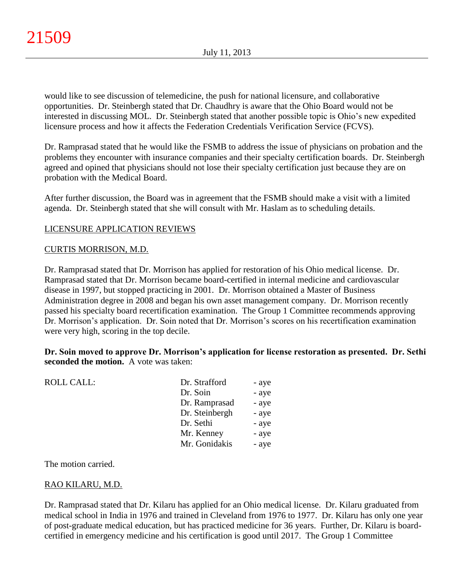would like to see discussion of telemedicine, the push for national licensure, and collaborative opportunities. Dr. Steinbergh stated that Dr. Chaudhry is aware that the Ohio Board would not be interested in discussing MOL. Dr. Steinbergh stated that another possible topic is Ohio's new expedited licensure process and how it affects the Federation Credentials Verification Service (FCVS).

Dr. Ramprasad stated that he would like the FSMB to address the issue of physicians on probation and the problems they encounter with insurance companies and their specialty certification boards. Dr. Steinbergh agreed and opined that physicians should not lose their specialty certification just because they are on probation with the Medical Board.

After further discussion, the Board was in agreement that the FSMB should make a visit with a limited agenda. Dr. Steinbergh stated that she will consult with Mr. Haslam as to scheduling details.

# LICENSURE APPLICATION REVIEWS

## CURTIS MORRISON, M.D.

Dr. Ramprasad stated that Dr. Morrison has applied for restoration of his Ohio medical license. Dr. Ramprasad stated that Dr. Morrison became board-certified in internal medicine and cardiovascular disease in 1997, but stopped practicing in 2001. Dr. Morrison obtained a Master of Business Administration degree in 2008 and began his own asset management company. Dr. Morrison recently passed his specialty board recertification examination. The Group 1 Committee recommends approving Dr. Morrison's application. Dr. Soin noted that Dr. Morrison's scores on his recertification examination were very high, scoring in the top decile.

**Dr. Soin moved to approve Dr. Morrison's application for license restoration as presented. Dr. Sethi seconded the motion.** A vote was taken:

| Dr. Strafford  | - aye |
|----------------|-------|
| Dr. Soin       | - aye |
| Dr. Ramprasad  | - aye |
| Dr. Steinbergh | - aye |
| Dr. Sethi      | - aye |
| Mr. Kenney     | - aye |
| Mr. Gonidakis  | - aye |
|                |       |

The motion carried.

## RAO KILARU, M.D.

Dr. Ramprasad stated that Dr. Kilaru has applied for an Ohio medical license. Dr. Kilaru graduated from medical school in India in 1976 and trained in Cleveland from 1976 to 1977. Dr. Kilaru has only one year of post-graduate medical education, but has practiced medicine for 36 years. Further, Dr. Kilaru is boardcertified in emergency medicine and his certification is good until 2017. The Group 1 Committee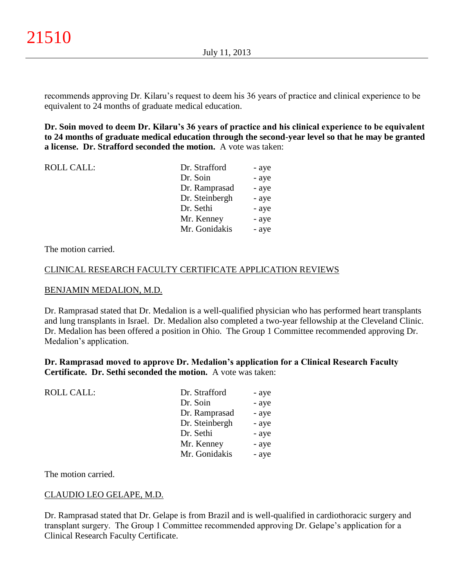recommends approving Dr. Kilaru's request to deem his 36 years of practice and clinical experience to be equivalent to 24 months of graduate medical education.

**Dr. Soin moved to deem Dr. Kilaru's 36 years of practice and his clinical experience to be equivalent to 24 months of graduate medical education through the second-year level so that he may be granted a license. Dr. Strafford seconded the motion.** A vote was taken:

| <b>ROLL CALL:</b> | Dr. Strafford  | - aye |
|-------------------|----------------|-------|
|                   | Dr. Soin       | - aye |
|                   | Dr. Ramprasad  | - aye |
|                   | Dr. Steinbergh | - aye |
|                   | Dr. Sethi      | - aye |
|                   | Mr. Kenney     | - aye |
|                   | Mr. Gonidakis  | - aye |
|                   |                |       |

The motion carried.

#### CLINICAL RESEARCH FACULTY CERTIFICATE APPLICATION REVIEWS

#### BENJAMIN MEDALION, M.D.

Dr. Ramprasad stated that Dr. Medalion is a well-qualified physician who has performed heart transplants and lung transplants in Israel. Dr. Medalion also completed a two-year fellowship at the Cleveland Clinic. Dr. Medalion has been offered a position in Ohio. The Group 1 Committee recommended approving Dr. Medalion's application.

**Dr. Ramprasad moved to approve Dr. Medalion's application for a Clinical Research Faculty Certificate. Dr. Sethi seconded the motion.** A vote was taken:

| <b>ROLL CALL:</b> | Dr. Strafford  | - aye |
|-------------------|----------------|-------|
|                   | Dr. Soin       | - aye |
|                   | Dr. Ramprasad  | - aye |
|                   | Dr. Steinbergh | - aye |
|                   | Dr. Sethi      | - aye |
|                   | Mr. Kenney     | - aye |
|                   | Mr. Gonidakis  | - aye |
|                   |                |       |

The motion carried.

## CLAUDIO LEO GELAPE, M.D.

Dr. Ramprasad stated that Dr. Gelape is from Brazil and is well-qualified in cardiothoracic surgery and transplant surgery. The Group 1 Committee recommended approving Dr. Gelape's application for a Clinical Research Faculty Certificate.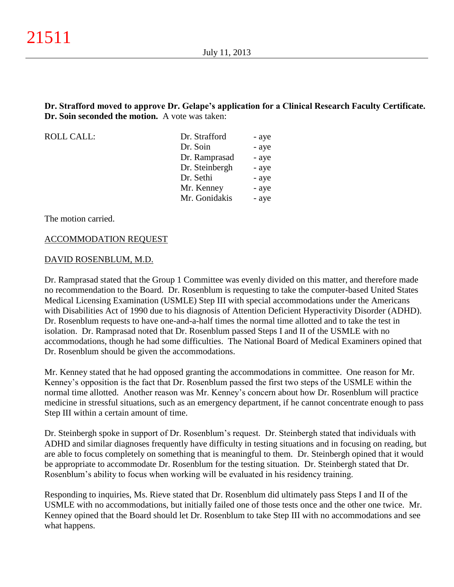**Dr. Strafford moved to approve Dr. Gelape's application for a Clinical Research Faculty Certificate. Dr. Soin seconded the motion.** A vote was taken:

ROLL CALL:

| Dr. Strafford  | - aye |
|----------------|-------|
| Dr. Soin       | - aye |
| Dr. Ramprasad  | - aye |
| Dr. Steinbergh | - aye |
| Dr. Sethi      | - aye |
| Mr. Kenney     | - aye |
| Mr. Gonidakis  | - aye |

The motion carried.

#### ACCOMMODATION REQUEST

#### DAVID ROSENBLUM, M.D.

Dr. Ramprasad stated that the Group 1 Committee was evenly divided on this matter, and therefore made no recommendation to the Board. Dr. Rosenblum is requesting to take the computer-based United States Medical Licensing Examination (USMLE) Step III with special accommodations under the Americans with Disabilities Act of 1990 due to his diagnosis of Attention Deficient Hyperactivity Disorder (ADHD). Dr. Rosenblum requests to have one-and-a-half times the normal time allotted and to take the test in isolation. Dr. Ramprasad noted that Dr. Rosenblum passed Steps I and II of the USMLE with no accommodations, though he had some difficulties. The National Board of Medical Examiners opined that Dr. Rosenblum should be given the accommodations.

Mr. Kenney stated that he had opposed granting the accommodations in committee. One reason for Mr. Kenney's opposition is the fact that Dr. Rosenblum passed the first two steps of the USMLE within the normal time allotted. Another reason was Mr. Kenney's concern about how Dr. Rosenblum will practice medicine in stressful situations, such as an emergency department, if he cannot concentrate enough to pass Step III within a certain amount of time.

Dr. Steinbergh spoke in support of Dr. Rosenblum's request. Dr. Steinbergh stated that individuals with ADHD and similar diagnoses frequently have difficulty in testing situations and in focusing on reading, but are able to focus completely on something that is meaningful to them. Dr. Steinbergh opined that it would be appropriate to accommodate Dr. Rosenblum for the testing situation. Dr. Steinbergh stated that Dr. Rosenblum's ability to focus when working will be evaluated in his residency training.

Responding to inquiries, Ms. Rieve stated that Dr. Rosenblum did ultimately pass Steps I and II of the USMLE with no accommodations, but initially failed one of those tests once and the other one twice. Mr. Kenney opined that the Board should let Dr. Rosenblum to take Step III with no accommodations and see what happens.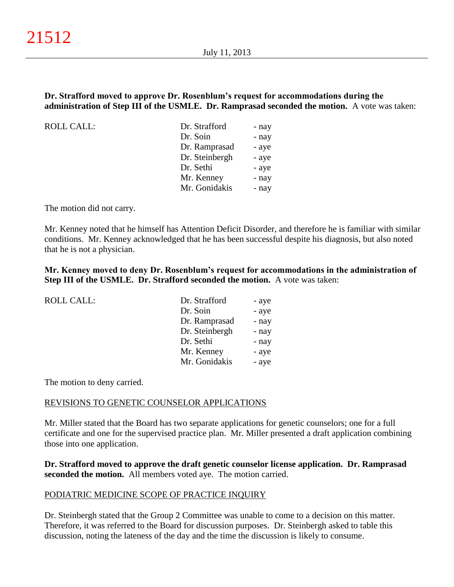## **Dr. Strafford moved to approve Dr. Rosenblum's request for accommodations during the administration of Step III of the USMLE. Dr. Ramprasad seconded the motion.** A vote was taken:

ROLL CALL:

| - nay |
|-------|
| - nay |
| - aye |
| - aye |
| - aye |
| - nay |
| - nay |
|       |

The motion did not carry.

Mr. Kenney noted that he himself has Attention Deficit Disorder, and therefore he is familiar with similar conditions. Mr. Kenney acknowledged that he has been successful despite his diagnosis, but also noted that he is not a physician.

**Mr. Kenney moved to deny Dr. Rosenblum's request for accommodations in the administration of Step III of the USMLE. Dr. Strafford seconded the motion.** A vote was taken:

| <b>ROLL CALL:</b> | Dr. Strafford  | - aye |
|-------------------|----------------|-------|
|                   | Dr. Soin       | - aye |
|                   | Dr. Ramprasad  | - nay |
|                   | Dr. Steinbergh | - nay |
|                   | Dr. Sethi      | - nay |
|                   | Mr. Kenney     | - aye |
|                   | Mr. Gonidakis  | - aye |

The motion to deny carried.

#### REVISIONS TO GENETIC COUNSELOR APPLICATIONS

Mr. Miller stated that the Board has two separate applications for genetic counselors; one for a full certificate and one for the supervised practice plan. Mr. Miller presented a draft application combining those into one application.

**Dr. Strafford moved to approve the draft genetic counselor license application. Dr. Ramprasad seconded the motion.** All members voted aye. The motion carried.

## PODIATRIC MEDICINE SCOPE OF PRACTICE INQUIRY

Dr. Steinbergh stated that the Group 2 Committee was unable to come to a decision on this matter. Therefore, it was referred to the Board for discussion purposes. Dr. Steinbergh asked to table this discussion, noting the lateness of the day and the time the discussion is likely to consume.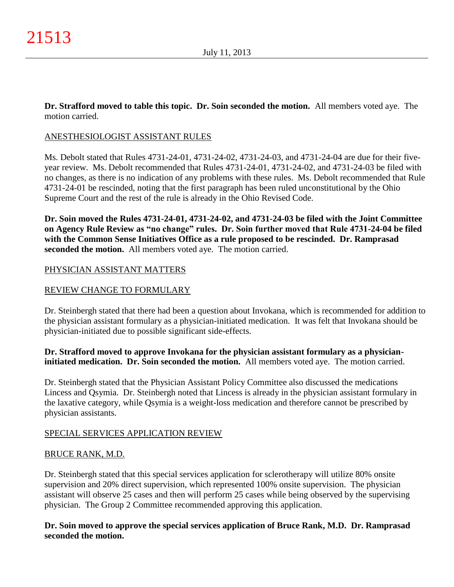**Dr. Strafford moved to table this topic. Dr. Soin seconded the motion.** All members voted aye. The motion carried.

# ANESTHESIOLOGIST ASSISTANT RULES

Ms. Debolt stated that Rules 4731-24-01, 4731-24-02, 4731-24-03, and 4731-24-04 are due for their fiveyear review. Ms. Debolt recommended that Rules 4731-24-01, 4731-24-02, and 4731-24-03 be filed with no changes, as there is no indication of any problems with these rules. Ms. Debolt recommended that Rule 4731-24-01 be rescinded, noting that the first paragraph has been ruled unconstitutional by the Ohio Supreme Court and the rest of the rule is already in the Ohio Revised Code.

**Dr. Soin moved the Rules 4731-24-01, 4731-24-02, and 4731-24-03 be filed with the Joint Committee on Agency Rule Review as "no change" rules. Dr. Soin further moved that Rule 4731-24-04 be filed with the Common Sense Initiatives Office as a rule proposed to be rescinded. Dr. Ramprasad seconded the motion.** All members voted aye. The motion carried.

# PHYSICIAN ASSISTANT MATTERS

# REVIEW CHANGE TO FORMULARY

Dr. Steinbergh stated that there had been a question about Invokana, which is recommended for addition to the physician assistant formulary as a physician-initiated medication. It was felt that Invokana should be physician-initiated due to possible significant side-effects.

# **Dr. Strafford moved to approve Invokana for the physician assistant formulary as a physicianinitiated medication. Dr. Soin seconded the motion.** All members voted aye. The motion carried.

Dr. Steinbergh stated that the Physician Assistant Policy Committee also discussed the medications Lincess and Qsymia. Dr. Steinbergh noted that Lincess is already in the physician assistant formulary in the laxative category, while Qsymia is a weight-loss medication and therefore cannot be prescribed by physician assistants.

# SPECIAL SERVICES APPLICATION REVIEW

# BRUCE RANK, M.D.

Dr. Steinbergh stated that this special services application for sclerotherapy will utilize 80% onsite supervision and 20% direct supervision, which represented 100% onsite supervision. The physician assistant will observe 25 cases and then will perform 25 cases while being observed by the supervising physician. The Group 2 Committee recommended approving this application.

**Dr. Soin moved to approve the special services application of Bruce Rank, M.D. Dr. Ramprasad seconded the motion.**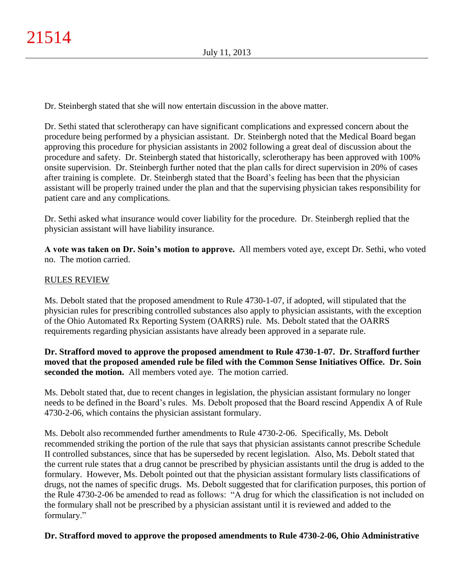Dr. Steinbergh stated that she will now entertain discussion in the above matter.

Dr. Sethi stated that sclerotherapy can have significant complications and expressed concern about the procedure being performed by a physician assistant. Dr. Steinbergh noted that the Medical Board began approving this procedure for physician assistants in 2002 following a great deal of discussion about the procedure and safety. Dr. Steinbergh stated that historically, sclerotherapy has been approved with 100% onsite supervision. Dr. Steinbergh further noted that the plan calls for direct supervision in 20% of cases after training is complete. Dr. Steinbergh stated that the Board's feeling has been that the physician assistant will be properly trained under the plan and that the supervising physician takes responsibility for patient care and any complications.

Dr. Sethi asked what insurance would cover liability for the procedure. Dr. Steinbergh replied that the physician assistant will have liability insurance.

**A vote was taken on Dr. Soin's motion to approve.** All members voted aye, except Dr. Sethi, who voted no. The motion carried.

# RULES REVIEW

Ms. Debolt stated that the proposed amendment to Rule 4730-1-07, if adopted, will stipulated that the physician rules for prescribing controlled substances also apply to physician assistants, with the exception of the Ohio Automated Rx Reporting System (OARRS) rule. Ms. Debolt stated that the OARRS requirements regarding physician assistants have already been approved in a separate rule.

**Dr. Strafford moved to approve the proposed amendment to Rule 4730-1-07. Dr. Strafford further moved that the proposed amended rule be filed with the Common Sense Initiatives Office. Dr. Soin seconded the motion.** All members voted aye. The motion carried.

Ms. Debolt stated that, due to recent changes in legislation, the physician assistant formulary no longer needs to be defined in the Board's rules. Ms. Debolt proposed that the Board rescind Appendix A of Rule 4730-2-06, which contains the physician assistant formulary.

Ms. Debolt also recommended further amendments to Rule 4730-2-06. Specifically, Ms. Debolt recommended striking the portion of the rule that says that physician assistants cannot prescribe Schedule II controlled substances, since that has be superseded by recent legislation. Also, Ms. Debolt stated that the current rule states that a drug cannot be prescribed by physician assistants until the drug is added to the formulary. However, Ms. Debolt pointed out that the physician assistant formulary lists classifications of drugs, not the names of specific drugs. Ms. Debolt suggested that for clarification purposes, this portion of the Rule 4730-2-06 be amended to read as follows: "A drug for which the classification is not included on the formulary shall not be prescribed by a physician assistant until it is reviewed and added to the formulary."

## **Dr. Strafford moved to approve the proposed amendments to Rule 4730-2-06, Ohio Administrative**